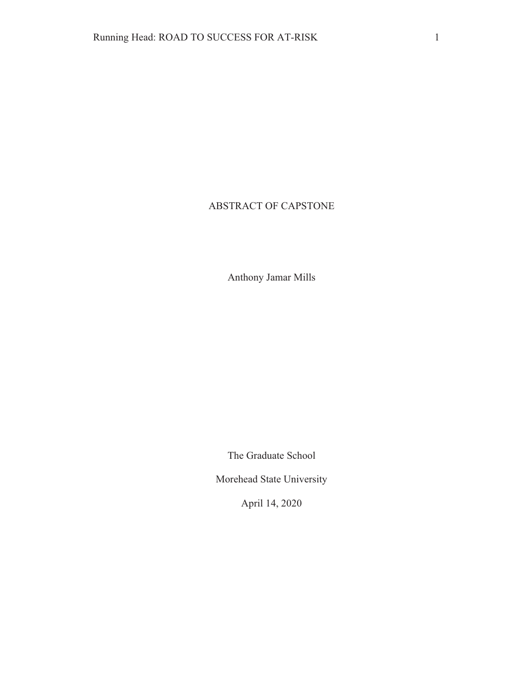# ABSTRACT OF CAPSTONE

Anthony Jamar Mills

The Graduate School

Morehead State University

April 14, 2020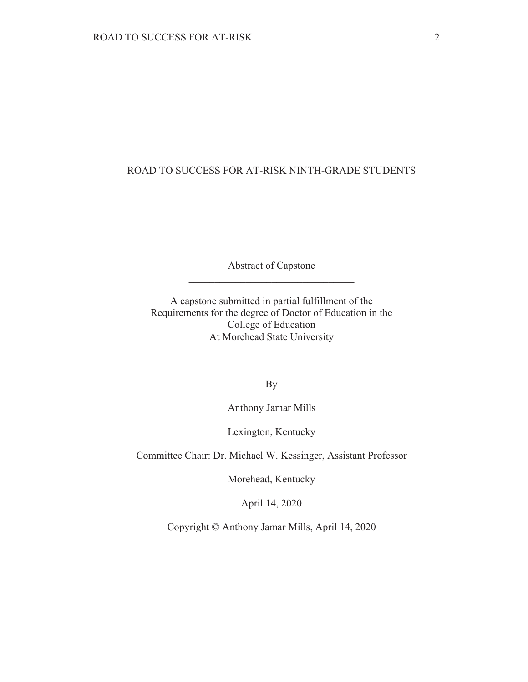# ROAD TO SUCCESS FOR AT-RISK NINTH-GRADE STUDENTS

Abstract of Capstone

A capstone submitted in partial fulfillment of the Requirements for the degree of Doctor of Education in the College of Education At Morehead State University

**By** 

Anthony Jamar Mills

Lexington, Kentucky

Committee Chair: Dr. Michael W. Kessinger, Assistant Professor

Morehead, Kentucky

April 14, 2020

Copyright © Anthony Jamar Mills, April 14, 2020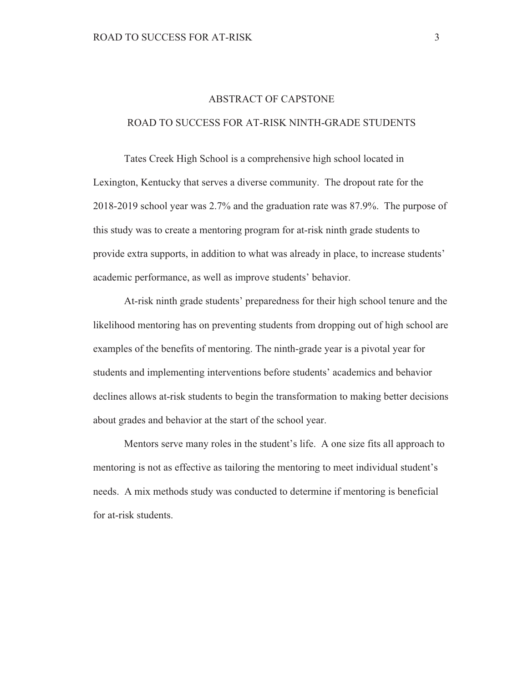## **ABSTRACT OF CAPSTONE**

### ROAD TO SUCCESS FOR AT-RISK NINTH-GRADE STUDENTS

Tates Creek High School is a comprehensive high school located in Lexington, Kentucky that serves a diverse community. The dropout rate for the 2018-2019 school year was 2.7% and the graduation rate was 87.9%. The purpose of this study was to create a mentoring program for at-risk ninth grade students to provide extra supports, in addition to what was already in place, to increase students' academic performance, as well as improve students' behavior.

At-risk ninth grade students' preparedness for their high school tenure and the likelihood mentoring has on preventing students from dropping out of high school are examples of the benefits of mentoring. The ninth-grade year is a pivotal year for students and implementing interventions before students' academics and behavior declines allows at-risk students to begin the transformation to making better decisions about grades and behavior at the start of the school year.

Mentors serve many roles in the student's life. A one size fits all approach to mentoring is not as effective as tailoring the mentoring to meet individual student's needs. A mix methods study was conducted to determine if mentoring is beneficial for at-risk students.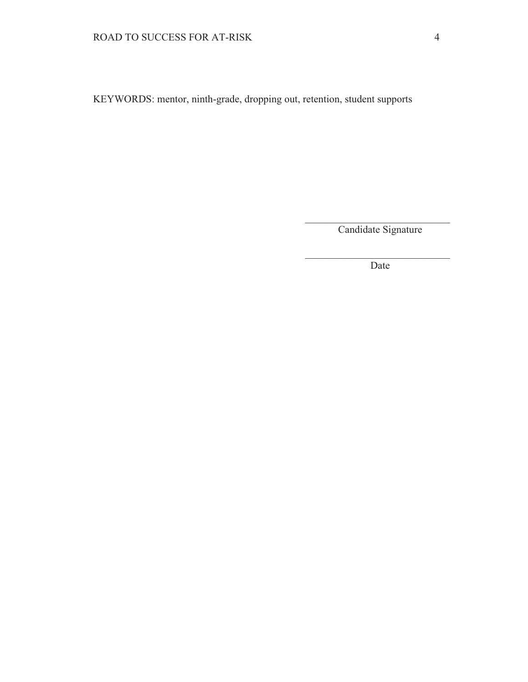KEYWORDS: mentor, ninth-grade, dropping out, retention, student supports

Candidate Signature

Date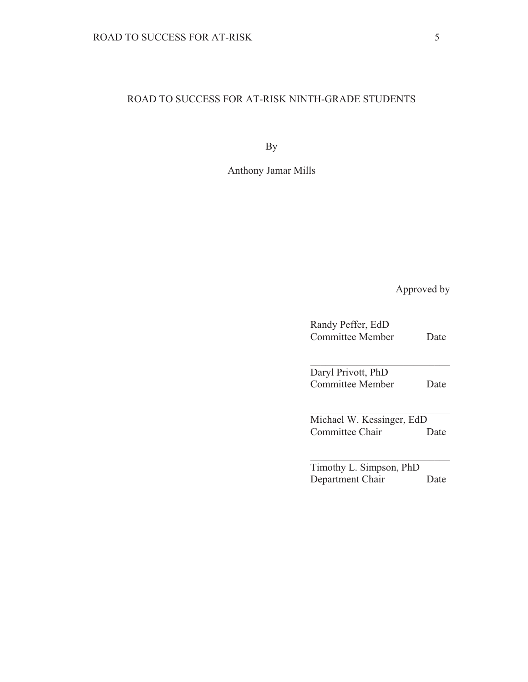# ROAD TO SUCCESS FOR AT-RISK NINTH-GRADE STUDENTS

**By** 

Anthony Jamar Mills

Approved by

| Randy Peffer, EdD<br><b>Committee Member</b>  | Date |  |  |
|-----------------------------------------------|------|--|--|
| Daryl Privott, PhD<br><b>Committee Member</b> | Date |  |  |
| Michael W. Kessinger, EdD<br>Committee Chair  | Date |  |  |
| Timothy L. Simpson, PhD<br>Department Chair   | Jate |  |  |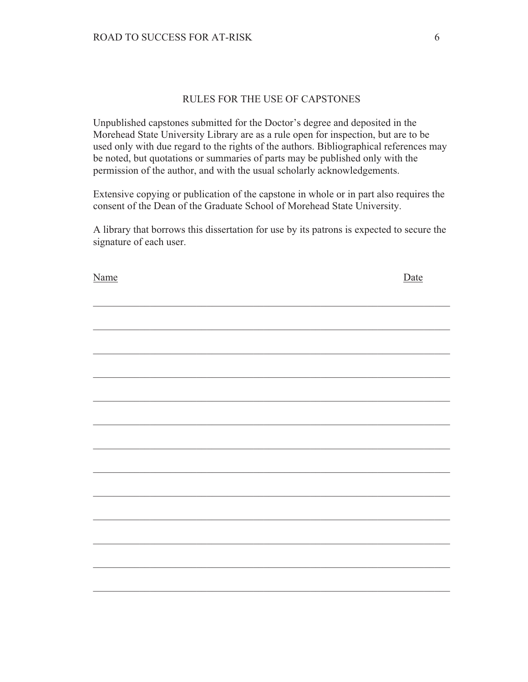# RULES FOR THE USE OF CAPSTONES

Unpublished capstones submitted for the Doctor's degree and deposited in the Morehead State University Library are as a rule open for inspection, but are to be used only with due regard to the rights of the authors. Bibliographical references may be noted, but quotations or summaries of parts may be published only with the permission of the author, and with the usual scholarly acknowledgements.

Extensive copying or publication of the capstone in whole or in part also requires the consent of the Dean of the Graduate School of Morehead State University.

A library that borrows this dissertation for use by its patrons is expected to secure the signature of each user.

| <u>Name</u> | <u>Date</u> |
|-------------|-------------|
|             |             |
|             |             |
|             |             |
|             |             |
|             |             |
|             |             |
|             |             |
|             |             |
|             |             |
|             |             |
|             |             |
|             |             |
|             |             |
|             |             |
|             |             |
|             |             |
|             |             |
|             |             |
|             |             |
|             |             |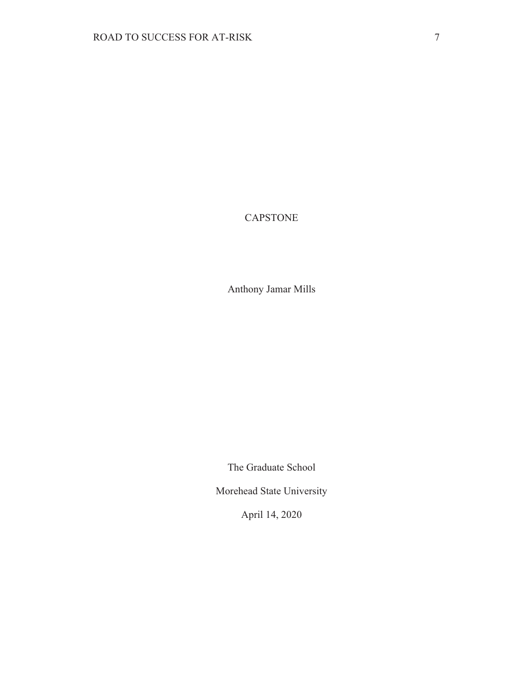# **CAPSTONE**

Anthony Jamar Mills

The Graduate School

Morehead State University

April 14, 2020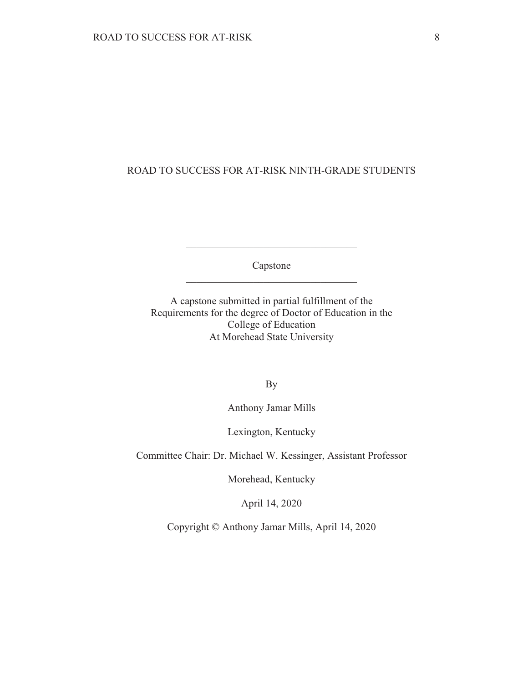# ROAD TO SUCCESS FOR AT-RISK NINTH-GRADE STUDENTS

Capstone

A capstone submitted in partial fulfillment of the Requirements for the degree of Doctor of Education in the College of Education At Morehead State University

**By** 

Anthony Jamar Mills

Lexington, Kentucky

Committee Chair: Dr. Michael W. Kessinger, Assistant Professor

Morehead, Kentucky

April 14, 2020

Copyright © Anthony Jamar Mills, April 14, 2020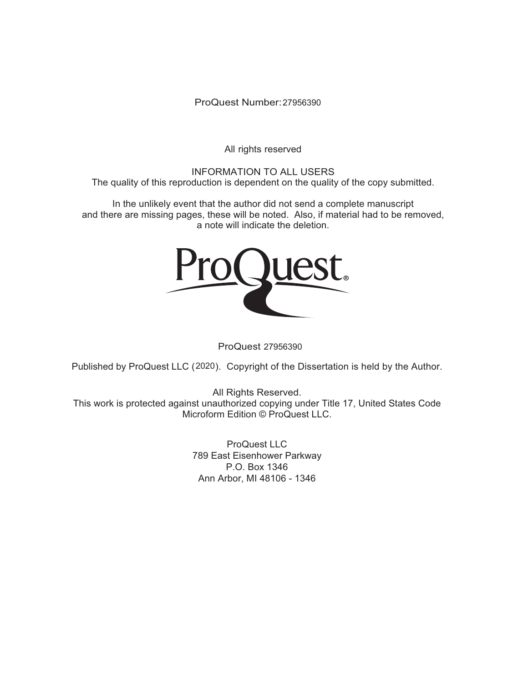ProQuest Number: 27956390

All rights reserved

**INFORMATION TO ALL USERS** The quality of this reproduction is dependent on the quality of the copy submitted.

In the unlikely event that the author did not send a complete manuscript and there are missing pages, these will be noted. Also, if material had to be removed, a note will indicate the deletion.



ProQuest 27956390

Published by ProQuest LLC (2020). Copyright of the Dissertation is held by the Author.

All Rights Reserved. This work is protected against unauthorized copying under Title 17, United States Code Microform Edition © ProQuest LLC.

> ProQuest LLC 789 East Eisenhower Parkway P.O. Box 1346 Ann Arbor, MI 48106 - 1346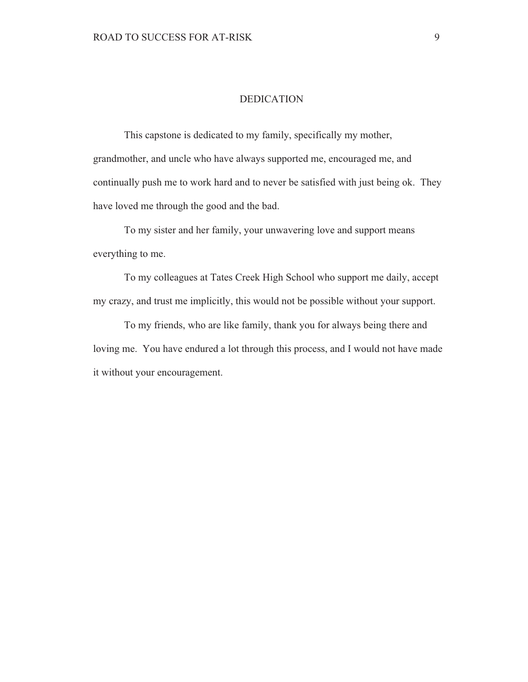### **DEDICATION**

This capstone is dedicated to my family, specifically my mother, grandmother, and uncle who have always supported me, encouraged me, and continually push me to work hard and to never be satisfied with just being ok. They have loved me through the good and the bad.

To my sister and her family, your unwavering love and support means everything to me.

To my colleagues at Tates Creek High School who support me daily, accept my crazy, and trust me implicitly, this would not be possible without your support.

To my friends, who are like family, thank you for always being there and loving me. You have endured a lot through this process, and I would not have made it without your encouragement.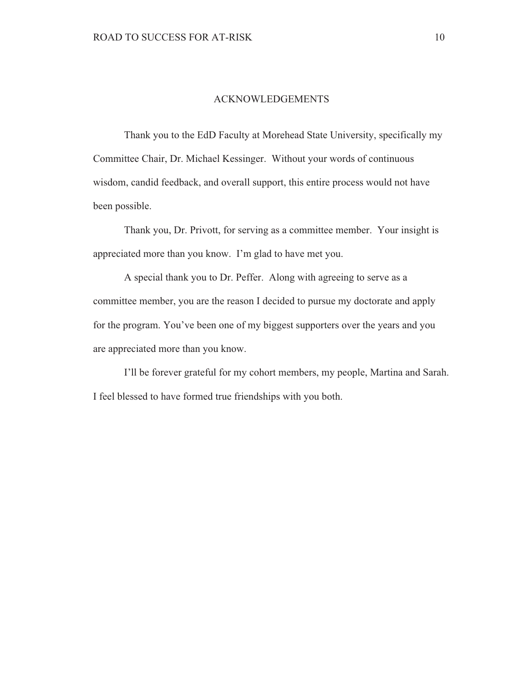### **ACKNOWLEDGEMENTS**

Thank you to the EdD Faculty at Morehead State University, specifically my Committee Chair, Dr. Michael Kessinger. Without your words of continuous wisdom, candid feedback, and overall support, this entire process would not have been possible.

Thank you, Dr. Privott, for serving as a committee member. Your insight is appreciated more than you know. I'm glad to have met you.

A special thank you to Dr. Peffer. Along with agreeing to serve as a committee member, you are the reason I decided to pursue my doctorate and apply for the program. You've been one of my biggest supporters over the years and you are appreciated more than you know.

I'll be forever grateful for my cohort members, my people, Martina and Sarah. I feel blessed to have formed true friendships with you both.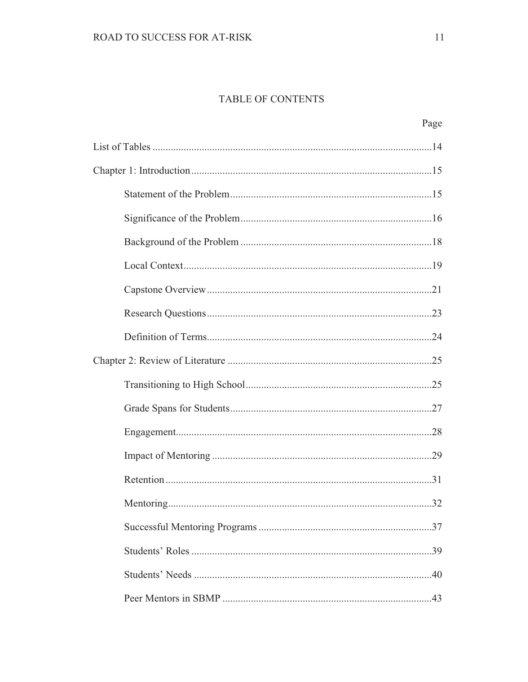# TABLE OF CONTENTS

|  |  | Page |
|--|--|------|
|  |  |      |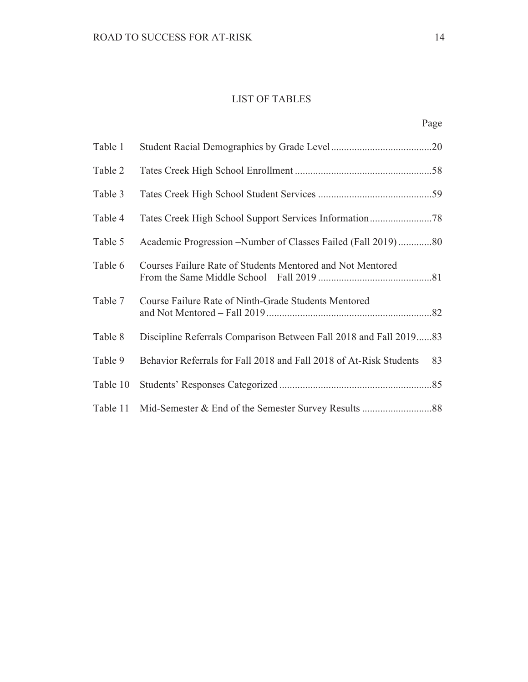# **LIST OF TABLES**

| Table 1  |                                                                    |    |
|----------|--------------------------------------------------------------------|----|
| Table 2  |                                                                    |    |
| Table 3  |                                                                    |    |
| Table 4  |                                                                    |    |
| Table 5  | Academic Progression – Number of Classes Failed (Fall 2019)80      |    |
| Table 6  | Courses Failure Rate of Students Mentored and Not Mentored         |    |
| Table 7  | Course Failure Rate of Ninth-Grade Students Mentored               |    |
| Table 8  | Discipline Referrals Comparison Between Fall 2018 and Fall 201983  |    |
| Table 9  | Behavior Referrals for Fall 2018 and Fall 2018 of At-Risk Students | 83 |
| Table 10 |                                                                    |    |
| Table 11 |                                                                    |    |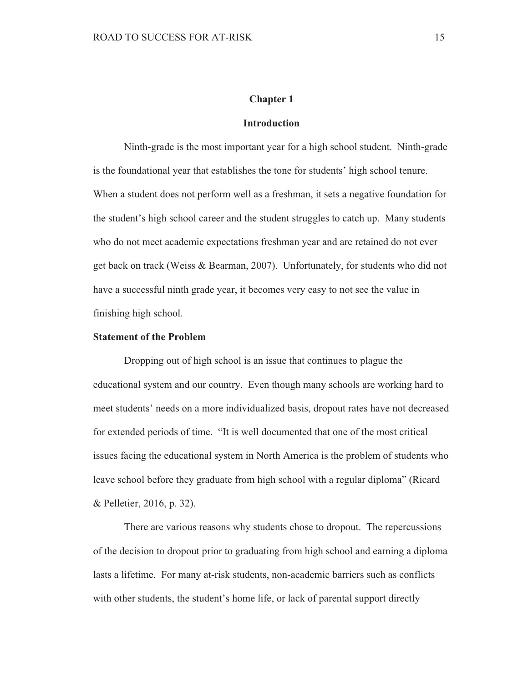## **Chapter 1**

### **Introduction**

Ninth-grade is the most important year for a high school student. Ninth-grade is the foundational year that establishes the tone for students' high school tenure. When a student does not perform well as a freshman, it sets a negative foundation for the student's high school career and the student struggles to catch up. Many students who do not meet academic expectations freshman year and are retained do not ever get back on track (Weiss & Bearman, 2007). Unfortunately, for students who did not have a successful ninth grade year, it becomes very easy to not see the value in finishing high school.

## **Statement of the Problem**

Dropping out of high school is an issue that continues to plague the educational system and our country. Even though many schools are working hard to meet students' needs on a more individualized basis, dropout rates have not decreased for extended periods of time. "It is well documented that one of the most critical issues facing the educational system in North America is the problem of students who leave school before they graduate from high school with a regular diploma" (Ricard & Pelletier, 2016, p. 32).

There are various reasons why students chose to dropout. The repercussions of the decision to dropout prior to graduating from high school and earning a diploma lasts a lifetime. For many at-risk students, non-academic barriers such as conflicts with other students, the student's home life, or lack of parental support directly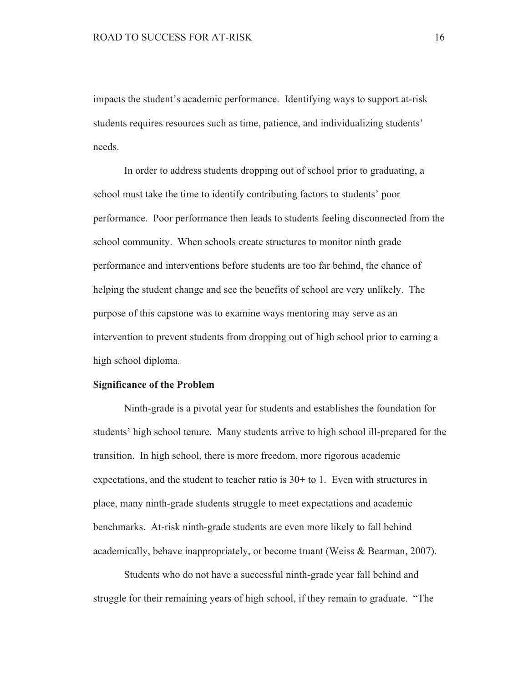impacts the student's academic performance. Identifying ways to support at-risk students requires resources such as time, patience, and individualizing students' needs.

In order to address students dropping out of school prior to graduating, a school must take the time to identify contributing factors to students' poor performance. Poor performance then leads to students feeling disconnected from the school community. When schools create structures to monitor ninth grade performance and interventions before students are too far behind, the chance of helping the student change and see the benefits of school are very unlikely. The purpose of this capstone was to examine ways mentoring may serve as an intervention to prevent students from dropping out of high school prior to earning a high school diploma.

#### **Significance of the Problem**

Ninth-grade is a pivotal year for students and establishes the foundation for students' high school tenure. Many students arrive to high school ill-prepared for the transition. In high school, there is more freedom, more rigorous academic expectations, and the student to teacher ratio is  $30+$  to 1. Even with structures in place, many ninth-grade students struggle to meet expectations and academic benchmarks. At-risk ninth-grade students are even more likely to fall behind academically, behave inappropriately, or become truant (Weiss & Bearman, 2007).

Students who do not have a successful ninth-grade year fall behind and struggle for their remaining years of high school, if they remain to graduate. "The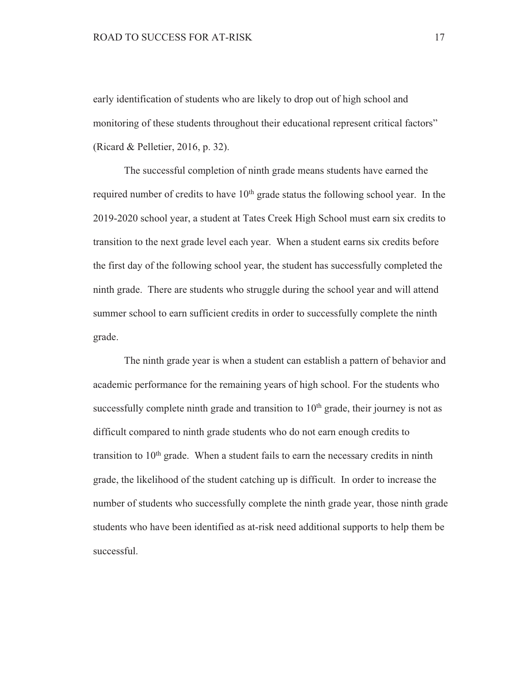early identification of students who are likely to drop out of high school and monitoring of these students throughout their educational represent critical factors" (Ricard & Pelletier, 2016, p. 32).

The successful completion of ninth grade means students have earned the required number of credits to have  $10<sup>th</sup>$  grade status the following school year. In the 2019-2020 school year, a student at Tates Creek High School must earn six credits to transition to the next grade level each year. When a student earns six credits before the first day of the following school year, the student has successfully completed the ninth grade. There are students who struggle during the school year and will attend summer school to earn sufficient credits in order to successfully complete the ninth grade.

The ninth grade year is when a student can establish a pattern of behavior and academic performance for the remaining years of high school. For the students who successfully complete ninth grade and transition to  $10<sup>th</sup>$  grade, their journey is not as difficult compared to ninth grade students who do not earn enough credits to transition to  $10<sup>th</sup>$  grade. When a student fails to earn the necessary credits in ninth grade, the likelihood of the student catching up is difficult. In order to increase the number of students who successfully complete the ninth grade year, those ninth grade students who have been identified as at-risk need additional supports to help them be successful.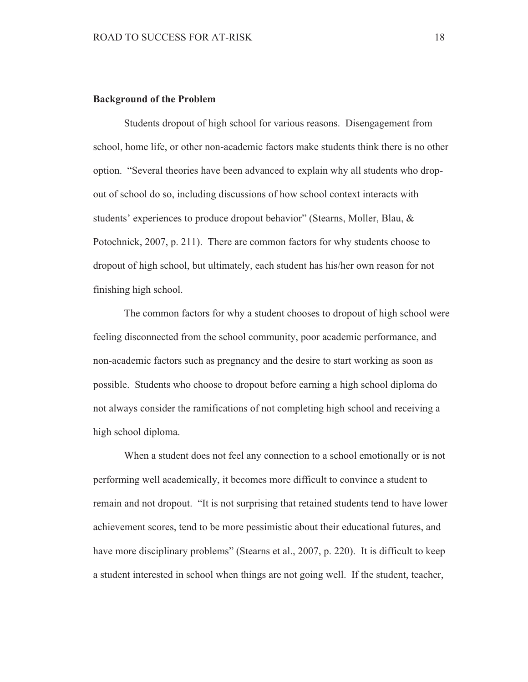### **Background of the Problem**

Students dropout of high school for various reasons. Disengagement from school, home life, or other non-academic factors make students think there is no other option. "Several theories have been advanced to explain why all students who dropout of school do so, including discussions of how school context interacts with students' experiences to produce dropout behavior" (Stearns, Moller, Blau, & Potochnick, 2007, p. 211). There are common factors for why students choose to dropout of high school, but ultimately, each student has his/her own reason for not finishing high school.

The common factors for why a student chooses to dropout of high school were feeling disconnected from the school community, poor academic performance, and non-academic factors such as pregnancy and the desire to start working as soon as possible. Students who choose to dropout before earning a high school diploma do not always consider the ramifications of not completing high school and receiving a high school diploma.

When a student does not feel any connection to a school emotionally or is not performing well academically, it becomes more difficult to convince a student to remain and not dropout. "It is not surprising that retained students tend to have lower achievement scores, tend to be more pessimistic about their educational futures, and have more disciplinary problems" (Stearns et al., 2007, p. 220). It is difficult to keep a student interested in school when things are not going well. If the student, teacher,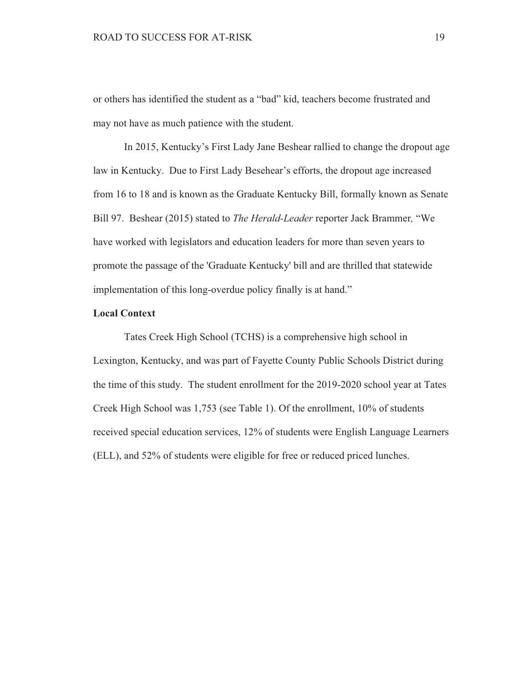or others has identified the student as a "bad" kid, teachers become frustrated and may not have as much patience with the student.

In 2015, Kentucky's First Lady Jane Beshear rallied to change the dropout age law in Kentucky. Due to First Lady Besehear's efforts, the dropout age increased from 16 to 18 and is known as the Graduate Kentucky Bill, formally known as Senate Bill 97. Beshear (2015) stated to The Herald-Leader reporter Jack Brammer, "We have worked with legislators and education leaders for more than seven years to promote the passage of the 'Graduate Kentucky' bill and are thrilled that statewide implementation of this long-overdue policy finally is at hand."

# **Local Context**

Tates Creek High School (TCHS) is a comprehensive high school in Lexington, Kentucky, and was part of Fayette County Public Schools District during the time of this study. The student enrollment for the 2019-2020 school year at Tates Creek High School was 1,753 (see Table 1). Of the enrollment, 10% of students received special education services, 12% of students were English Language Learners (ELL), and 52% of students were eligible for free or reduced priced lunches.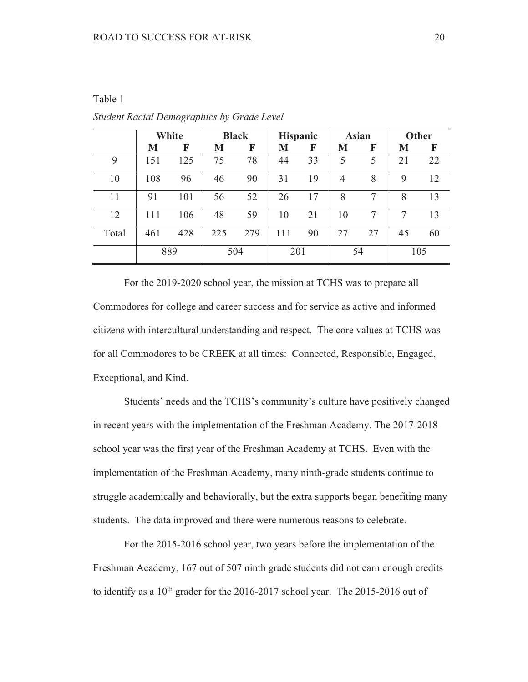## Table 1

|       | White |     | <b>Black</b> |     | <b>Hispanic</b> |    | <b>Asian</b> |    | <b>Other</b> |    |
|-------|-------|-----|--------------|-----|-----------------|----|--------------|----|--------------|----|
|       | M     | F   | M            | F   | M               | F  | M            | F  | M            | F  |
| 9     | 151   | 125 | 75           | 78  | 44              | 33 | 5            | 5  | 21           | 22 |
| 10    | 108   | 96  | 46           | 90  | 31              | 19 | 4            | 8  | $\mathbf Q$  | 12 |
| 11    | 91    | 101 | 56           | 52  | 26              | 17 | 8            | 7  | 8            | 13 |
| 12    | 111   | 106 | 48           | 59  | 10              | 21 | 10           |    |              | 13 |
| Total | 461   | 428 | 225          | 279 | 111             | 90 | 27           | 27 | 45           | 60 |
|       | 889   |     | 504          |     | 201             |    | 54           |    | 105          |    |

**Student Racial Demographics by Grade Level** 

For the 2019-2020 school year, the mission at TCHS was to prepare all Commodores for college and career success and for service as active and informed citizens with intercultural understanding and respect. The core values at TCHS was for all Commodores to be CREEK at all times: Connected, Responsible, Engaged, Exceptional, and Kind.

Students' needs and the TCHS's community's culture have positively changed in recent years with the implementation of the Freshman Academy. The 2017-2018 school year was the first year of the Freshman Academy at TCHS. Even with the implementation of the Freshman Academy, many ninth-grade students continue to struggle academically and behaviorally, but the extra supports began benefiting many students. The data improved and there were numerous reasons to celebrate.

For the 2015-2016 school year, two years before the implementation of the Freshman Academy, 167 out of 507 ninth grade students did not earn enough credits to identify as a  $10^{th}$  grader for the 2016-2017 school year. The 2015-2016 out of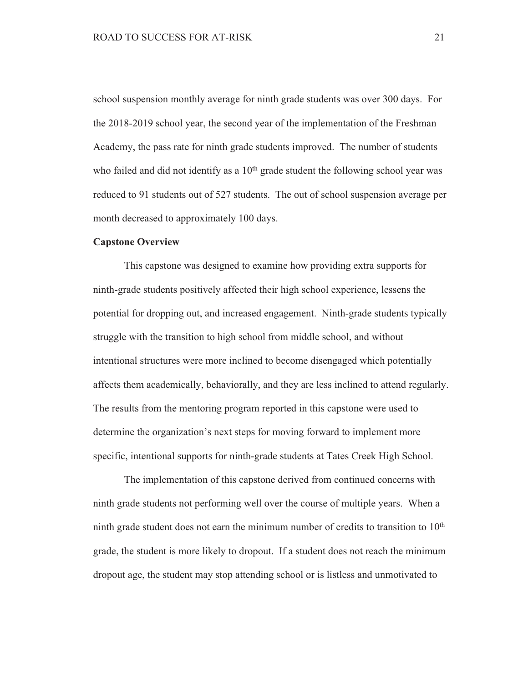school suspension monthly average for ninth grade students was over 300 days. For the 2018-2019 school year, the second year of the implementation of the Freshman Academy, the pass rate for ninth grade students improved. The number of students who failed and did not identify as a 10<sup>th</sup> grade student the following school year was reduced to 91 students out of 527 students. The out of school suspension average per month decreased to approximately 100 days.

### **Capstone Overview**

This capstone was designed to examine how providing extra supports for ninth-grade students positively affected their high school experience, lessens the potential for dropping out, and increased engagement. Ninth-grade students typically struggle with the transition to high school from middle school, and without intentional structures were more inclined to become disengaged which potentially affects them academically, behaviorally, and they are less inclined to attend regularly. The results from the mentoring program reported in this capstone were used to determine the organization's next steps for moving forward to implement more specific, intentional supports for ninth-grade students at Tates Creek High School.

The implementation of this capstone derived from continued concerns with ninth grade students not performing well over the course of multiple years. When a ninth grade student does not earn the minimum number of credits to transition to  $10<sup>th</sup>$ grade, the student is more likely to dropout. If a student does not reach the minimum dropout age, the student may stop attending school or is listless and unmotivated to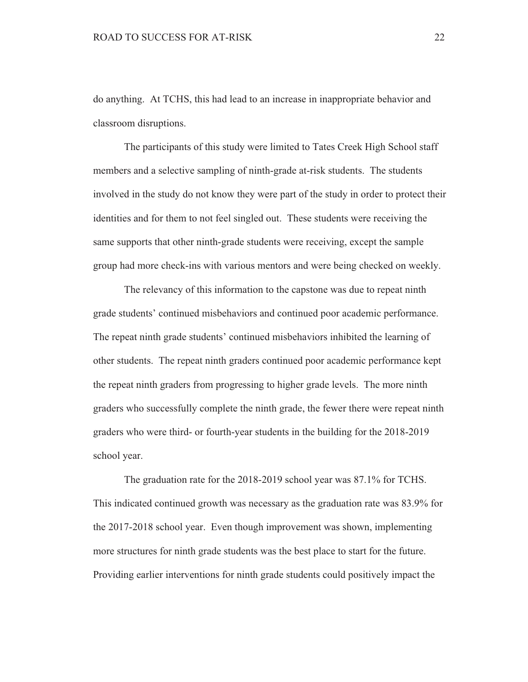do anything. At TCHS, this had lead to an increase in inappropriate behavior and classroom disruptions.

The participants of this study were limited to Tates Creek High School staff members and a selective sampling of ninth-grade at-risk students. The students involved in the study do not know they were part of the study in order to protect their identities and for them to not feel singled out. These students were receiving the same supports that other ninth-grade students were receiving, except the sample group had more check-ins with various mentors and were being checked on weekly.

The relevancy of this information to the capstone was due to repeat ninth grade students' continued misbehaviors and continued poor academic performance. The repeat ninth grade students' continued misbehaviors inhibited the learning of other students. The repeat ninth graders continued poor academic performance kept the repeat ninth graders from progressing to higher grade levels. The more ninth graders who successfully complete the ninth grade, the fewer there were repeat ninth graders who were third- or fourth-year students in the building for the 2018-2019 school year.

The graduation rate for the 2018-2019 school year was 87.1% for TCHS. This indicated continued growth was necessary as the graduation rate was 83.9% for the 2017-2018 school year. Even though improvement was shown, implementing more structures for ninth grade students was the best place to start for the future. Providing earlier interventions for ninth grade students could positively impact the

22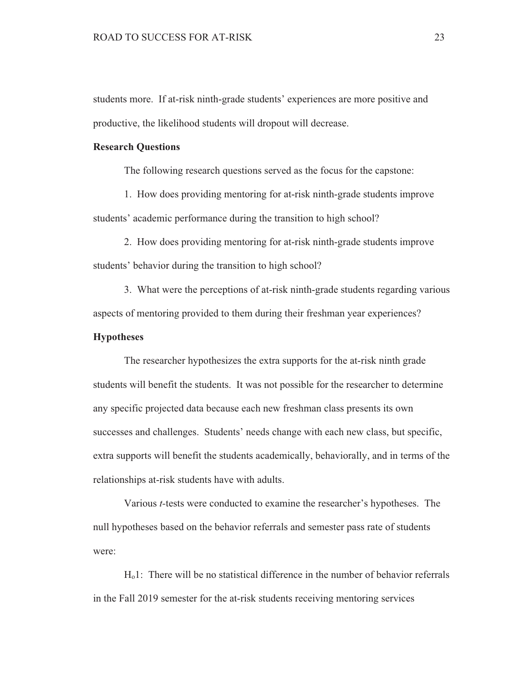students more. If at-risk ninth-grade students' experiences are more positive and productive, the likelihood students will dropout will decrease.

### **Research Questions**

The following research questions served as the focus for the capstone:

1. How does providing mentoring for at-risk ninth-grade students improve students' academic performance during the transition to high school?

2. How does providing mentoring for at-risk ninth-grade students improve students' behavior during the transition to high school?

3. What were the perceptions of at-risk ninth-grade students regarding various aspects of mentoring provided to them during their freshman year experiences?

#### **Hypotheses**

The researcher hypothesizes the extra supports for the at-risk ninth grade students will benefit the students. It was not possible for the researcher to determine any specific projected data because each new freshman class presents its own successes and challenges. Students' needs change with each new class, but specific, extra supports will benefit the students academically, behaviorally, and in terms of the relationships at-risk students have with adults.

Various *t*-tests were conducted to examine the researcher's hypotheses. The null hypotheses based on the behavior referrals and semester pass rate of students were:

 $H_0$ 1: There will be no statistical difference in the number of behavior referrals in the Fall 2019 semester for the at-risk students receiving mentoring services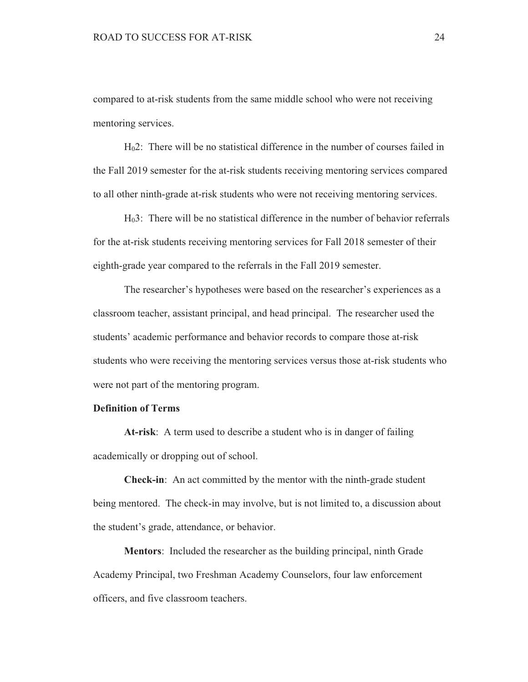compared to at-risk students from the same middle school who were not receiving mentoring services.

 $H<sub>0</sub>2$ : There will be no statistical difference in the number of courses failed in the Fall 2019 semester for the at-risk students receiving mentoring services compared to all other ninth-grade at-risk students who were not receiving mentoring services.

H<sub>0</sub>3: There will be no statistical difference in the number of behavior referrals for the at-risk students receiving mentoring services for Fall 2018 semester of their eighth-grade year compared to the referrals in the Fall 2019 semester.

The researcher's hypotheses were based on the researcher's experiences as a classroom teacher, assistant principal, and head principal. The researcher used the students' academic performance and behavior records to compare those at-risk students who were receiving the mentoring services versus those at-risk students who were not part of the mentoring program.

## **Definition of Terms**

At-risk: A term used to describe a student who is in danger of failing academically or dropping out of school.

**Check-in:** An act committed by the mentor with the ninth-grade student being mentored. The check-in may involve, but is not limited to, a discussion about the student's grade, attendance, or behavior.

**Mentors:** Included the researcher as the building principal, ninth Grade Academy Principal, two Freshman Academy Counselors, four law enforcement officers, and five classroom teachers.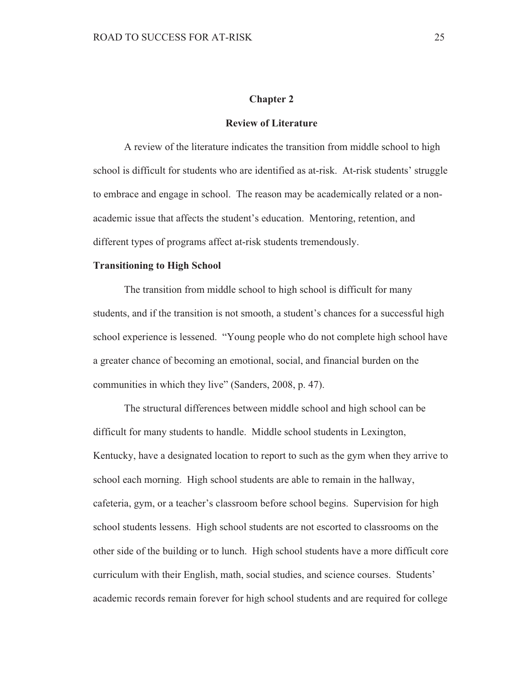#### **Chapter 2**

### **Review of Literature**

A review of the literature indicates the transition from middle school to high school is difficult for students who are identified as at-risk. At-risk students' struggle to embrace and engage in school. The reason may be academically related or a nonacademic issue that affects the student's education. Mentoring, retention, and different types of programs affect at-risk students tremendously.

#### **Transitioning to High School**

The transition from middle school to high school is difficult for many students, and if the transition is not smooth, a student's chances for a successful high school experience is lessened. "Young people who do not complete high school have a greater chance of becoming an emotional, social, and financial burden on the communities in which they live" (Sanders, 2008, p. 47).

The structural differences between middle school and high school can be difficult for many students to handle. Middle school students in Lexington, Kentucky, have a designated location to report to such as the gym when they arrive to school each morning. High school students are able to remain in the hallway, cafeteria, gym, or a teacher's classroom before school begins. Supervision for high school students lessens. High school students are not escorted to classrooms on the other side of the building or to lunch. High school students have a more difficult core curriculum with their English, math, social studies, and science courses. Students' academic records remain forever for high school students and are required for college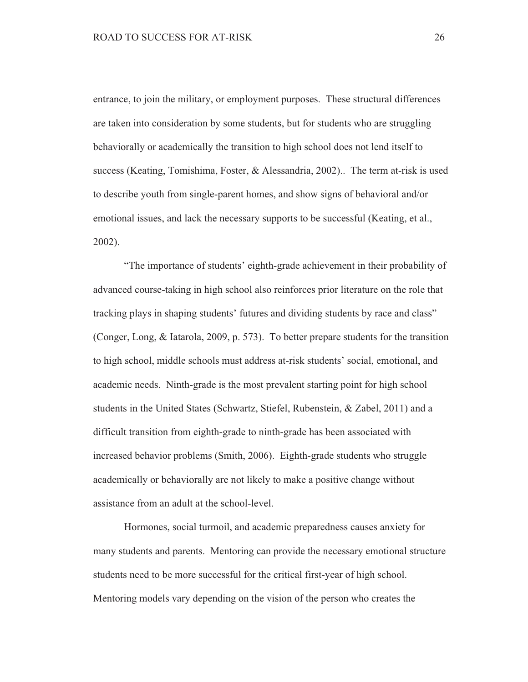entrance, to join the military, or employment purposes. These structural differences are taken into consideration by some students, but for students who are struggling behaviorally or academically the transition to high school does not lend itself to success (Keating, Tomishima, Foster, & Alessandria, 2002).. The term at-risk is used to describe youth from single-parent homes, and show signs of behavioral and/or emotional issues, and lack the necessary supports to be successful (Keating, et al.,  $2002$ ).

"The importance of students' eighth-grade achievement in their probability of advanced course-taking in high school also reinforces prior literature on the role that tracking plays in shaping students' futures and dividing students by race and class" (Conger, Long, & Iatarola, 2009, p. 573). To better prepare students for the transition to high school, middle schools must address at-risk students' social, emotional, and academic needs. Ninth-grade is the most prevalent starting point for high school students in the United States (Schwartz, Stiefel, Rubenstein, & Zabel, 2011) and a difficult transition from eighth-grade to ninth-grade has been associated with increased behavior problems (Smith, 2006). Eighth-grade students who struggle academically or behaviorally are not likely to make a positive change without assistance from an adult at the school-level.

Hormones, social turmoil, and academic preparedness causes anxiety for many students and parents. Mentoring can provide the necessary emotional structure students need to be more successful for the critical first-year of high school. Mentoring models vary depending on the vision of the person who creates the

26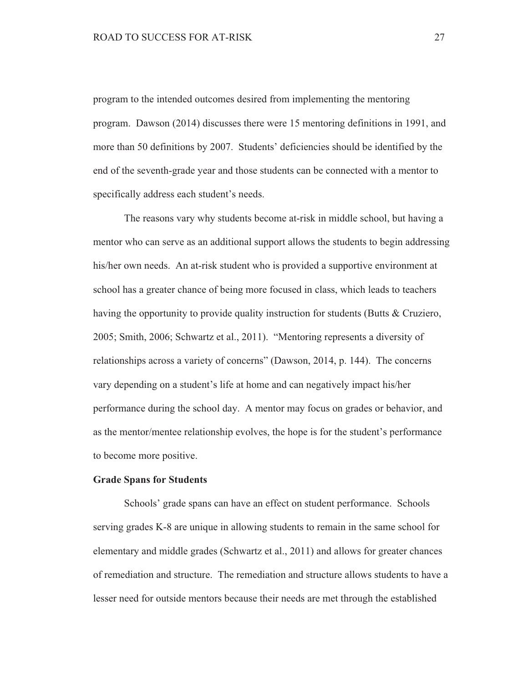program to the intended outcomes desired from implementing the mentoring program. Dawson (2014) discusses there were 15 mentoring definitions in 1991, and more than 50 definitions by 2007. Students' deficiencies should be identified by the end of the seventh-grade year and those students can be connected with a mentor to specifically address each student's needs.

The reasons vary why students become at-risk in middle school, but having a mentor who can serve as an additional support allows the students to begin addressing his/her own needs. An at-risk student who is provided a supportive environment at school has a greater chance of being more focused in class, which leads to teachers having the opportunity to provide quality instruction for students (Butts  $\&$  Cruziero, 2005; Smith, 2006; Schwartz et al., 2011). "Mentoring represents a diversity of relationships across a variety of concerns" (Dawson, 2014, p. 144). The concerns vary depending on a student's life at home and can negatively impact his/her performance during the school day. A mentor may focus on grades or behavior, and as the mentor/mentee relationship evolves, the hope is for the student's performance to become more positive.

### **Grade Spans for Students**

Schools' grade spans can have an effect on student performance. Schools serving grades K-8 are unique in allowing students to remain in the same school for elementary and middle grades (Schwartz et al., 2011) and allows for greater chances of remediation and structure. The remediation and structure allows students to have a lesser need for outside mentors because their needs are met through the established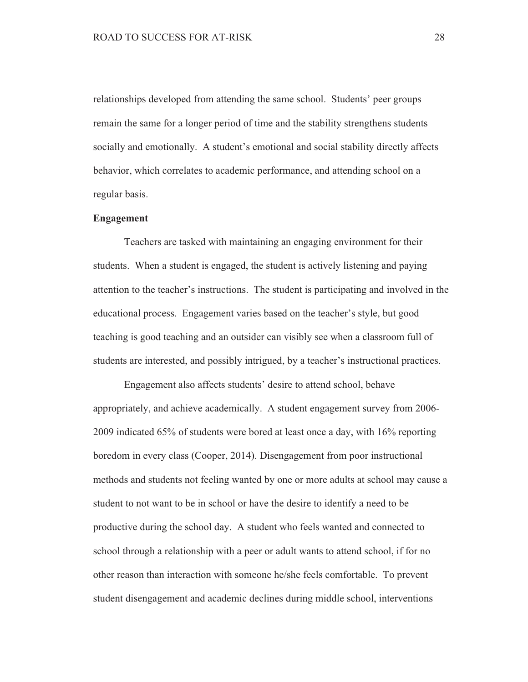relationships developed from attending the same school. Students' peer groups remain the same for a longer period of time and the stability strengthens students socially and emotionally. A student's emotional and social stability directly affects behavior, which correlates to academic performance, and attending school on a regular basis.

### **Engagement**

Teachers are tasked with maintaining an engaging environment for their students. When a student is engaged, the student is actively listening and paying attention to the teacher's instructions. The student is participating and involved in the educational process. Engagement varies based on the teacher's style, but good teaching is good teaching and an outsider can visibly see when a classroom full of students are interested, and possibly intrigued, by a teacher's instructional practices.

Engagement also affects students' desire to attend school, behave appropriately, and achieve academically. A student engagement survey from 2006-2009 indicated 65% of students were bored at least once a day, with 16% reporting boredom in every class (Cooper, 2014). Disengagement from poor instructional methods and students not feeling wanted by one or more adults at school may cause a student to not want to be in school or have the desire to identify a need to be productive during the school day. A student who feels wanted and connected to school through a relationship with a peer or adult wants to attend school, if for no other reason than interaction with someone he/she feels comfortable. To prevent student disengagement and academic declines during middle school, interventions

28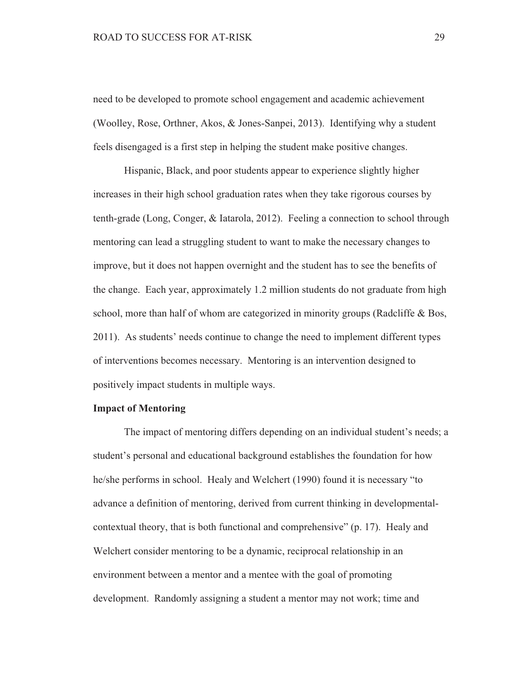need to be developed to promote school engagement and academic achievement (Woolley, Rose, Orthner, Akos, & Jones-Sanpei, 2013). Identifying why a student feels disengaged is a first step in helping the student make positive changes.

Hispanic, Black, and poor students appear to experience slightly higher increases in their high school graduation rates when they take rigorous courses by tenth-grade (Long, Conger, & Iatarola, 2012). Feeling a connection to school through mentoring can lead a struggling student to want to make the necessary changes to improve, but it does not happen overnight and the student has to see the benefits of the change. Each year, approximately 1.2 million students do not graduate from high school, more than half of whom are categorized in minority groups (Radcliffe  $\&$  Bos, 2011). As students' needs continue to change the need to implement different types of interventions becomes necessary. Mentoring is an intervention designed to positively impact students in multiple ways.

### **Impact of Mentoring**

The impact of mentoring differs depending on an individual student's needs; a student's personal and educational background establishes the foundation for how he/she performs in school. Healy and Welchert (1990) found it is necessary "to advance a definition of mentoring, derived from current thinking in developmentalcontextual theory, that is both functional and comprehensive" (p. 17). Healy and Welchert consider mentoring to be a dynamic, reciprocal relationship in an environment between a mentor and a mentee with the goal of promoting development. Randomly assigning a student a mentor may not work; time and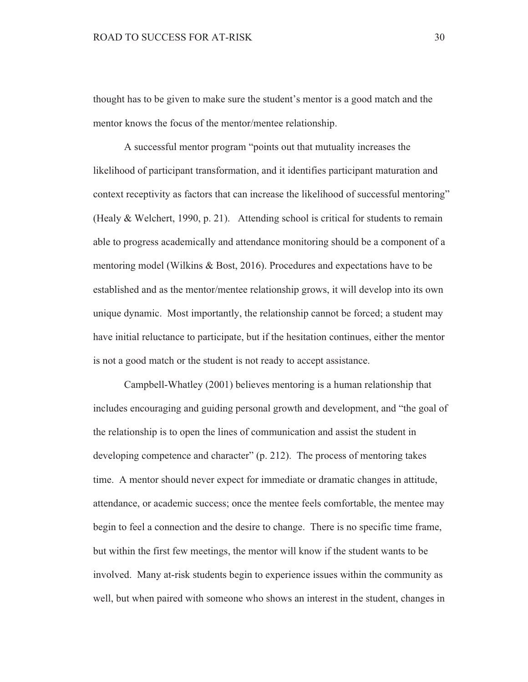thought has to be given to make sure the student's mentor is a good match and the mentor knows the focus of the mentor/mentee relationship.

A successful mentor program "points out that mutuality increases the likelihood of participant transformation, and it identifies participant maturation and context receptivity as factors that can increase the likelihood of successful mentoring" (Healy & Welchert, 1990, p. 21). Attending school is critical for students to remain able to progress academically and attendance monitoring should be a component of a mentoring model (Wilkins & Bost, 2016). Procedures and expectations have to be established and as the mentor/mentee relationship grows, it will develop into its own unique dynamic. Most importantly, the relationship cannot be forced; a student may have initial reluctance to participate, but if the hesitation continues, either the mentor is not a good match or the student is not ready to accept assistance.

Campbell-Whatley (2001) believes mentoring is a human relationship that includes encouraging and guiding personal growth and development, and "the goal of the relationship is to open the lines of communication and assist the student in developing competence and character" (p. 212). The process of mentoring takes time. A mentor should never expect for immediate or dramatic changes in attitude. attendance, or academic success; once the mentee feels comfortable, the mentee may begin to feel a connection and the desire to change. There is no specific time frame, but within the first few meetings, the mentor will know if the student wants to be involved. Many at-risk students begin to experience issues within the community as well, but when paired with someone who shows an interest in the student, changes in

30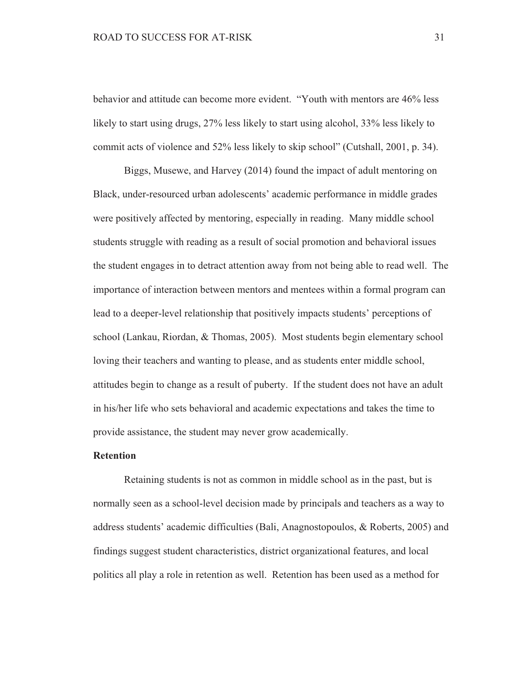behavior and attitude can become more evident. "Youth with mentors are 46% less likely to start using drugs, 27% less likely to start using alcohol, 33% less likely to commit acts of violence and 52% less likely to skip school" (Cutshall, 2001, p. 34).

Biggs, Musewe, and Harvey (2014) found the impact of adult mentoring on Black, under-resourced urban adolescents' academic performance in middle grades were positively affected by mentoring, especially in reading. Many middle school students struggle with reading as a result of social promotion and behavioral issues the student engages in to detract attention away from not being able to read well. The importance of interaction between mentors and mentees within a formal program can lead to a deeper-level relationship that positively impacts students' perceptions of school (Lankau, Riordan, & Thomas, 2005). Most students begin elementary school loving their teachers and wanting to please, and as students enter middle school. attitudes begin to change as a result of puberty. If the student does not have an adult in his/her life who sets behavioral and academic expectations and takes the time to provide assistance, the student may never grow academically.

### **Retention**

Retaining students is not as common in middle school as in the past, but is normally seen as a school-level decision made by principals and teachers as a way to address students' academic difficulties (Bali, Anagnostopoulos, & Roberts, 2005) and findings suggest student characteristics, district organizational features, and local politics all play a role in retention as well. Retention has been used as a method for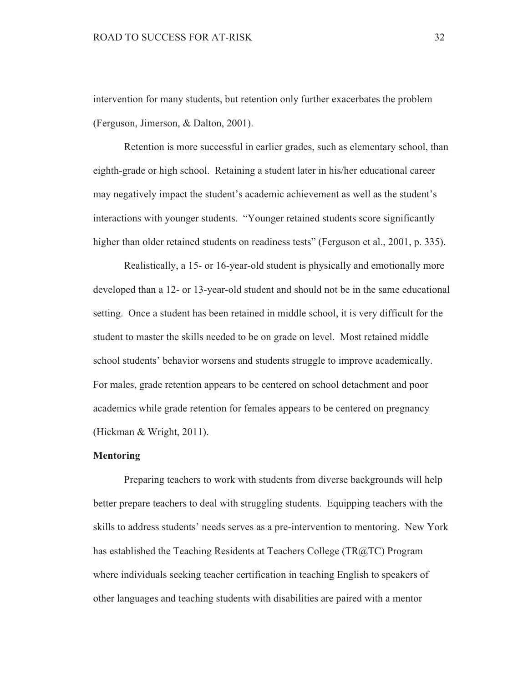intervention for many students, but retention only further exacerbates the problem (Ferguson, Jimerson, & Dalton, 2001).

Retention is more successful in earlier grades, such as elementary school, than eighth-grade or high school. Retaining a student later in his/her educational career may negatively impact the student's academic achievement as well as the student's interactions with younger students. "Younger retained students score significantly higher than older retained students on readiness tests" (Ferguson et al., 2001, p. 335).

Realistically, a 15- or 16-year-old student is physically and emotionally more developed than a 12- or 13-year-old student and should not be in the same educational setting. Once a student has been retained in middle school, it is very difficult for the student to master the skills needed to be on grade on level. Most retained middle school students' behavior worsens and students struggle to improve academically. For males, grade retention appears to be centered on school detachment and poor academics while grade retention for females appears to be centered on pregnancy (Hickman & Wright, 2011).

# **Mentoring**

Preparing teachers to work with students from diverse backgrounds will help better prepare teachers to deal with struggling students. Equipping teachers with the skills to address students' needs serves as a pre-intervention to mentoring. New York has established the Teaching Residents at Teachers College (TR@TC) Program where individuals seeking teacher certification in teaching English to speakers of other languages and teaching students with disabilities are paired with a mentor

32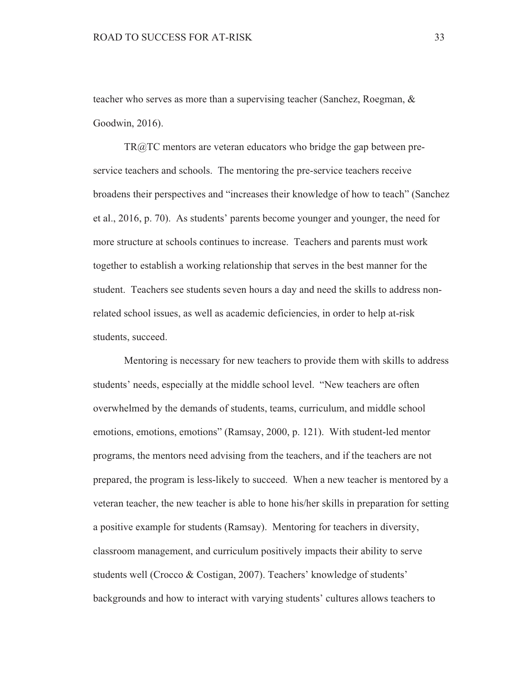teacher who serves as more than a supervising teacher (Sanchez, Roegman, & Goodwin, 2016).

 $TR@TC$  mentors are veteran educators who bridge the gap between preservice teachers and schools. The mentoring the pre-service teachers receive broadens their perspectives and "increases their knowledge of how to teach" (Sanchez et al., 2016, p. 70). As students' parents become younger and younger, the need for more structure at schools continues to increase. Teachers and parents must work together to establish a working relationship that serves in the best manner for the student. Teachers see students seven hours a day and need the skills to address nonrelated school issues, as well as academic deficiencies, in order to help at-risk students, succeed.

Mentoring is necessary for new teachers to provide them with skills to address students' needs, especially at the middle school level. "New teachers are often overwhelmed by the demands of students, teams, curriculum, and middle school emotions, emotions, emotions" (Ramsay, 2000, p. 121). With student-led mentor programs, the mentors need advising from the teachers, and if the teachers are not prepared, the program is less-likely to succeed. When a new teacher is mentored by a veteran teacher, the new teacher is able to hone his/her skills in preparation for setting a positive example for students (Ramsay). Mentoring for teachers in diversity, classroom management, and curriculum positively impacts their ability to serve students well (Crocco & Costigan, 2007). Teachers' knowledge of students' backgrounds and how to interact with varying students' cultures allows teachers to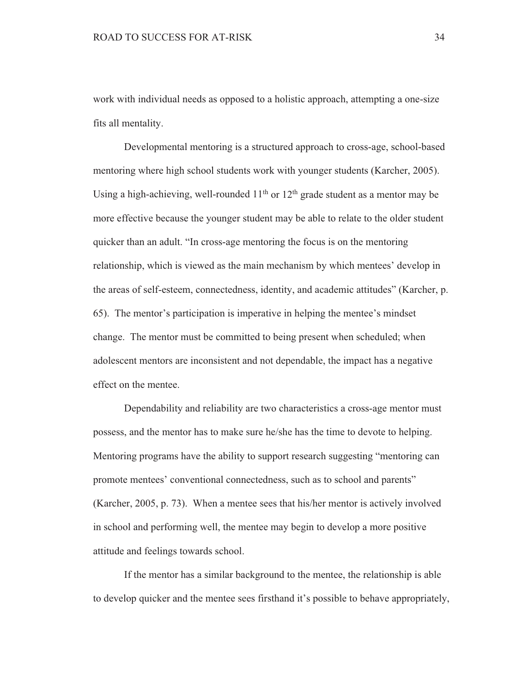work with individual needs as opposed to a holistic approach, attempting a one-size fits all mentality.

Developmental mentoring is a structured approach to cross-age, school-based mentoring where high school students work with younger students (Karcher, 2005). Using a high-achieving, well-rounded  $11<sup>th</sup>$  or  $12<sup>th</sup>$  grade student as a mentor may be more effective because the younger student may be able to relate to the older student quicker than an adult. "In cross-age mentoring the focus is on the mentoring relationship, which is viewed as the main mechanism by which mentees' develop in the areas of self-esteem, connectedness, identity, and academic attitudes" (Karcher, p. 65). The mentor's participation is imperative in helping the mentee's mindset change. The mentor must be committed to being present when scheduled; when adolescent mentors are inconsistent and not dependable, the impact has a negative effect on the mentee.

Dependability and reliability are two characteristics a cross-age mentor must possess, and the mentor has to make sure he/she has the time to devote to helping. Mentoring programs have the ability to support research suggesting "mentoring can promote mentees' conventional connectedness, such as to school and parents" (Karcher, 2005, p. 73). When a mentee sees that his/her mentor is actively involved in school and performing well, the mentee may begin to develop a more positive attitude and feelings towards school.

If the mentor has a similar background to the mentee, the relationship is able to develop quicker and the mentee sees firsthand it's possible to behave appropriately,

34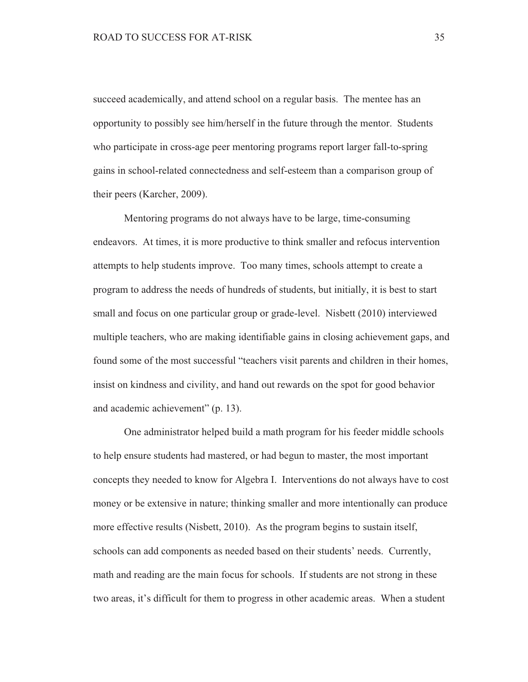succeed academically, and attend school on a regular basis. The mentee has an opportunity to possibly see him/herself in the future through the mentor. Students who participate in cross-age peer mentoring programs report larger fall-to-spring gains in school-related connectedness and self-esteem than a comparison group of their peers (Karcher, 2009).

Mentoring programs do not always have to be large, time-consuming endeavors. At times, it is more productive to think smaller and refocus intervention attempts to help students improve. Too many times, schools attempt to create a program to address the needs of hundreds of students, but initially, it is best to start small and focus on one particular group or grade-level. Nisbett (2010) interviewed multiple teachers, who are making identifiable gains in closing achievement gaps, and found some of the most successful "teachers visit parents and children in their homes, insist on kindness and civility, and hand out rewards on the spot for good behavior and academic achievement" (p. 13).

One administrator helped build a math program for his feeder middle schools to help ensure students had mastered, or had begun to master, the most important concepts they needed to know for Algebra I. Interventions do not always have to cost money or be extensive in nature; thinking smaller and more intentionally can produce more effective results (Nisbett, 2010). As the program begins to sustain itself, schools can add components as needed based on their students' needs. Currently, math and reading are the main focus for schools. If students are not strong in these two areas, it's difficult for them to progress in other academic areas. When a student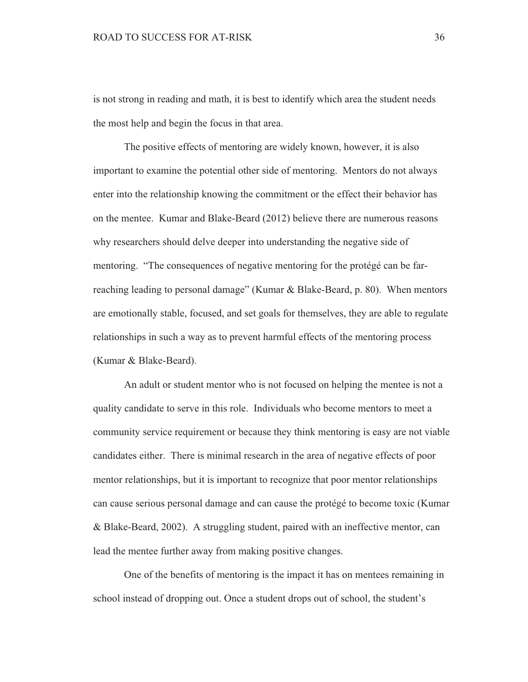is not strong in reading and math, it is best to identify which area the student needs the most help and begin the focus in that area.

The positive effects of mentoring are widely known, however, it is also important to examine the potential other side of mentoring. Mentors do not always enter into the relationship knowing the commitment or the effect their behavior has on the mentee. Kumar and Blake-Beard (2012) believe there are numerous reasons why researchers should delve deeper into understanding the negative side of mentoring. "The consequences of negative mentoring for the protégé can be farreaching leading to personal damage" (Kumar & Blake-Beard, p. 80). When mentors are emotionally stable, focused, and set goals for themselves, they are able to regulate relationships in such a way as to prevent harmful effects of the mentoring process (Kumar & Blake-Beard).

An adult or student mentor who is not focused on helping the mentee is not a quality candidate to serve in this role. Individuals who become mentors to meet a community service requirement or because they think mentoring is easy are not viable candidates either. There is minimal research in the area of negative effects of poor mentor relationships, but it is important to recognize that poor mentor relationships can cause serious personal damage and can cause the protégé to become toxic (Kumar & Blake-Beard, 2002). A struggling student, paired with an ineffective mentor, can lead the mentee further away from making positive changes.

One of the benefits of mentoring is the impact it has on mentees remaining in school instead of dropping out. Once a student drops out of school, the student's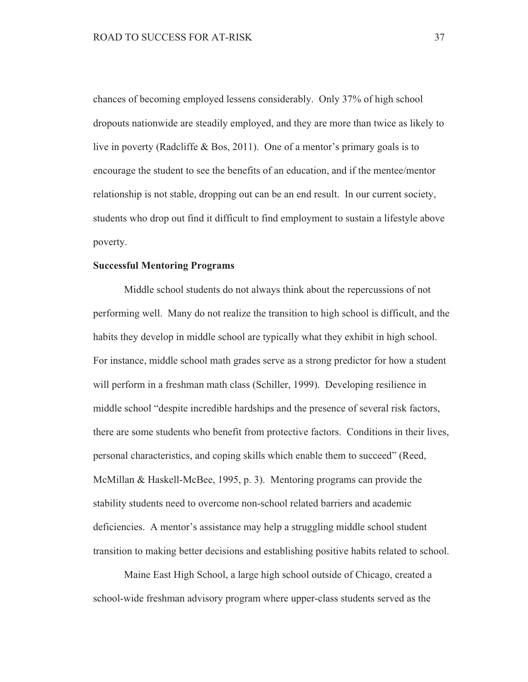chances of becoming employed lessens considerably. Only 37% of high school dropouts nationwide are steadily employed, and they are more than twice as likely to live in poverty (Radcliffe & Bos, 2011). One of a mentor's primary goals is to encourage the student to see the benefits of an education, and if the mentee/mentor relationship is not stable, dropping out can be an end result. In our current society, students who drop out find it difficult to find employment to sustain a lifestyle above poverty.

#### **Successful Mentoring Programs**

Middle school students do not always think about the repercussions of not performing well. Many do not realize the transition to high school is difficult, and the habits they develop in middle school are typically what they exhibit in high school. For instance, middle school math grades serve as a strong predictor for how a student will perform in a freshman math class (Schiller, 1999). Developing resilience in middle school "despite incredible hardships and the presence of several risk factors, there are some students who benefit from protective factors. Conditions in their lives, personal characteristics, and coping skills which enable them to succeed" (Reed, McMillan & Haskell-McBee, 1995, p. 3). Mentoring programs can provide the stability students need to overcome non-school related barriers and academic deficiencies. A mentor's assistance may help a struggling middle school student transition to making better decisions and establishing positive habits related to school.

Maine East High School, a large high school outside of Chicago, created a school-wide freshman advisory program where upper-class students served as the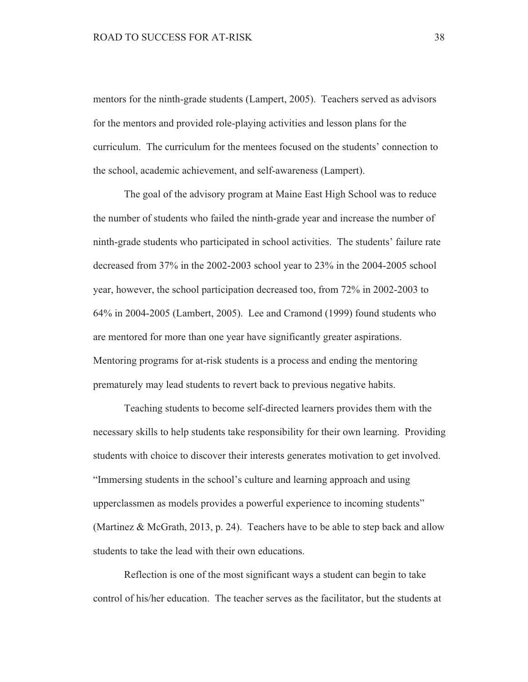mentors for the ninth-grade students (Lampert, 2005). Teachers served as advisors for the mentors and provided role-playing activities and lesson plans for the curriculum. The curriculum for the mentees focused on the students' connection to the school, academic achievement, and self-awareness (Lampert).

The goal of the advisory program at Maine East High School was to reduce the number of students who failed the ninth-grade year and increase the number of ninth-grade students who participated in school activities. The students' failure rate decreased from 37% in the 2002-2003 school year to 23% in the 2004-2005 school year, however, the school participation decreased too, from 72% in 2002-2003 to 64% in 2004-2005 (Lambert, 2005). Lee and Cramond (1999) found students who are mentored for more than one year have significantly greater aspirations. Mentoring programs for at-risk students is a process and ending the mentoring prematurely may lead students to revert back to previous negative habits.

Teaching students to become self-directed learners provides them with the necessary skills to help students take responsibility for their own learning. Providing students with choice to discover their interests generates motivation to get involved. "Immersing students in the school's culture and learning approach and using upperclassmen as models provides a powerful experience to incoming students" (Martinez & McGrath, 2013, p. 24). Teachers have to be able to step back and allow students to take the lead with their own educations.

Reflection is one of the most significant ways a student can begin to take control of his/her education. The teacher serves as the facilitator, but the students at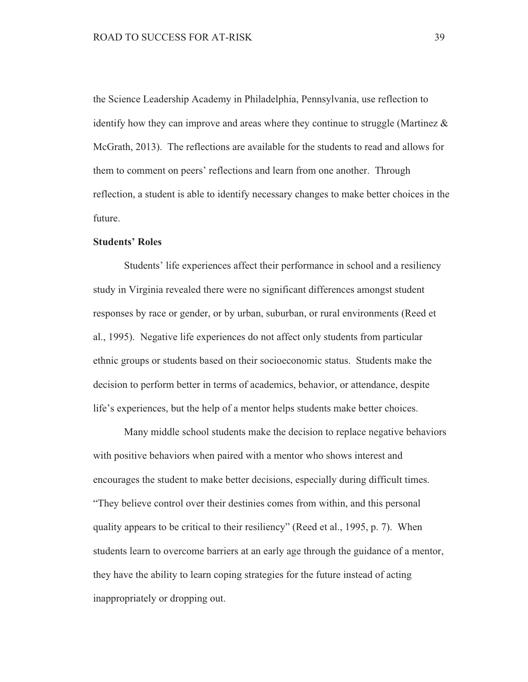the Science Leadership Academy in Philadelphia, Pennsylvania, use reflection to identify how they can improve and areas where they continue to struggle (Martinez  $\&$ McGrath, 2013). The reflections are available for the students to read and allows for them to comment on peers' reflections and learn from one another. Through reflection, a student is able to identify necessary changes to make better choices in the future.

## **Students' Roles**

Students' life experiences affect their performance in school and a resiliency study in Virginia revealed there were no significant differences amongst student responses by race or gender, or by urban, suburban, or rural environments (Reed et al., 1995). Negative life experiences do not affect only students from particular ethnic groups or students based on their socioeconomic status. Students make the decision to perform better in terms of academics, behavior, or attendance, despite life's experiences, but the help of a mentor helps students make better choices.

Many middle school students make the decision to replace negative behaviors with positive behaviors when paired with a mentor who shows interest and encourages the student to make better decisions, especially during difficult times. "They believe control over their destinies comes from within, and this personal quality appears to be critical to their resiliency" (Reed et al., 1995, p. 7). When students learn to overcome barriers at an early age through the guidance of a mentor, they have the ability to learn coping strategies for the future instead of acting inappropriately or dropping out.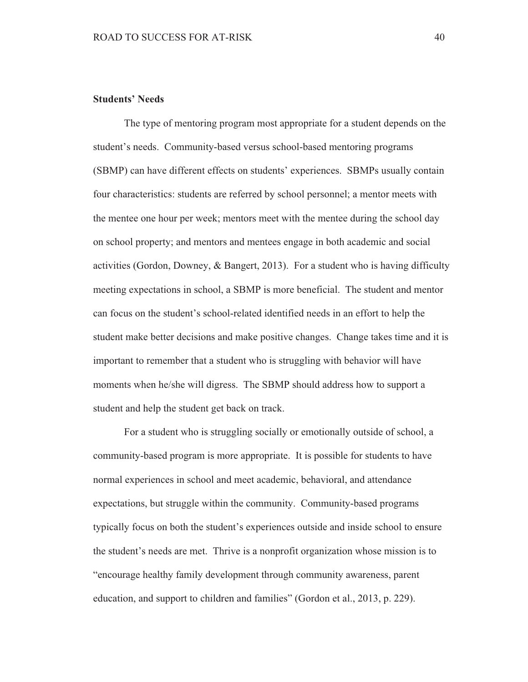# **Students' Needs**

The type of mentoring program most appropriate for a student depends on the student's needs. Community-based versus school-based mentoring programs (SBMP) can have different effects on students' experiences. SBMPs usually contain four characteristics: students are referred by school personnel; a mentor meets with the mentee one hour per week; mentors meet with the mentee during the school day on school property; and mentors and mentees engage in both academic and social activities (Gordon, Downey,  $\&$  Bangert, 2013). For a student who is having difficulty meeting expectations in school, a SBMP is more beneficial. The student and mentor can focus on the student's school-related identified needs in an effort to help the student make better decisions and make positive changes. Change takes time and it is important to remember that a student who is struggling with behavior will have moments when he/she will digress. The SBMP should address how to support a student and help the student get back on track.

For a student who is struggling socially or emotionally outside of school, a community-based program is more appropriate. It is possible for students to have normal experiences in school and meet academic, behavioral, and attendance expectations, but struggle within the community. Community-based programs typically focus on both the student's experiences outside and inside school to ensure the student's needs are met. Thrive is a nonprofit organization whose mission is to "encourage healthy family development through community awareness, parent education, and support to children and families" (Gordon et al., 2013, p. 229).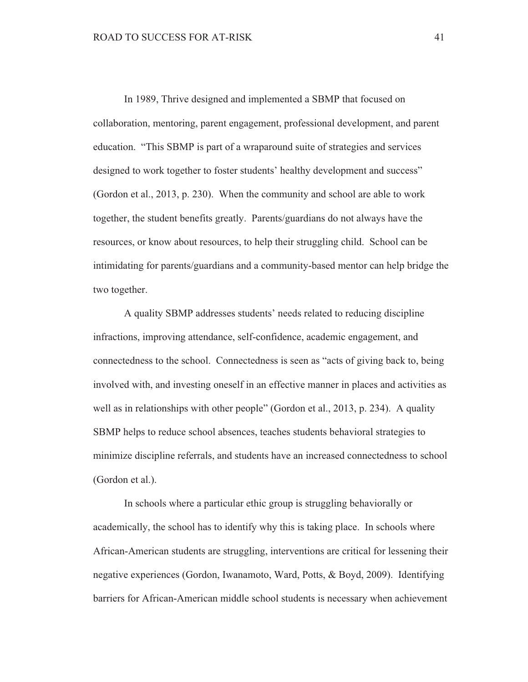In 1989, Thrive designed and implemented a SBMP that focused on collaboration, mentoring, parent engagement, professional development, and parent education. "This SBMP is part of a wraparound suite of strategies and services designed to work together to foster students' healthy development and success" (Gordon et al., 2013, p. 230). When the community and school are able to work together, the student benefits greatly. Parents/guardians do not always have the resources, or know about resources, to help their struggling child. School can be intimidating for parents/guardians and a community-based mentor can help bridge the two together.

A quality SBMP addresses students' needs related to reducing discipline infractions, improving attendance, self-confidence, academic engagement, and connectedness to the school. Connectedness is seen as "acts of giving back to, being involved with, and investing oneself in an effective manner in places and activities as well as in relationships with other people" (Gordon et al., 2013, p. 234). A quality SBMP helps to reduce school absences, teaches students behavioral strategies to minimize discipline referrals, and students have an increased connectedness to school (Gordon et al.).

In schools where a particular ethic group is struggling behaviorally or academically, the school has to identify why this is taking place. In schools where African-American students are struggling, interventions are critical for lessening their negative experiences (Gordon, Iwanamoto, Ward, Potts, & Boyd, 2009). Identifying barriers for African-American middle school students is necessary when achievement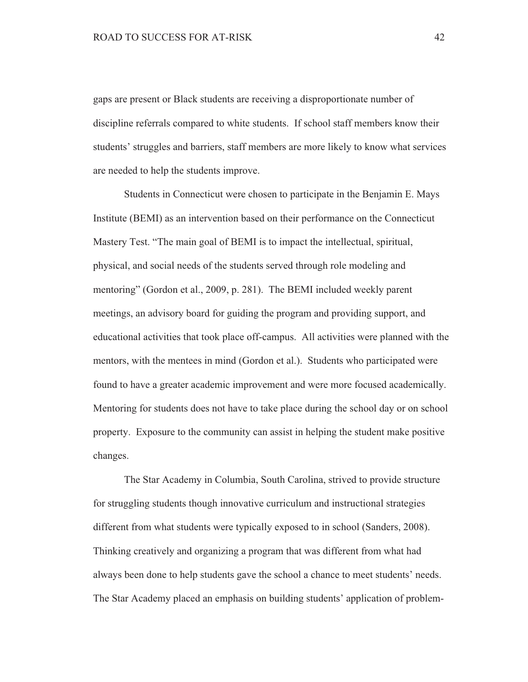gaps are present or Black students are receiving a disproportionate number of discipline referrals compared to white students. If school staff members know their students' struggles and barriers, staff members are more likely to know what services are needed to help the students improve.

Students in Connecticut were chosen to participate in the Benjamin E. Mays Institute (BEMI) as an intervention based on their performance on the Connecticut Mastery Test. "The main goal of BEMI is to impact the intellectual, spiritual, physical, and social needs of the students served through role modeling and mentoring" (Gordon et al., 2009, p. 281). The BEMI included weekly parent meetings, an advisory board for guiding the program and providing support, and educational activities that took place off-campus. All activities were planned with the mentors, with the mentees in mind (Gordon et al.). Students who participated were found to have a greater academic improvement and were more focused academically. Mentoring for students does not have to take place during the school day or on school property. Exposure to the community can assist in helping the student make positive changes.

The Star Academy in Columbia, South Carolina, strived to provide structure for struggling students though innovative curriculum and instructional strategies different from what students were typically exposed to in school (Sanders, 2008). Thinking creatively and organizing a program that was different from what had always been done to help students gave the school a chance to meet students' needs. The Star Academy placed an emphasis on building students' application of problem-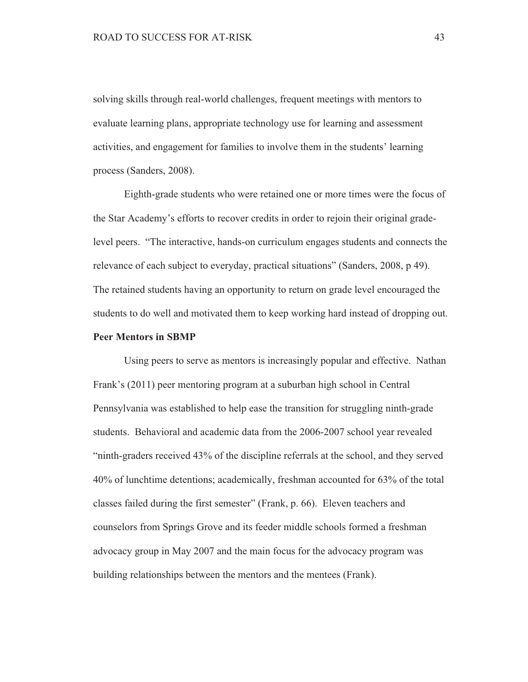solving skills through real-world challenges, frequent meetings with mentors to evaluate learning plans, appropriate technology use for learning and assessment activities, and engagement for families to involve them in the students' learning process (Sanders, 2008).

Eighth-grade students who were retained one or more times were the focus of the Star Academy's efforts to recover credits in order to rejoin their original gradelevel peers. "The interactive, hands-on curriculum engages students and connects the relevance of each subject to everyday, practical situations" (Sanders, 2008, p 49). The retained students having an opportunity to return on grade level encouraged the students to do well and motivated them to keep working hard instead of dropping out.

#### **Peer Mentors in SBMP**

Using peers to serve as mentors is increasingly popular and effective. Nathan Frank's (2011) peer mentoring program at a suburban high school in Central Pennsylvania was established to help ease the transition for struggling ninth-grade students. Behavioral and academic data from the 2006-2007 school year revealed "ninth-graders received 43% of the discipline referrals at the school, and they served 40% of lunchtime detentions; academically, freshman accounted for 63% of the total classes failed during the first semester" (Frank, p. 66). Eleven teachers and counselors from Springs Grove and its feeder middle schools formed a freshman advocacy group in May 2007 and the main focus for the advocacy program was building relationships between the mentors and the mentees (Frank).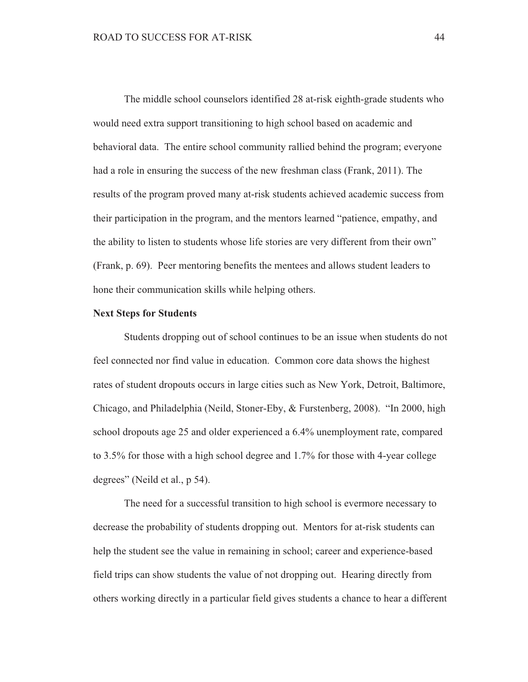The middle school counselors identified 28 at-risk eighth-grade students who would need extra support transitioning to high school based on academic and behavioral data. The entire school community rallied behind the program; everyone had a role in ensuring the success of the new freshman class (Frank, 2011). The results of the program proved many at-risk students achieved academic success from their participation in the program, and the mentors learned "patience, empathy, and the ability to listen to students whose life stories are very different from their own" (Frank, p. 69). Peer mentoring benefits the mentees and allows student leaders to hone their communication skills while helping others.

#### **Next Steps for Students**

Students dropping out of school continues to be an issue when students do not feel connected nor find value in education. Common core data shows the highest rates of student dropouts occurs in large cities such as New York, Detroit, Baltimore, Chicago, and Philadelphia (Neild, Stoner-Eby, & Furstenberg, 2008). "In 2000, high school dropouts age 25 and older experienced a 6.4% unemployment rate, compared to 3.5% for those with a high school degree and 1.7% for those with 4-year college degrees" (Neild et al., p 54).

The need for a successful transition to high school is evermore necessary to decrease the probability of students dropping out. Mentors for at-risk students can help the student see the value in remaining in school; career and experience-based field trips can show students the value of not dropping out. Hearing directly from others working directly in a particular field gives students a chance to hear a different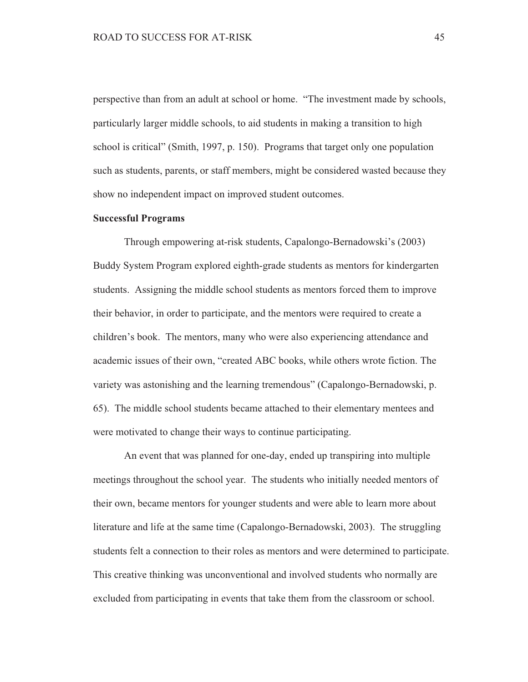perspective than from an adult at school or home. "The investment made by schools, particularly larger middle schools, to aid students in making a transition to high school is critical" (Smith, 1997, p. 150). Programs that target only one population such as students, parents, or staff members, might be considered wasted because they show no independent impact on improved student outcomes.

#### **Successful Programs**

Through empowering at-risk students, Capalongo-Bernadowski's (2003) Buddy System Program explored eighth-grade students as mentors for kindergarten students. Assigning the middle school students as mentors forced them to improve their behavior, in order to participate, and the mentors were required to create a children's book. The mentors, many who were also experiencing attendance and academic issues of their own, "created ABC books, while others wrote fiction. The variety was astonishing and the learning tremendous" (Capalongo-Bernadowski, p. 65). The middle school students became attached to their elementary mentees and were motivated to change their ways to continue participating.

An event that was planned for one-day, ended up transpiring into multiple meetings throughout the school year. The students who initially needed mentors of their own, became mentors for younger students and were able to learn more about literature and life at the same time (Capalongo-Bernadowski, 2003). The struggling students felt a connection to their roles as mentors and were determined to participate. This creative thinking was unconventional and involved students who normally are excluded from participating in events that take them from the classroom or school.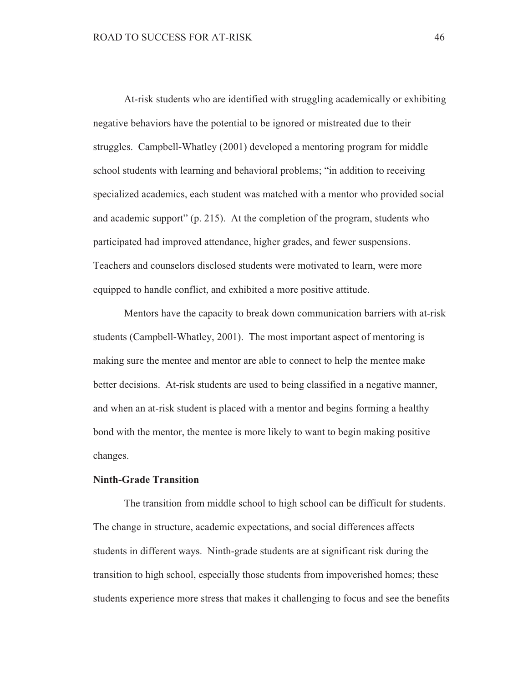At-risk students who are identified with struggling academically or exhibiting negative behaviors have the potential to be ignored or mistreated due to their struggles. Campbell-Whatley (2001) developed a mentoring program for middle school students with learning and behavioral problems; "in addition to receiving specialized academics, each student was matched with a mentor who provided social and academic support"  $(p, 215)$ . At the completion of the program, students who participated had improved attendance, higher grades, and fewer suspensions. Teachers and counselors disclosed students were motivated to learn, were more equipped to handle conflict, and exhibited a more positive attitude.

Mentors have the capacity to break down communication barriers with at-risk students (Campbell-Whatley, 2001). The most important aspect of mentoring is making sure the mentee and mentor are able to connect to help the mentee make better decisions. At-risk students are used to being classified in a negative manner, and when an at-risk student is placed with a mentor and begins forming a healthy bond with the mentor, the mentee is more likely to want to begin making positive changes.

# **Ninth-Grade Transition**

The transition from middle school to high school can be difficult for students. The change in structure, academic expectations, and social differences affects students in different ways. Ninth-grade students are at significant risk during the transition to high school, especially those students from impoverished homes; these students experience more stress that makes it challenging to focus and see the benefits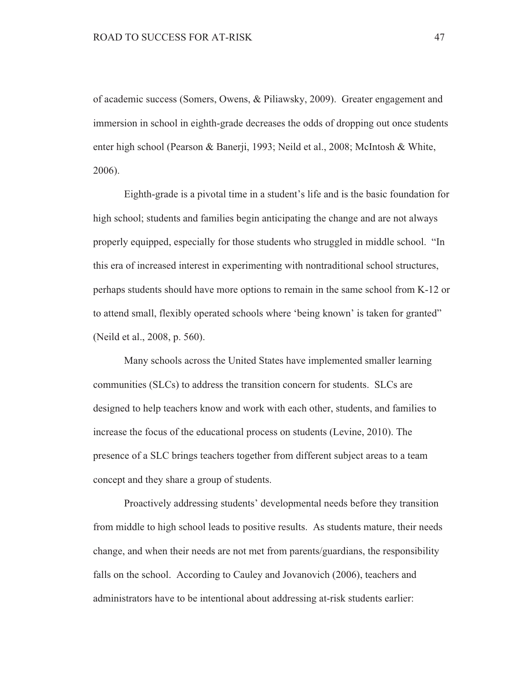of academic success (Somers, Owens, & Piliawsky, 2009). Greater engagement and immersion in school in eighth-grade decreases the odds of dropping out once students enter high school (Pearson & Banerji, 1993; Neild et al., 2008; McIntosh & White, 2006).

Eighth-grade is a pivotal time in a student's life and is the basic foundation for high school; students and families begin anticipating the change and are not always properly equipped, especially for those students who struggled in middle school. "In this era of increased interest in experimenting with nontraditional school structures, perhaps students should have more options to remain in the same school from K-12 or to attend small, flexibly operated schools where 'being known' is taken for granted" (Neild et al., 2008, p. 560).

Many schools across the United States have implemented smaller learning communities (SLCs) to address the transition concern for students. SLCs are designed to help teachers know and work with each other, students, and families to increase the focus of the educational process on students (Levine, 2010). The presence of a SLC brings teachers together from different subject areas to a team concept and they share a group of students.

Proactively addressing students' developmental needs before they transition from middle to high school leads to positive results. As students mature, their needs change, and when their needs are not met from parents/guardians, the responsibility falls on the school. According to Cauley and Jovanovich (2006), teachers and administrators have to be intentional about addressing at-risk students earlier: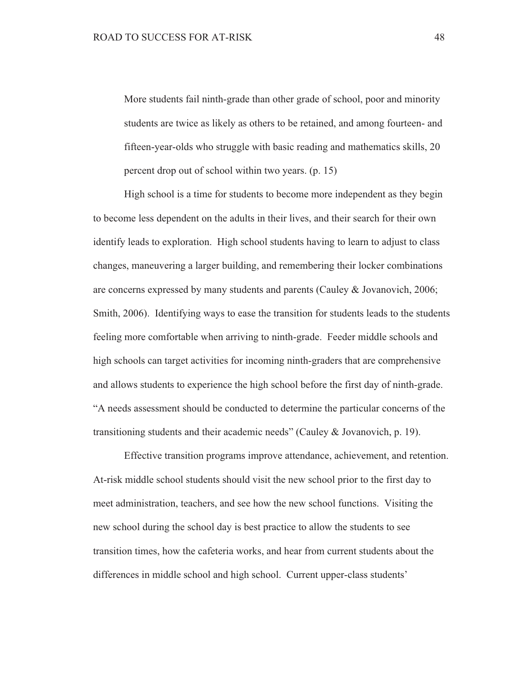More students fail ninth-grade than other grade of school, poor and minority students are twice as likely as others to be retained, and among fourteen- and fifteen-year-olds who struggle with basic reading and mathematics skills, 20 percent drop out of school within two years. (p. 15)

High school is a time for students to become more independent as they begin to become less dependent on the adults in their lives, and their search for their own identify leads to exploration. High school students having to learn to adjust to class changes, maneuvering a larger building, and remembering their locker combinations are concerns expressed by many students and parents (Cauley & Jovanovich, 2006; Smith, 2006). Identifying ways to ease the transition for students leads to the students feeling more comfortable when arriving to ninth-grade. Feeder middle schools and high schools can target activities for incoming ninth-graders that are comprehensive and allows students to experience the high school before the first day of ninth-grade. "A needs assessment should be conducted to determine the particular concerns of the transitioning students and their academic needs" (Cauley & Jovanovich, p. 19).

Effective transition programs improve attendance, achievement, and retention. At-risk middle school students should visit the new school prior to the first day to meet administration, teachers, and see how the new school functions. Visiting the new school during the school day is best practice to allow the students to see transition times, how the cafeteria works, and hear from current students about the differences in middle school and high school. Current upper-class students'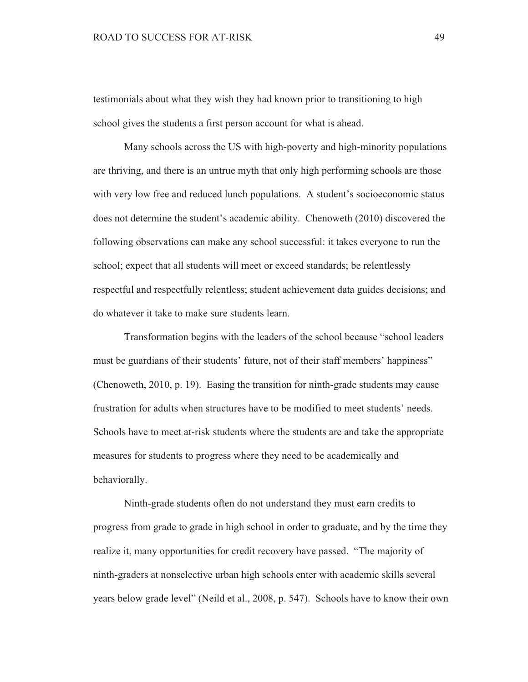testimonials about what they wish they had known prior to transitioning to high school gives the students a first person account for what is ahead.

Many schools across the US with high-poverty and high-minority populations are thriving, and there is an untrue myth that only high performing schools are those with very low free and reduced lunch populations. A student's socioeconomic status does not determine the student's academic ability. Chenoweth (2010) discovered the following observations can make any school successful: it takes everyone to run the school; expect that all students will meet or exceed standards; be relentlessly respectful and respectfully relentless; student achievement data guides decisions; and do whatever it take to make sure students learn.

Transformation begins with the leaders of the school because "school leaders" must be guardians of their students' future, not of their staff members' happiness'' (Chenoweth, 2010, p. 19). Easing the transition for ninth-grade students may cause frustration for adults when structures have to be modified to meet students' needs. Schools have to meet at-risk students where the students are and take the appropriate measures for students to progress where they need to be academically and behaviorally.

Ninth-grade students often do not understand they must earn credits to progress from grade to grade in high school in order to graduate, and by the time they realize it, many opportunities for credit recovery have passed. "The majority of ninth-graders at nonselective urban high schools enter with academic skills several years below grade level" (Neild et al., 2008, p. 547). Schools have to know their own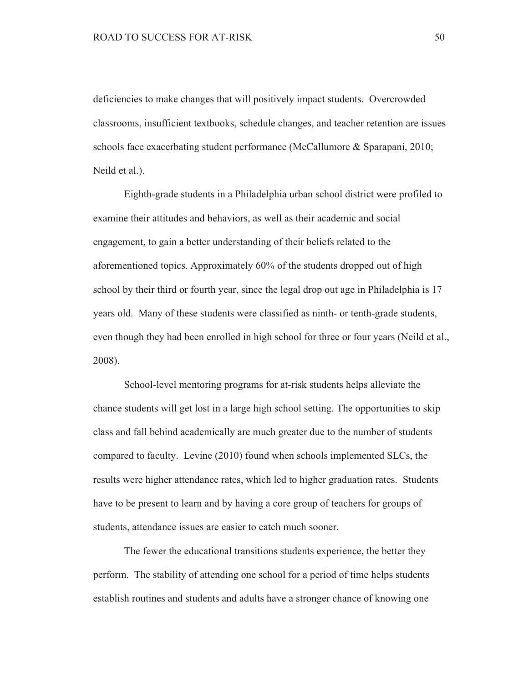deficiencies to make changes that will positively impact students. Overcrowded classrooms, insufficient textbooks, schedule changes, and teacher retention are issues schools face exacerbating student performance (McCallumore & Sparapani, 2010; Neild et al.).

Eighth-grade students in a Philadelphia urban school district were profiled to examine their attitudes and behaviors, as well as their academic and social engagement, to gain a better understanding of their beliefs related to the aforementioned topics. Approximately 60% of the students dropped out of high school by their third or fourth year, since the legal drop out age in Philadelphia is 17 years old. Many of these students were classified as ninth- or tenth-grade students, even though they had been enrolled in high school for three or four years (Neild et al., 2008).

School-level mentoring programs for at-risk students helps alleviate the chance students will get lost in a large high school setting. The opportunities to skip class and fall behind academically are much greater due to the number of students compared to faculty. Levine (2010) found when schools implemented SLCs, the results were higher attendance rates, which led to higher graduation rates. Students have to be present to learn and by having a core group of teachers for groups of students, attendance issues are easier to catch much sooner.

The fewer the educational transitions students experience, the better they perform. The stability of attending one school for a period of time helps students establish routines and students and adults have a stronger chance of knowing one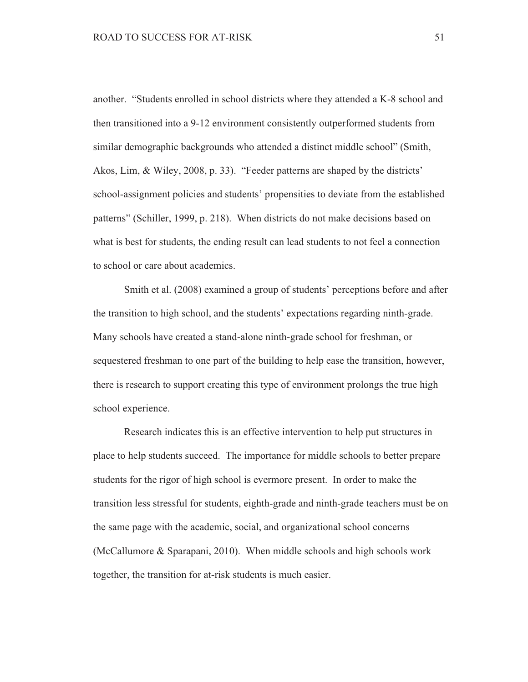another. "Students enrolled in school districts where they attended a K-8 school and then transitioned into a 9-12 environment consistently outperformed students from similar demographic backgrounds who attended a distinct middle school" (Smith, Akos, Lim, & Wiley, 2008, p. 33). "Feeder patterns are shaped by the districts' school-assignment policies and students' propensities to deviate from the established patterns" (Schiller, 1999, p. 218). When districts do not make decisions based on what is best for students, the ending result can lead students to not feel a connection to school or care about academics.

Smith et al. (2008) examined a group of students' perceptions before and after the transition to high school, and the students' expectations regarding ninth-grade. Many schools have created a stand-alone ninth-grade school for freshman, or sequestered freshman to one part of the building to help ease the transition, however, there is research to support creating this type of environment prolongs the true high school experience.

Research indicates this is an effective intervention to help put structures in place to help students succeed. The importance for middle schools to better prepare students for the rigor of high school is evermore present. In order to make the transition less stressful for students, eighth-grade and ninth-grade teachers must be on the same page with the academic, social, and organizational school concerns (McCallumore & Sparapani, 2010). When middle schools and high schools work together, the transition for at-risk students is much easier.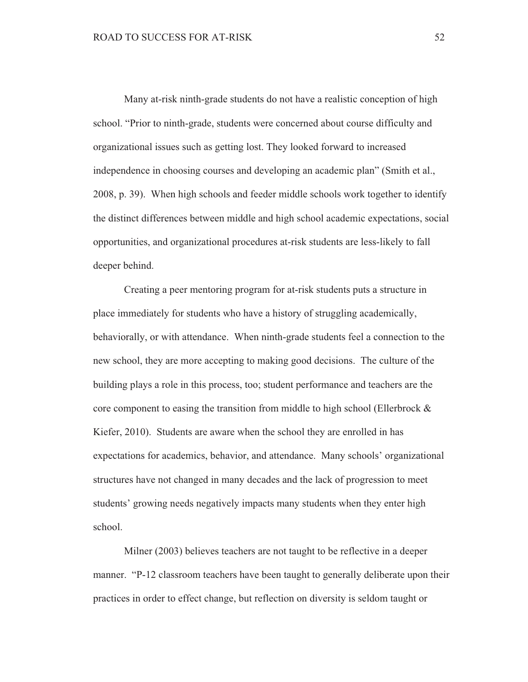Many at-risk ninth-grade students do not have a realistic conception of high school. "Prior to ninth-grade, students were concerned about course difficulty and organizational issues such as getting lost. They looked forward to increased independence in choosing courses and developing an academic plan" (Smith et al., 2008, p. 39). When high schools and feeder middle schools work together to identify the distinct differences between middle and high school academic expectations, social opportunities, and organizational procedures at-risk students are less-likely to fall deeper behind.

Creating a peer mentoring program for at-risk students puts a structure in place immediately for students who have a history of struggling academically, behaviorally, or with attendance. When ninth-grade students feel a connection to the new school, they are more accepting to making good decisions. The culture of the building plays a role in this process, too; student performance and teachers are the core component to easing the transition from middle to high school (Ellerbrock  $\&$ Kiefer, 2010). Students are aware when the school they are enrolled in has expectations for academics, behavior, and attendance. Many schools' organizational structures have not changed in many decades and the lack of progression to meet students' growing needs negatively impacts many students when they enter high school.

Milner (2003) believes teachers are not taught to be reflective in a deeper manner. "P-12 classroom teachers have been taught to generally deliberate upon their practices in order to effect change, but reflection on diversity is seldom taught or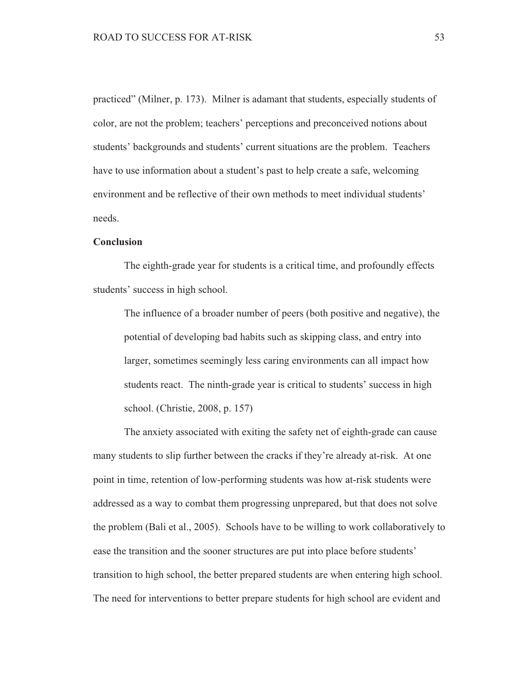practiced" (Milner, p. 173). Milner is adamant that students, especially students of color, are not the problem; teachers' perceptions and preconceived notions about students' backgrounds and students' current situations are the problem. Teachers have to use information about a student's past to help create a safe, welcoming environment and be reflective of their own methods to meet individual students' needs.

## Conclusion

The eighth-grade year for students is a critical time, and profoundly effects students' success in high school.

The influence of a broader number of peers (both positive and negative), the potential of developing bad habits such as skipping class, and entry into larger, sometimes seemingly less caring environments can all impact how students react. The ninth-grade year is critical to students' success in high school. (Christie, 2008, p. 157)

The anxiety associated with exiting the safety net of eighth-grade can cause many students to slip further between the cracks if they're already at-risk. At one point in time, retention of low-performing students was how at-risk students were addressed as a way to combat them progressing unprepared, but that does not solve the problem (Bali et al., 2005). Schools have to be willing to work collaboratively to ease the transition and the sooner structures are put into place before students' transition to high school, the better prepared students are when entering high school. The need for interventions to better prepare students for high school are evident and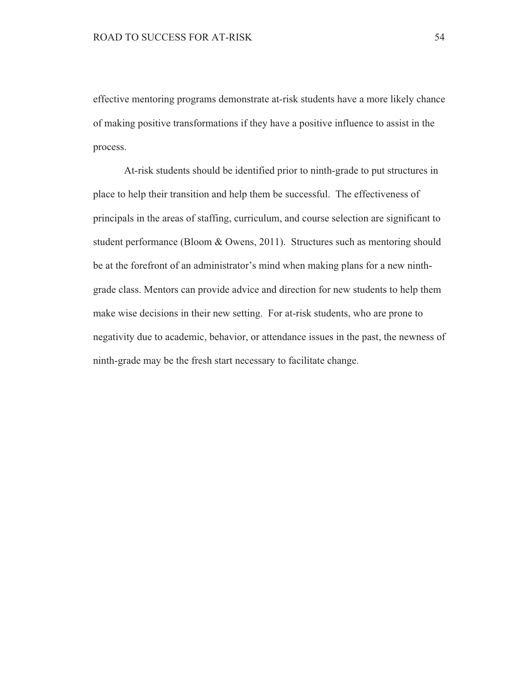effective mentoring programs demonstrate at-risk students have a more likely chance of making positive transformations if they have a positive influence to assist in the process.

At-risk students should be identified prior to ninth-grade to put structures in place to help their transition and help them be successful. The effectiveness of principals in the areas of staffing, curriculum, and course selection are significant to student performance (Bloom & Owens, 2011). Structures such as mentoring should be at the forefront of an administrator's mind when making plans for a new ninthgrade class. Mentors can provide advice and direction for new students to help them make wise decisions in their new setting. For at-risk students, who are prone to negativity due to academic, behavior, or attendance issues in the past, the newness of ninth-grade may be the fresh start necessary to facilitate change.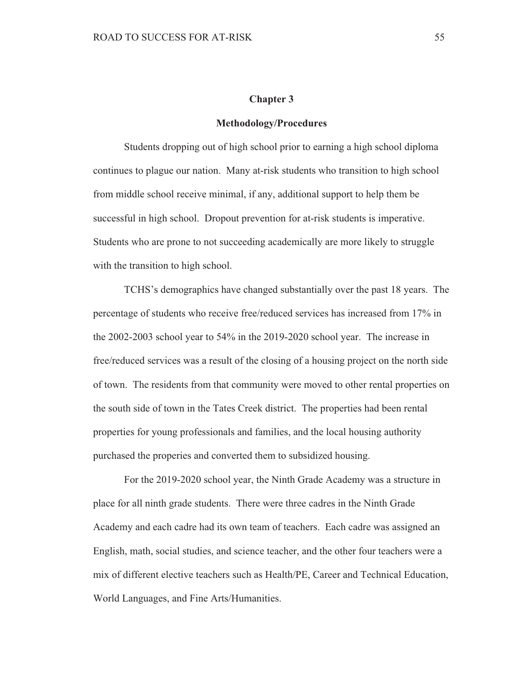#### **Chapter 3**

#### **Methodology/Procedures**

Students dropping out of high school prior to earning a high school diploma continues to plague our nation. Many at-risk students who transition to high school from middle school receive minimal, if any, additional support to help them be successful in high school. Dropout prevention for at-risk students is imperative. Students who are prone to not succeeding academically are more likely to struggle with the transition to high school.

TCHS's demographics have changed substantially over the past 18 years. The percentage of students who receive free/reduced services has increased from 17% in the 2002-2003 school year to 54% in the 2019-2020 school year. The increase in free/reduced services was a result of the closing of a housing project on the north side of town. The residents from that community were moved to other rental properties on the south side of town in the Tates Creek district. The properties had been rental properties for young professionals and families, and the local housing authority purchased the properies and converted them to subsidized housing.

For the 2019-2020 school year, the Ninth Grade Academy was a structure in place for all ninth grade students. There were three cadres in the Ninth Grade Academy and each cadre had its own team of teachers. Each cadre was assigned an English, math, social studies, and science teacher, and the other four teachers were a mix of different elective teachers such as Health/PE, Career and Technical Education, World Languages, and Fine Arts/Humanities.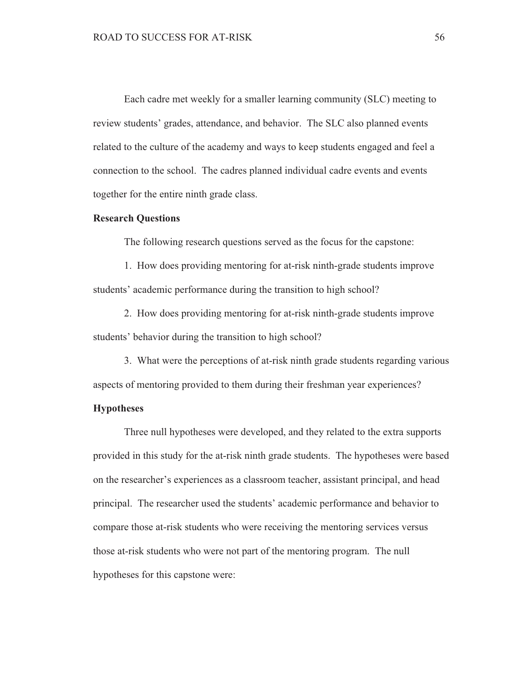Each cadre met weekly for a smaller learning community (SLC) meeting to review students' grades, attendance, and behavior. The SLC also planned events related to the culture of the academy and ways to keep students engaged and feel a connection to the school. The cadres planned individual cadre events and events together for the entire ninth grade class.

#### **Research Questions**

The following research questions served as the focus for the capstone:

1. How does providing mentoring for at-risk ninth-grade students improve students' academic performance during the transition to high school?

2. How does providing mentoring for at-risk ninth-grade students improve students' behavior during the transition to high school?

3. What were the perceptions of at-risk ninth grade students regarding various aspects of mentoring provided to them during their freshman year experiences?

#### **Hypotheses**

Three null hypotheses were developed, and they related to the extra supports provided in this study for the at-risk ninth grade students. The hypotheses were based on the researcher's experiences as a classroom teacher, assistant principal, and head principal. The researcher used the students' academic performance and behavior to compare those at-risk students who were receiving the mentoring services versus those at-risk students who were not part of the mentoring program. The null hypotheses for this capstone were: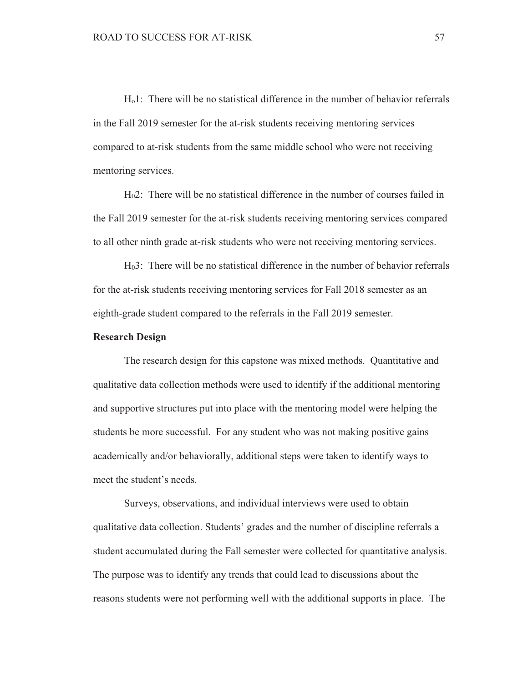$H_0$ 1: There will be no statistical difference in the number of behavior referrals in the Fall 2019 semester for the at-risk students receiving mentoring services compared to at-risk students from the same middle school who were not receiving mentoring services.

 $H<sub>0</sub>2$ : There will be no statistical difference in the number of courses failed in the Fall 2019 semester for the at-risk students receiving mentoring services compared to all other ninth grade at-risk students who were not receiving mentoring services.

 $H<sub>0</sub>3$ : There will be no statistical difference in the number of behavior referrals for the at-risk students receiving mentoring services for Fall 2018 semester as an eighth-grade student compared to the referrals in the Fall 2019 semester.

#### **Research Design**

The research design for this capstone was mixed methods. Quantitative and qualitative data collection methods were used to identify if the additional mentoring and supportive structures put into place with the mentoring model were helping the students be more successful. For any student who was not making positive gains academically and/or behaviorally, additional steps were taken to identify ways to meet the student's needs.

Surveys, observations, and individual interviews were used to obtain qualitative data collection. Students' grades and the number of discipline referrals a student accumulated during the Fall semester were collected for quantitative analysis. The purpose was to identify any trends that could lead to discussions about the reasons students were not performing well with the additional supports in place. The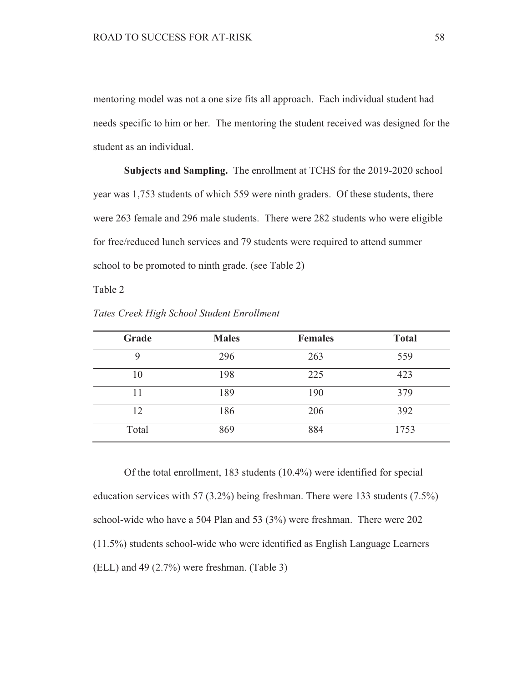mentoring model was not a one size fits all approach. Each individual student had needs specific to him or her. The mentoring the student received was designed for the student as an individual.

Subjects and Sampling. The enrollment at TCHS for the 2019-2020 school year was 1,753 students of which 559 were ninth graders. Of these students, there were 263 female and 296 male students. There were 282 students who were eligible for free/reduced lunch services and 79 students were required to attend summer school to be promoted to ninth grade. (see Table 2)

Table 2

| Grade | <b>Males</b> | <b>Females</b> | <b>Total</b> |
|-------|--------------|----------------|--------------|
|       | 296          | 263            | 559          |
| 10    | 198          | 225            | 423          |
|       | 189          | 190            | 379          |
| 12    | 186          | 206            | 392          |
| Total | 869          | 884            | 1753         |

Tates Creek High School Student Enrollment

Of the total enrollment, 183 students  $(10.4\%)$  were identified for special education services with 57 (3.2%) being freshman. There were 133 students  $(7.5\%)$ school-wide who have a 504 Plan and 53 (3%) were freshman. There were 202  $(11.5\%)$  students school-wide who were identified as English Language Learners  $(ELL)$  and 49  $(2.7\%)$  were freshman. (Table 3)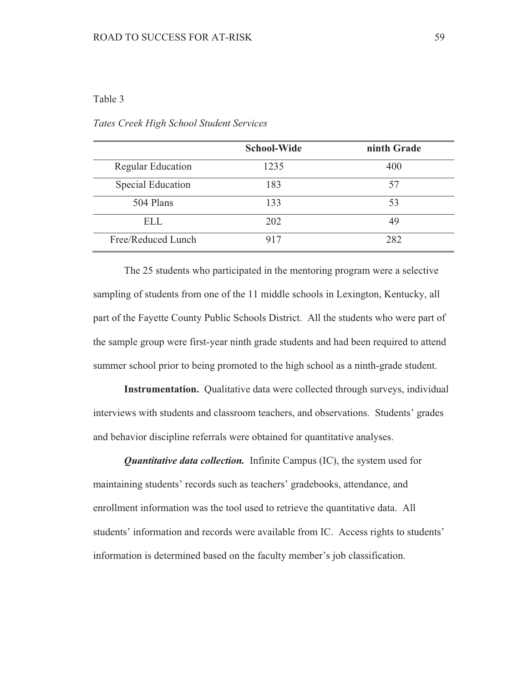# Table 3

|                          | <b>School-Wide</b> | ninth Grade |
|--------------------------|--------------------|-------------|
| <b>Regular Education</b> | 1235               | 400         |
| Special Education        | 183                | 57          |
| 504 Plans                | 133                | 53          |
| ELL                      | 202                | 49          |
| Free/Reduced Lunch       | 917                | 282         |

Tates Creek High School Student Services

The 25 students who participated in the mentoring program were a selective sampling of students from one of the 11 middle schools in Lexington, Kentucky, all part of the Fayette County Public Schools District. All the students who were part of the sample group were first-year ninth grade students and had been required to attend summer school prior to being promoted to the high school as a ninth-grade student.

**Instrumentation.** Qualitative data were collected through surveys, individual interviews with students and classroom teachers, and observations. Students' grades and behavior discipline referrals were obtained for quantitative analyses.

**Quantitative data collection.** Infinite Campus (IC), the system used for maintaining students' records such as teachers' gradebooks, attendance, and enrollment information was the tool used to retrieve the quantitative data. All students' information and records were available from IC. Access rights to students' information is determined based on the faculty member's job classification.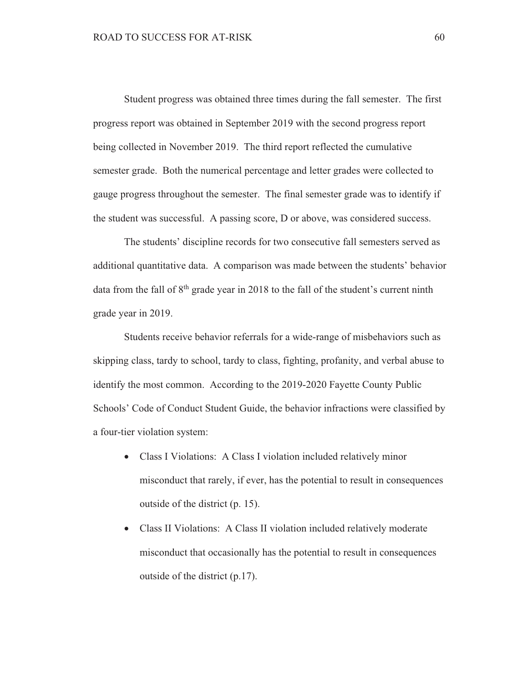Student progress was obtained three times during the fall semester. The first progress report was obtained in September 2019 with the second progress report being collected in November 2019. The third report reflected the cumulative semester grade. Both the numerical percentage and letter grades were collected to gauge progress throughout the semester. The final semester grade was to identify if the student was successful. A passing score, D or above, was considered success.

The students' discipline records for two consecutive fall semesters served as additional quantitative data. A comparison was made between the students' behavior data from the fall of 8<sup>th</sup> grade year in 2018 to the fall of the student's current ninth grade year in 2019.

Students receive behavior referrals for a wide-range of misbehaviors such as skipping class, tardy to school, tardy to class, fighting, profanity, and verbal abuse to identify the most common. According to the 2019-2020 Fayette County Public Schools' Code of Conduct Student Guide, the behavior infractions were classified by a four-tier violation system:

- Class I Violations: A Class I violation included relatively minor misconduct that rarely, if ever, has the potential to result in consequences outside of the district (p. 15).
- Class II Violations: A Class II violation included relatively moderate misconduct that occasionally has the potential to result in consequences outside of the district  $(p.17)$ .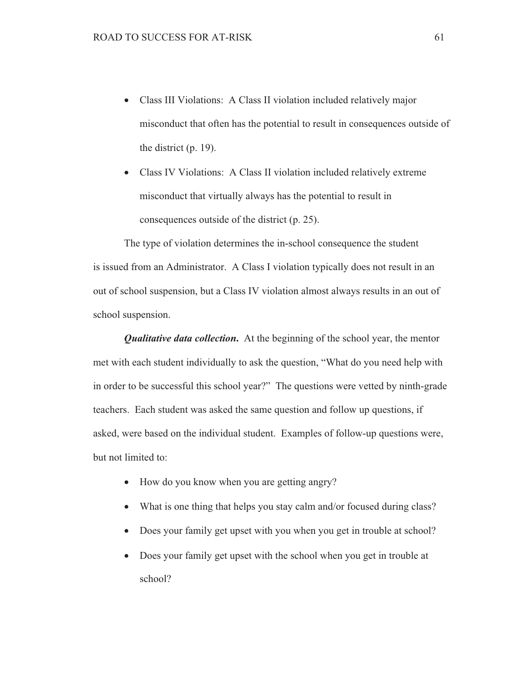- Class III Violations: A Class II violation included relatively major  $\bullet$ misconduct that often has the potential to result in consequences outside of the district  $(p. 19)$ .
- Class IV Violations: A Class II violation included relatively extreme misconduct that virtually always has the potential to result in consequences outside of the district (p. 25).

The type of violation determines the in-school consequence the student is issued from an Administrator. A Class I violation typically does not result in an out of school suspension, but a Class IV violation almost always results in an out of school suspension.

**Qualitative data collection.** At the beginning of the school year, the mentor met with each student individually to ask the question, "What do you need help with in order to be successful this school year?" The questions were vetted by ninth-grade teachers. Each student was asked the same question and follow up questions, if asked, were based on the individual student. Examples of follow-up questions were, but not limited to:

- How do you know when you are getting angry?  $\bullet$
- What is one thing that helps you stay calm and/or focused during class?  $\bullet$
- Does your family get upset with you when you get in trouble at school?
- Does your family get upset with the school when you get in trouble at  $\bullet$ school?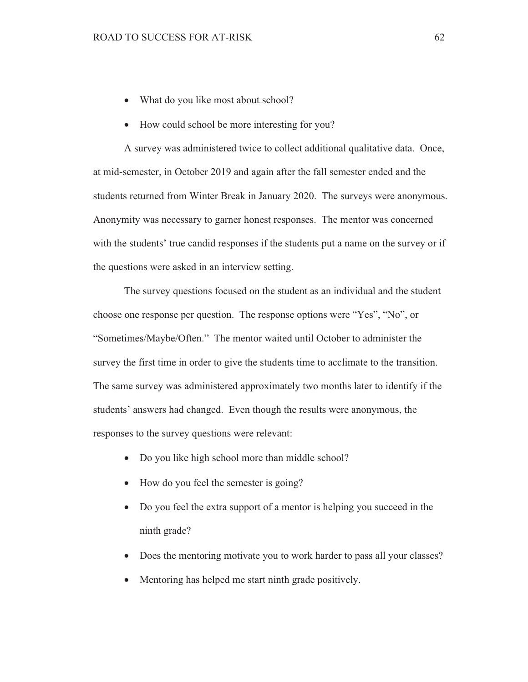- What do you like most about school?
- How could school be more interesting for you?

A survey was administered twice to collect additional qualitative data. Once, at mid-semester, in October 2019 and again after the fall semester ended and the students returned from Winter Break in January 2020. The surveys were anonymous. Anonymity was necessary to garner honest responses. The mentor was concerned with the students' true candid responses if the students put a name on the survey or if the questions were asked in an interview setting.

The survey questions focused on the student as an individual and the student choose one response per question. The response options were "Yes", "No", or "Sometimes/Maybe/Often." The mentor waited until October to administer the survey the first time in order to give the students time to acclimate to the transition. The same survey was administered approximately two months later to identify if the students' answers had changed. Even though the results were anonymous, the responses to the survey questions were relevant:

- Do you like high school more than middle school?
- How do you feel the semester is going?
- Do you feel the extra support of a mentor is helping you succeed in the  $\bullet$ ninth grade?
- Does the mentoring motivate you to work harder to pass all your classes?
- Mentoring has helped me start ninth grade positively.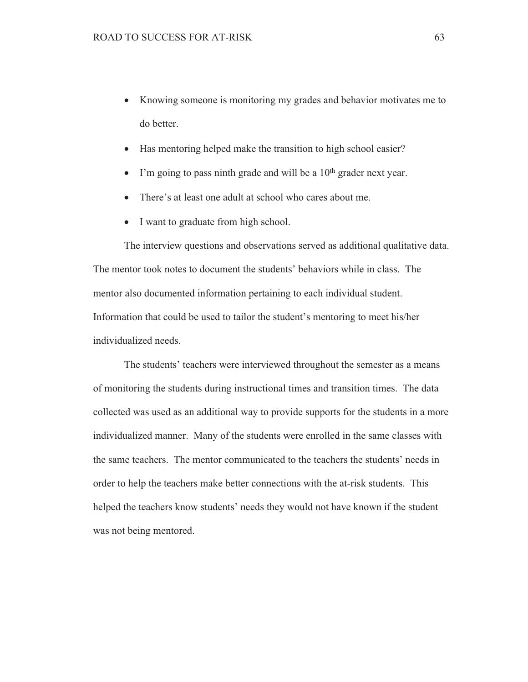- Knowing someone is monitoring my grades and behavior motivates me to do better.
- Has mentoring helped make the transition to high school easier?  $\bullet$
- I'm going to pass ninth grade and will be a  $10<sup>th</sup>$  grader next year.
- There's at least one adult at school who cares about me.
- I want to graduate from high school.

The interview questions and observations served as additional qualitative data. The mentor took notes to document the students' behaviors while in class. The mentor also documented information pertaining to each individual student. Information that could be used to tailor the student's mentoring to meet his/her individualized needs.

The students' teachers were interviewed throughout the semester as a means of monitoring the students during instructional times and transition times. The data collected was used as an additional way to provide supports for the students in a more individualized manner. Many of the students were enrolled in the same classes with the same teachers. The mentor communicated to the teachers the students' needs in order to help the teachers make better connections with the at-risk students. This helped the teachers know students' needs they would not have known if the student was not being mentored.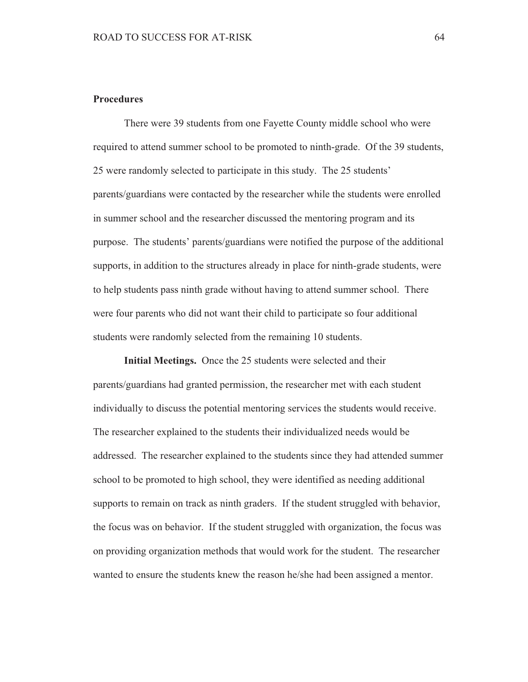# **Procedures**

There were 39 students from one Fayette County middle school who were required to attend summer school to be promoted to ninth-grade. Of the 39 students, 25 were randomly selected to participate in this study. The 25 students' parents/guardians were contacted by the researcher while the students were enrolled in summer school and the researcher discussed the mentoring program and its purpose. The students' parents/guardians were notified the purpose of the additional supports, in addition to the structures already in place for ninth-grade students, were to help students pass ninth grade without having to attend summer school. There were four parents who did not want their child to participate so four additional students were randomly selected from the remaining 10 students.

**Initial Meetings.** Once the 25 students were selected and their parents/guardians had granted permission, the researcher met with each student individually to discuss the potential mentoring services the students would receive. The researcher explained to the students their individualized needs would be addressed. The researcher explained to the students since they had attended summer school to be promoted to high school, they were identified as needing additional supports to remain on track as ninth graders. If the student struggled with behavior, the focus was on behavior. If the student struggled with organization, the focus was on providing organization methods that would work for the student. The researcher wanted to ensure the students knew the reason he/she had been assigned a mentor.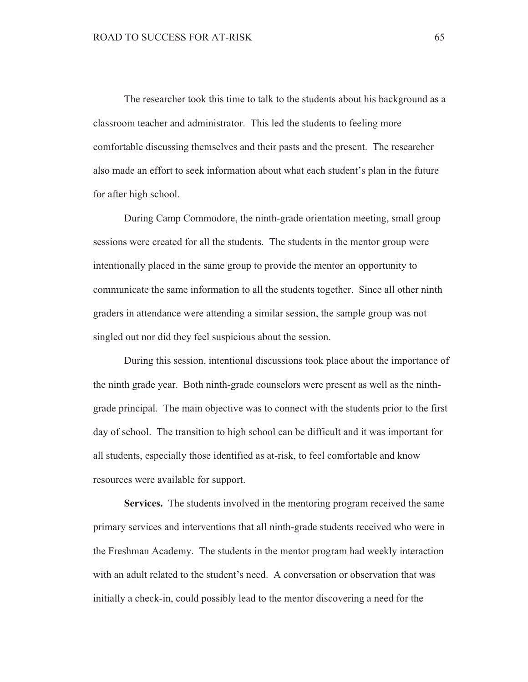The researcher took this time to talk to the students about his background as a classroom teacher and administrator. This led the students to feeling more comfortable discussing themselves and their pasts and the present. The researcher also made an effort to seek information about what each student's plan in the future for after high school.

During Camp Commodore, the ninth-grade orientation meeting, small group sessions were created for all the students. The students in the mentor group were intentionally placed in the same group to provide the mentor an opportunity to communicate the same information to all the students together. Since all other ninth graders in attendance were attending a similar session, the sample group was not singled out nor did they feel suspicious about the session.

During this session, intentional discussions took place about the importance of the ninth grade year. Both ninth-grade counselors were present as well as the ninthgrade principal. The main objective was to connect with the students prior to the first day of school. The transition to high school can be difficult and it was important for all students, especially those identified as at-risk, to feel comfortable and know resources were available for support.

**Services.** The students involved in the mentoring program received the same primary services and interventions that all ninth-grade students received who were in the Freshman Academy. The students in the mentor program had weekly interaction with an adult related to the student's need. A conversation or observation that was initially a check-in, could possibly lead to the mentor discovering a need for the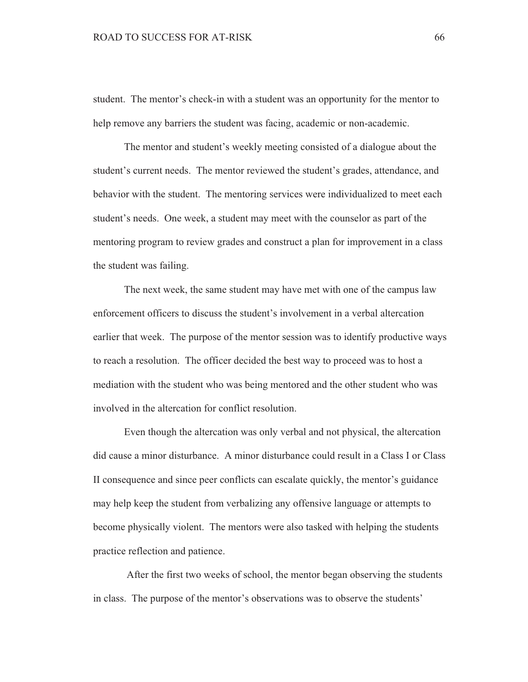student. The mentor's check-in with a student was an opportunity for the mentor to help remove any barriers the student was facing, academic or non-academic.

The mentor and student's weekly meeting consisted of a dialogue about the student's current needs. The mentor reviewed the student's grades, attendance, and behavior with the student. The mentoring services were individualized to meet each student's needs. One week, a student may meet with the counselor as part of the mentoring program to review grades and construct a plan for improvement in a class the student was failing.

The next week, the same student may have met with one of the campus law enforcement officers to discuss the student's involvement in a verbal altercation earlier that week. The purpose of the mentor session was to identify productive ways to reach a resolution. The officer decided the best way to proceed was to host a mediation with the student who was being mentored and the other student who was involved in the altercation for conflict resolution.

Even though the altercation was only verbal and not physical, the altercation did cause a minor disturbance. A minor disturbance could result in a Class I or Class II consequence and since peer conflicts can escalate quickly, the mentor's guidance may help keep the student from verbalizing any offensive language or attempts to become physically violent. The mentors were also tasked with helping the students practice reflection and patience.

After the first two weeks of school, the mentor began observing the students in class. The purpose of the mentor's observations was to observe the students'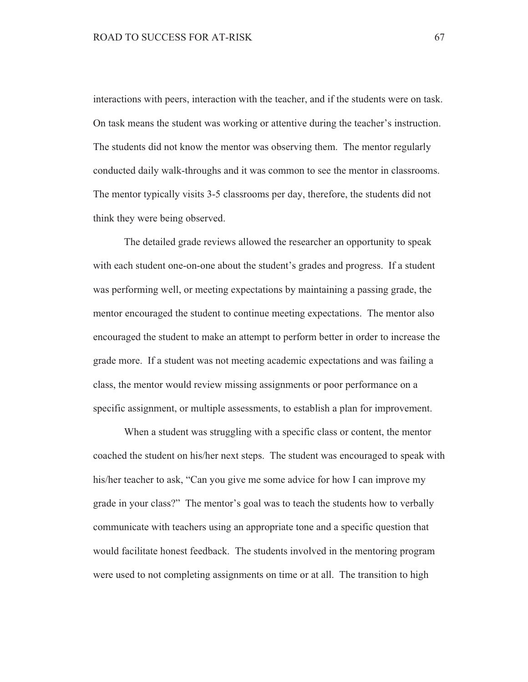interactions with peers, interaction with the teacher, and if the students were on task. On task means the student was working or attentive during the teacher's instruction. The students did not know the mentor was observing them. The mentor regularly conducted daily walk-throughs and it was common to see the mentor in classrooms. The mentor typically visits 3-5 classrooms per day, therefore, the students did not think they were being observed.

The detailed grade reviews allowed the researcher an opportunity to speak with each student one-on-one about the student's grades and progress. If a student was performing well, or meeting expectations by maintaining a passing grade, the mentor encouraged the student to continue meeting expectations. The mentor also encouraged the student to make an attempt to perform better in order to increase the grade more. If a student was not meeting academic expectations and was failing a class, the mentor would review missing assignments or poor performance on a specific assignment, or multiple assessments, to establish a plan for improvement.

When a student was struggling with a specific class or content, the mentor coached the student on his/her next steps. The student was encouraged to speak with his/her teacher to ask, "Can you give me some advice for how I can improve my grade in your class?" The mentor's goal was to teach the students how to verbally communicate with teachers using an appropriate tone and a specific question that would facilitate honest feedback. The students involved in the mentoring program were used to not completing assignments on time or at all. The transition to high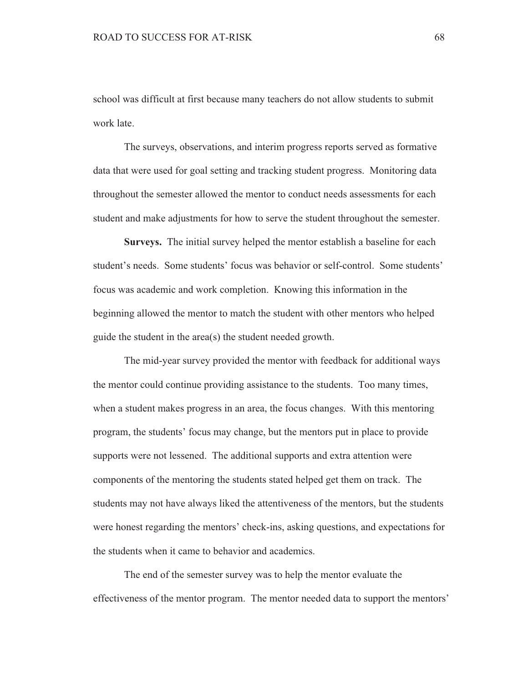school was difficult at first because many teachers do not allow students to submit work late.

The surveys, observations, and interim progress reports served as formative data that were used for goal setting and tracking student progress. Monitoring data throughout the semester allowed the mentor to conduct needs assessments for each student and make adjustments for how to serve the student throughout the semester.

**Surveys.** The initial survey helped the mentor establish a baseline for each student's needs. Some students' focus was behavior or self-control. Some students' focus was academic and work completion. Knowing this information in the beginning allowed the mentor to match the student with other mentors who helped guide the student in the area(s) the student needed growth.

The mid-year survey provided the mentor with feedback for additional ways the mentor could continue providing assistance to the students. Too many times, when a student makes progress in an area, the focus changes. With this mentoring program, the students' focus may change, but the mentors put in place to provide supports were not lessened. The additional supports and extra attention were components of the mentoring the students stated helped get them on track. The students may not have always liked the attentiveness of the mentors, but the students were honest regarding the mentors' check-ins, asking questions, and expectations for the students when it came to behavior and academics.

The end of the semester survey was to help the mentor evaluate the effectiveness of the mentor program. The mentor needed data to support the mentors'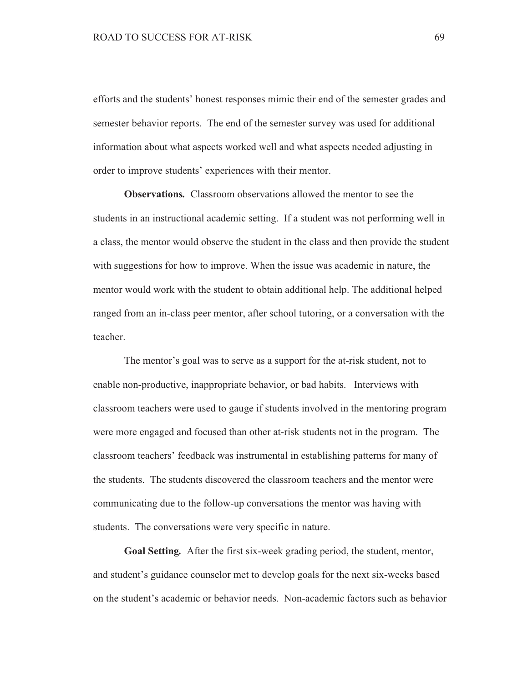efforts and the students' honest responses mimic their end of the semester grades and semester behavior reports. The end of the semester survey was used for additional information about what aspects worked well and what aspects needed adjusting in order to improve students' experiences with their mentor.

**Observations.** Classroom observations allowed the mentor to see the students in an instructional academic setting. If a student was not performing well in a class, the mentor would observe the student in the class and then provide the student with suggestions for how to improve. When the issue was academic in nature, the mentor would work with the student to obtain additional help. The additional helped ranged from an in-class peer mentor, after school tutoring, or a conversation with the teacher.

The mentor's goal was to serve as a support for the at-risk student, not to enable non-productive, inappropriate behavior, or bad habits. Interviews with classroom teachers were used to gauge if students involved in the mentoring program were more engaged and focused than other at-risk students not in the program. The classroom teachers' feedback was instrumental in establishing patterns for many of the students. The students discovered the classroom teachers and the mentor were communicating due to the follow-up conversations the mentor was having with students. The conversations were very specific in nature.

Goal Setting. After the first six-week grading period, the student, mentor, and student's guidance counselor met to develop goals for the next six-weeks based on the student's academic or behavior needs. Non-academic factors such as behavior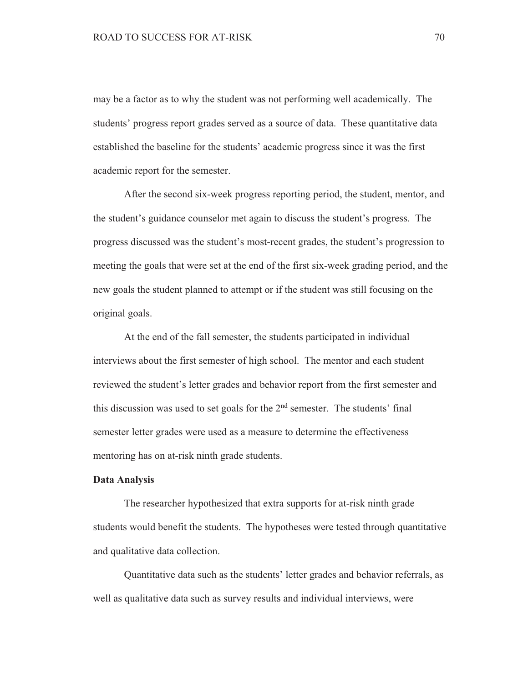may be a factor as to why the student was not performing well academically. The students' progress report grades served as a source of data. These quantitative data established the baseline for the students' academic progress since it was the first academic report for the semester.

After the second six-week progress reporting period, the student, mentor, and the student's guidance counselor met again to discuss the student's progress. The progress discussed was the student's most-recent grades, the student's progression to meeting the goals that were set at the end of the first six-week grading period, and the new goals the student planned to attempt or if the student was still focusing on the original goals.

At the end of the fall semester, the students participated in individual interviews about the first semester of high school. The mentor and each student reviewed the student's letter grades and behavior report from the first semester and this discussion was used to set goals for the 2<sup>nd</sup> semester. The students' final semester letter grades were used as a measure to determine the effectiveness mentoring has on at-risk ninth grade students.

### **Data Analysis**

The researcher hypothesized that extra supports for at-risk ninth grade students would benefit the students. The hypotheses were tested through quantitative and qualitative data collection.

Quantitative data such as the students' letter grades and behavior referrals, as well as qualitative data such as survey results and individual interviews, were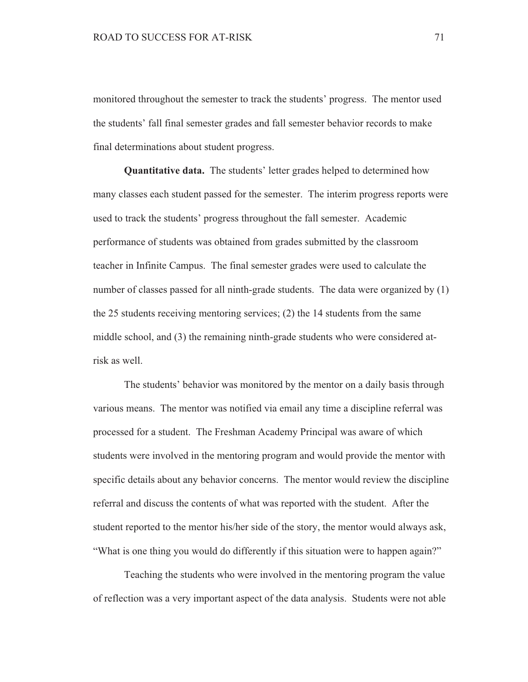monitored throughout the semester to track the students' progress. The mentor used the students' fall final semester grades and fall semester behavior records to make final determinations about student progress.

**Quantitative data.** The students' letter grades helped to determined how many classes each student passed for the semester. The interim progress reports were used to track the students' progress throughout the fall semester. Academic performance of students was obtained from grades submitted by the classroom teacher in Infinite Campus. The final semester grades were used to calculate the number of classes passed for all ninth-grade students. The data were organized by (1) the 25 students receiving mentoring services;  $(2)$  the 14 students from the same middle school, and (3) the remaining ninth-grade students who were considered atrisk as well.

The students' behavior was monitored by the mentor on a daily basis through various means. The mentor was notified via email any time a discipline referral was processed for a student. The Freshman Academy Principal was aware of which students were involved in the mentoring program and would provide the mentor with specific details about any behavior concerns. The mentor would review the discipline referral and discuss the contents of what was reported with the student. After the student reported to the mentor his/her side of the story, the mentor would always ask, "What is one thing you would do differently if this situation were to happen again?"

Teaching the students who were involved in the mentoring program the value of reflection was a very important aspect of the data analysis. Students were not able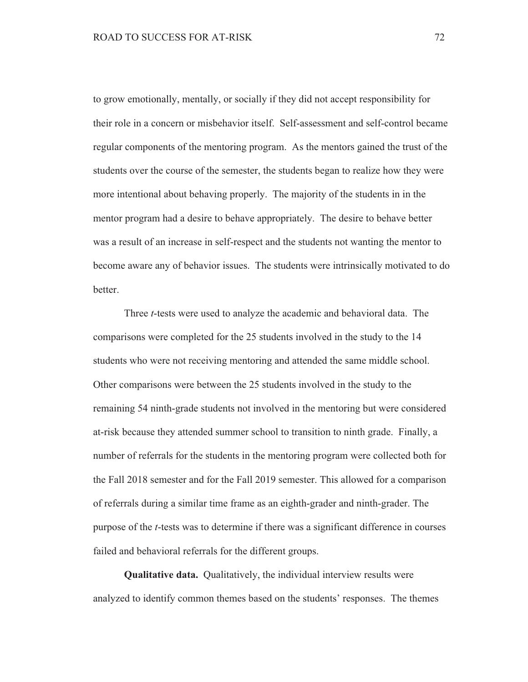to grow emotionally, mentally, or socially if they did not accept responsibility for their role in a concern or misbehavior itself. Self-assessment and self-control became regular components of the mentoring program. As the mentors gained the trust of the students over the course of the semester, the students began to realize how they were more intentional about behaving properly. The majority of the students in in the mentor program had a desire to behave appropriately. The desire to behave better was a result of an increase in self-respect and the students not wanting the mentor to become aware any of behavior issues. The students were intrinsically motivated to do hetter

Three *t*-tests were used to analyze the academic and behavioral data. The comparisons were completed for the 25 students involved in the study to the 14 students who were not receiving mentoring and attended the same middle school. Other comparisons were between the 25 students involved in the study to the remaining 54 ninth-grade students not involved in the mentoring but were considered at-risk because they attended summer school to transition to ninth grade. Finally, a number of referrals for the students in the mentoring program were collected both for the Fall 2018 semester and for the Fall 2019 semester. This allowed for a comparison of referrals during a similar time frame as an eighth-grader and ninth-grader. The purpose of the *t*-tests was to determine if there was a significant difference in courses failed and behavioral referrals for the different groups.

**Qualitative data.** Qualitatively, the individual interview results were analyzed to identify common themes based on the students' responses. The themes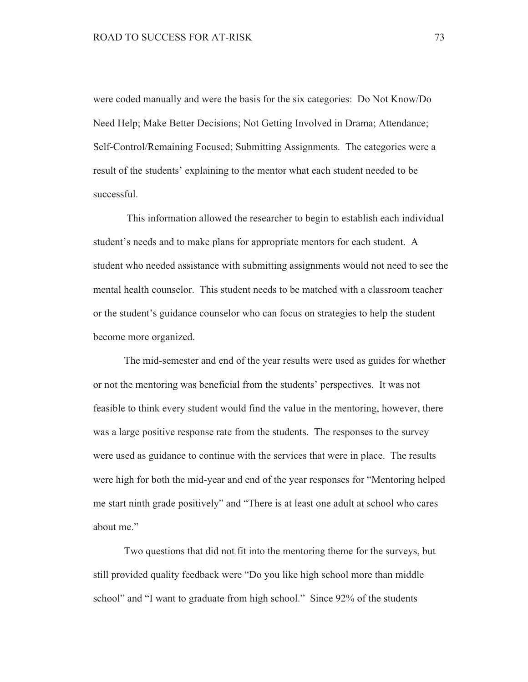were coded manually and were the basis for the six categories: Do Not Know/Do Need Help; Make Better Decisions; Not Getting Involved in Drama; Attendance; Self-Control/Remaining Focused; Submitting Assignments. The categories were a result of the students' explaining to the mentor what each student needed to be successful.

This information allowed the researcher to begin to establish each individual student's needs and to make plans for appropriate mentors for each student. A student who needed assistance with submitting assignments would not need to see the mental health counselor. This student needs to be matched with a classroom teacher or the student's guidance counselor who can focus on strategies to help the student become more organized.

The mid-semester and end of the year results were used as guides for whether or not the mentoring was beneficial from the students' perspectives. It was not feasible to think every student would find the value in the mentoring, however, there was a large positive response rate from the students. The responses to the survey were used as guidance to continue with the services that were in place. The results were high for both the mid-year and end of the year responses for "Mentoring helped" me start ninth grade positively" and "There is at least one adult at school who cares about me."

Two questions that did not fit into the mentoring theme for the surveys, but still provided quality feedback were "Do you like high school more than middle" school" and "I want to graduate from high school." Since 92% of the students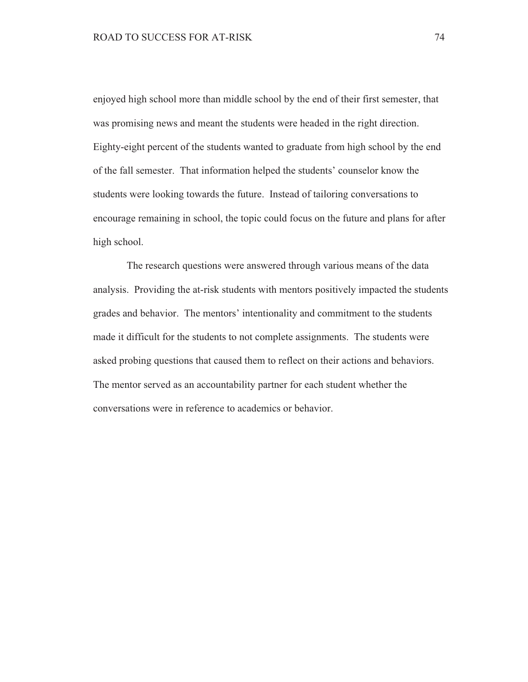enjoyed high school more than middle school by the end of their first semester, that was promising news and meant the students were headed in the right direction. Eighty-eight percent of the students wanted to graduate from high school by the end of the fall semester. That information helped the students' counselor know the students were looking towards the future. Instead of tailoring conversations to encourage remaining in school, the topic could focus on the future and plans for after high school.

The research questions were answered through various means of the data analysis. Providing the at-risk students with mentors positively impacted the students grades and behavior. The mentors' intentionality and commitment to the students made it difficult for the students to not complete assignments. The students were asked probing questions that caused them to reflect on their actions and behaviors. The mentor served as an accountability partner for each student whether the conversations were in reference to academics or behavior.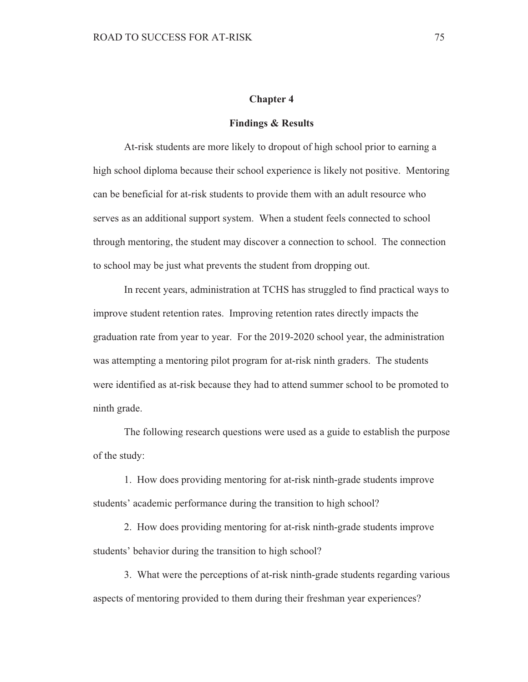### **Chapter 4**

#### **Findings & Results**

At-risk students are more likely to dropout of high school prior to earning a high school diploma because their school experience is likely not positive. Mentoring can be beneficial for at-risk students to provide them with an adult resource who serves as an additional support system. When a student feels connected to school through mentoring, the student may discover a connection to school. The connection to school may be just what prevents the student from dropping out.

In recent years, administration at TCHS has struggled to find practical ways to improve student retention rates. Improving retention rates directly impacts the graduation rate from year to year. For the 2019-2020 school year, the administration was attempting a mentoring pilot program for at-risk ninth graders. The students were identified as at-risk because they had to attend summer school to be promoted to ninth grade.

The following research questions were used as a guide to establish the purpose of the study:

1. How does providing mentoring for at-risk ninth-grade students improve students' academic performance during the transition to high school?

2. How does providing mentoring for at-risk ninth-grade students improve students' behavior during the transition to high school?

3. What were the perceptions of at-risk ninth-grade students regarding various aspects of mentoring provided to them during their freshman year experiences?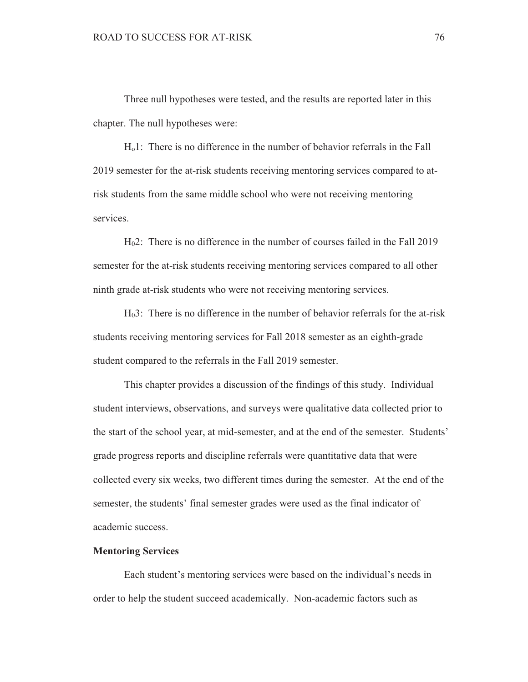Three null hypotheses were tested, and the results are reported later in this chapter. The null hypotheses were:

 $H<sub>0</sub>$ 1: There is no difference in the number of behavior referrals in the Fall 2019 semester for the at-risk students receiving mentoring services compared to atrisk students from the same middle school who were not receiving mentoring services.

H<sub>0</sub>2: There is no difference in the number of courses failed in the Fall 2019 semester for the at-risk students receiving mentoring services compared to all other ninth grade at-risk students who were not receiving mentoring services.

 $H<sub>0</sub>3$ : There is no difference in the number of behavior referrals for the at-risk students receiving mentoring services for Fall 2018 semester as an eighth-grade student compared to the referrals in the Fall 2019 semester.

This chapter provides a discussion of the findings of this study. Individual student interviews, observations, and surveys were qualitative data collected prior to the start of the school year, at mid-semester, and at the end of the semester. Students' grade progress reports and discipline referrals were quantitative data that were collected every six weeks, two different times during the semester. At the end of the semester, the students' final semester grades were used as the final indicator of academic success.

### **Mentoring Services**

Each student's mentoring services were based on the individual's needs in order to help the student succeed academically. Non-academic factors such as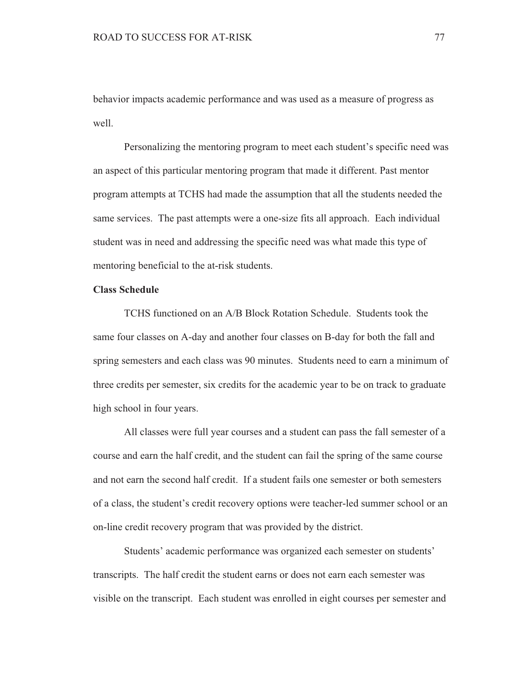behavior impacts academic performance and was used as a measure of progress as well.

Personalizing the mentoring program to meet each student's specific need was an aspect of this particular mentoring program that made it different. Past mentor program attempts at TCHS had made the assumption that all the students needed the same services. The past attempts were a one-size fits all approach. Each individual student was in need and addressing the specific need was what made this type of mentoring beneficial to the at-risk students.

### **Class Schedule**

TCHS functioned on an A/B Block Rotation Schedule. Students took the same four classes on A-day and another four classes on B-day for both the fall and spring semesters and each class was 90 minutes. Students need to earn a minimum of three credits per semester, six credits for the academic year to be on track to graduate high school in four years.

All classes were full year courses and a student can pass the fall semester of a course and earn the half credit, and the student can fail the spring of the same course and not earn the second half credit. If a student fails one semester or both semesters of a class, the student's credit recovery options were teacher-led summer school or an on-line credit recovery program that was provided by the district.

Students' academic performance was organized each semester on students' transcripts. The half credit the student earns or does not earn each semester was visible on the transcript. Each student was enrolled in eight courses per semester and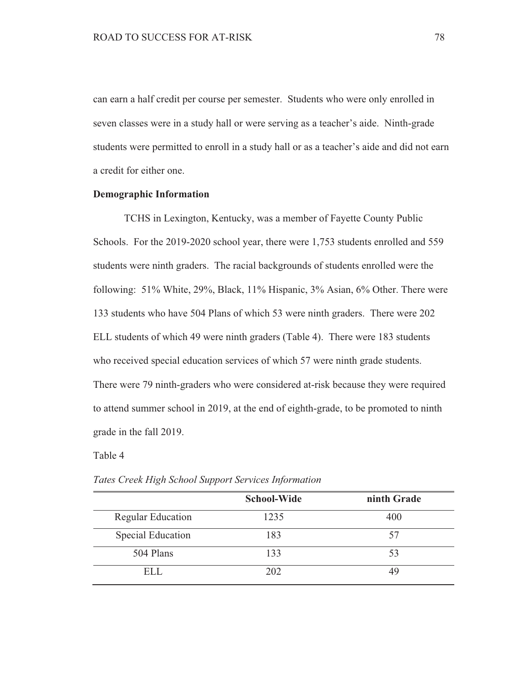can earn a half credit per course per semester. Students who were only enrolled in seven classes were in a study hall or were serving as a teacher's aide. Ninth-grade students were permitted to enroll in a study hall or as a teacher's aide and did not earn a credit for either one.

### **Demographic Information**

TCHS in Lexington, Kentucky, was a member of Fayette County Public Schools. For the 2019-2020 school year, there were 1,753 students enrolled and 559 students were ninth graders. The racial backgrounds of students enrolled were the following: 51% White, 29%, Black, 11% Hispanic, 3% Asian, 6% Other. There were 133 students who have 504 Plans of which 53 were ninth graders. There were 202 ELL students of which 49 were ninth graders (Table 4). There were 183 students who received special education services of which 57 were ninth grade students. There were 79 ninth-graders who were considered at-risk because they were required to attend summer school in 2019, at the end of eighth-grade, to be promoted to ninth grade in the fall 2019.

## Table 4

|                          | <b>School-Wide</b> | ninth Grade |
|--------------------------|--------------------|-------------|
| <b>Regular Education</b> | 1235               | 400         |
| <b>Special Education</b> | 183                | 57          |
| 504 Plans                | 133                | 53          |
| ELL.                     | 202                | 49          |

Tates Creek High School Support Services Information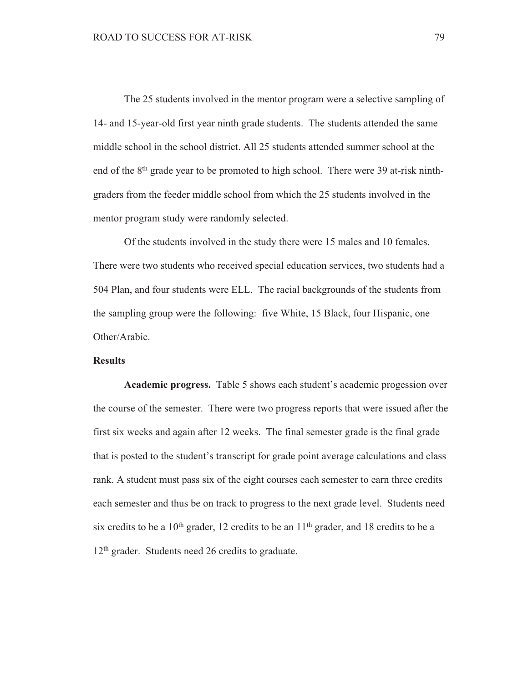The 25 students involved in the mentor program were a selective sampling of 14- and 15-year-old first year ninth grade students. The students attended the same middle school in the school district. All 25 students attended summer school at the end of the 8<sup>th</sup> grade year to be promoted to high school. There were 39 at-risk ninthgraders from the feeder middle school from which the 25 students involved in the mentor program study were randomly selected.

Of the students involved in the study there were 15 males and 10 females. There were two students who received special education services, two students had a 504 Plan, and four students were ELL. The racial backgrounds of the students from the sampling group were the following: five White, 15 Black, four Hispanic, one Other/Arabic.

## **Results**

Academic progress. Table 5 shows each student's academic progession over the course of the semester. There were two progress reports that were issued after the first six weeks and again after 12 weeks. The final semester grade is the final grade that is posted to the student's transcript for grade point average calculations and class rank. A student must pass six of the eight courses each semester to earn three credits each semester and thus be on track to progress to the next grade level. Students need six credits to be a  $10<sup>th</sup>$  grader, 12 credits to be an  $11<sup>th</sup>$  grader, and 18 credits to be a 12<sup>th</sup> grader. Students need 26 credits to graduate.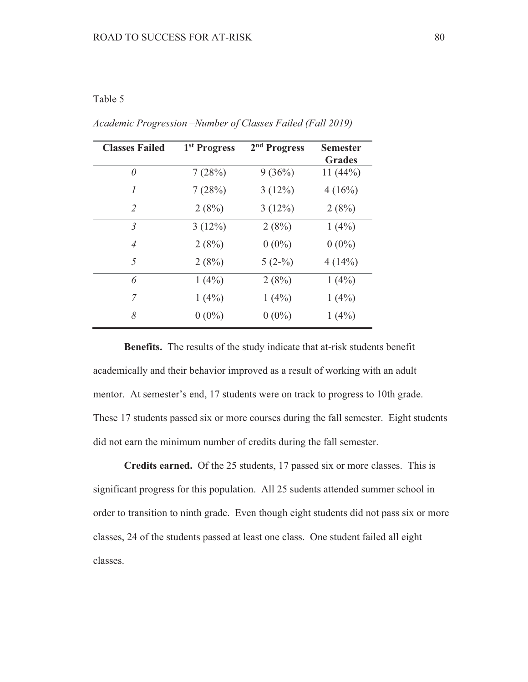# Table 5

| <b>Classes Failed</b> | 1 <sup>st</sup> Progress | 2 <sup>nd</sup> Progress | Semester<br><b>Grades</b> |
|-----------------------|--------------------------|--------------------------|---------------------------|
| 0                     | 7(28%)                   | 9(36%)                   | 11(44%)                   |
| 1                     | 7(28%)                   | 3(12%)                   | 4(16%)                    |
| 2                     | 2(8%)                    | 3(12%)                   | 2(8%)                     |
| 3                     | 3(12%)                   | 2(8%)                    | 1(4%)                     |
| 4                     | 2(8%)                    | $0(0\%)$                 | $0(0\%)$                  |
| 5                     | 2(8%)                    | $5(2-%)$                 | 4(14%)                    |
| 6                     | 1(4%)                    | 2(8%)                    | 1(4%)                     |
| 7                     | 1(4%)                    | $1(4\%)$                 | 1(4%)                     |
| 8                     | $0(0\%)$                 | $0(0\%)$                 | 1(4%)                     |

Academic Progression -Number of Classes Failed (Fall 2019)

Benefits. The results of the study indicate that at-risk students benefit academically and their behavior improved as a result of working with an adult mentor. At semester's end, 17 students were on track to progress to 10th grade. These 17 students passed six or more courses during the fall semester. Eight students did not earn the minimum number of credits during the fall semester.

Credits earned. Of the 25 students, 17 passed six or more classes. This is significant progress for this population. All 25 sudents attended summer school in order to transition to ninth grade. Even though eight students did not pass six or more classes, 24 of the students passed at least one class. One student failed all eight classes.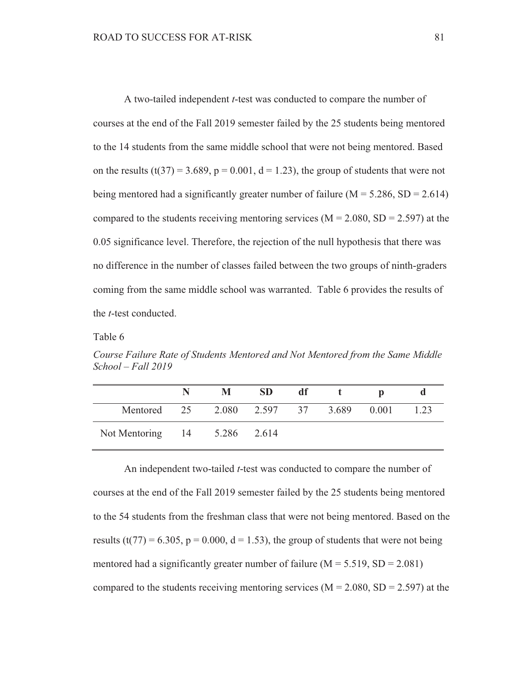A two-tailed independent *t*-test was conducted to compare the number of courses at the end of the Fall 2019 semester failed by the 25 students being mentored to the 14 students from the same middle school that were not being mentored. Based on the results  $(t(37) = 3.689$ ,  $p = 0.001$ ,  $d = 1.23$ ), the group of students that were not being mentored had a significantly greater number of failure ( $M = 5.286$ ,  $SD = 2.614$ ) compared to the students receiving mentoring services ( $M = 2.080$ , SD = 2.597) at the 0.05 significance level. Therefore, the rejection of the null hypothesis that there was no difference in the number of classes failed between the two groups of ninth-graders coming from the same middle school was warranted. Table 6 provides the results of the *t*-test conducted.

### Table 6

Course Failure Rate of Students Mentored and Not Mentored from the Same Middle  $School - Fall 2019$ 

|                                        | M | <b>SD</b> | df |  |      |
|----------------------------------------|---|-----------|----|--|------|
| Mentored 25 2.080 2.597 37 3.689 0.001 |   |           |    |  | 1.23 |
| Not Mentoring 14 5.286 2.614           |   |           |    |  |      |

An independent two-tailed *t*-test was conducted to compare the number of courses at the end of the Fall 2019 semester failed by the 25 students being mentored to the 54 students from the freshman class that were not being mentored. Based on the results (t(77) = 6.305, p = 0.000, d = 1.53), the group of students that were not being mentored had a significantly greater number of failure ( $M = 5.519$ ,  $SD = 2.081$ ) compared to the students receiving mentoring services ( $M = 2.080$ , SD = 2.597) at the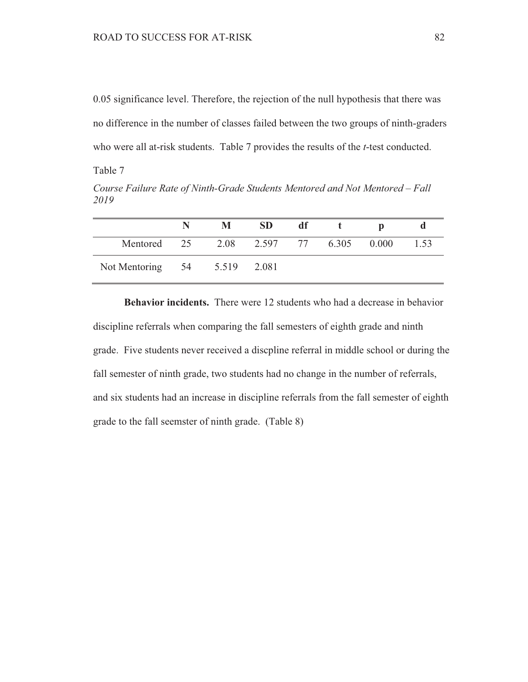0.05 significance level. Therefore, the rejection of the null hypothesis that there was no difference in the number of classes failed between the two groups of ninth-graders who were all at-risk students. Table 7 provides the results of the *t*-test conducted.

Table 7

Course Failure Rate of Ninth-Grade Students Mentored and Not Mentored - Fall 2019

|                              |    | M    | <b>SD</b> | df |       |       |      |
|------------------------------|----|------|-----------|----|-------|-------|------|
| Mentored                     | 25 | 2.08 | 2.597 77  |    | 6.305 | 0.000 | 1.53 |
| Not Mentoring 54 5.519 2.081 |    |      |           |    |       |       |      |

**Behavior incidents.** There were 12 students who had a decrease in behavior discipline referrals when comparing the fall semesters of eighth grade and ninth grade. Five students never received a discpline referral in middle school or during the fall semester of ninth grade, two students had no change in the number of referrals, and six students had an increase in discipline referrals from the fall semester of eighth grade to the fall seemster of ninth grade. (Table 8)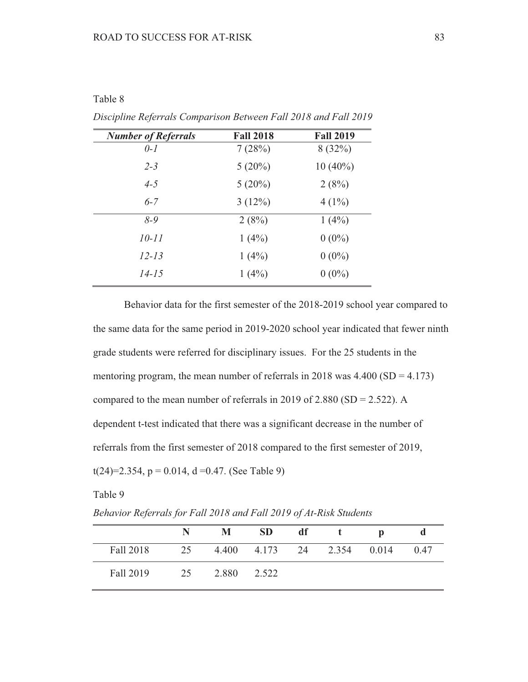## Table 8

| <b>Number of Referrals</b> | <b>Fall 2018</b> | <b>Fall 2019</b> |
|----------------------------|------------------|------------------|
| $0-1$                      | 7(28%)           | 8(32%)           |
| $2 - 3$                    | $5(20\%)$        | $10(40\%)$       |
| $4 - 5$                    | $5(20\%)$        | 2(8%)            |
| $6 - 7$                    | 3(12%)           | $4(1\%)$         |
| $8 - 9$                    | 2(8%)            | $1(4\%)$         |
| $10 - 11$                  | $1(4\%)$         | $0(0\%)$         |
| $12 - 13$                  | $1(4\%)$         | $0(0\%)$         |
| $14 - 15$                  | $1(4\%)$         | $0(0\%)$         |

Discipline Referrals Comparison Between Fall 2018 and Fall 2019

Behavior data for the first semester of the 2018-2019 school year compared to the same data for the same period in 2019-2020 school year indicated that fewer ninth grade students were referred for disciplinary issues. For the 25 students in the mentoring program, the mean number of referrals in 2018 was  $4.400$  (SD =  $4.173$ ) compared to the mean number of referrals in 2019 of 2.880 (SD = 2.522). A dependent t-test indicated that there was a significant decrease in the number of referrals from the first semester of 2018 compared to the first semester of 2019,  $t(24)=2.354$ ,  $p = 0.014$ ,  $d = 0.47$ . (See Table 9)

| Table 9                                                            |  |
|--------------------------------------------------------------------|--|
| Behavior Referrals for Fall 2018 and Fall 2019 of At-Risk Students |  |

|           | N  | M     | <b>SD</b> | df | $-t$                       | D |      |
|-----------|----|-------|-----------|----|----------------------------|---|------|
| Fall 2018 | 25 |       |           |    | 4.400 4.173 24 2.354 0.014 |   | 0.47 |
| Fall 2019 | 25 | 2.880 | 2.522     |    |                            |   |      |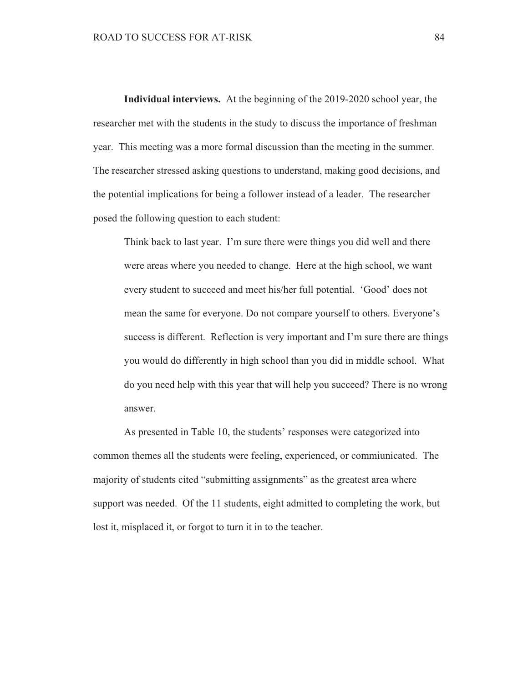Individual interviews. At the beginning of the 2019-2020 school year, the researcher met with the students in the study to discuss the importance of freshman year. This meeting was a more formal discussion than the meeting in the summer. The researcher stressed asking questions to understand, making good decisions, and the potential implications for being a follower instead of a leader. The researcher posed the following question to each student:

Think back to last year. I'm sure there were things you did well and there were areas where you needed to change. Here at the high school, we want every student to succeed and meet his/her full potential. 'Good' does not mean the same for everyone. Do not compare yourself to others. Everyone's success is different. Reflection is very important and I'm sure there are things you would do differently in high school than you did in middle school. What do you need help with this year that will help you succeed? There is no wrong answer.

As presented in Table 10, the students' responses were categorized into common themes all the students were feeling, experienced, or commiunicated. The majority of students cited "submitting assignments" as the greatest area where support was needed. Of the 11 students, eight admitted to completing the work, but lost it, misplaced it, or forgot to turn it in to the teacher.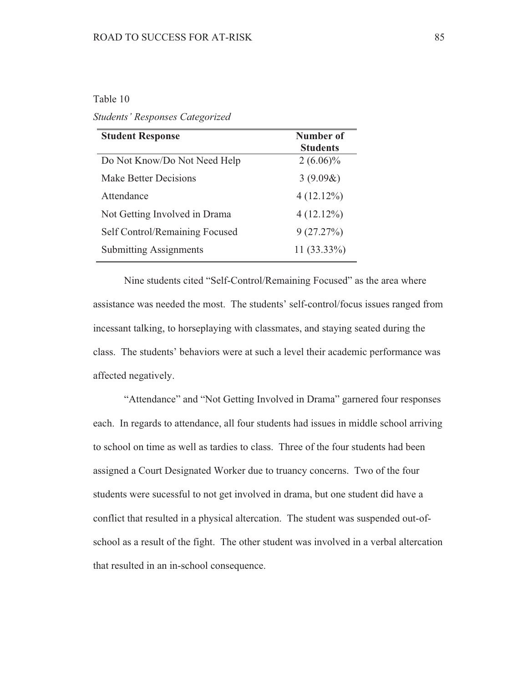# Table 10

**Students' Responses Categorized** 

| <b>Student Response</b>        | Number of<br><b>Students</b> |
|--------------------------------|------------------------------|
| Do Not Know/Do Not Need Help   | $2(6.06)\%$                  |
| <b>Make Better Decisions</b>   | $3(9.09\&)$                  |
| Attendance                     | $4(12.12\%)$                 |
| Not Getting Involved in Drama  | $4(12.12\%)$                 |
| Self Control/Remaining Focused | 9(27.27%)                    |
| <b>Submitting Assignments</b>  | $11(33.33\%)$                |

Nine students cited "Self-Control/Remaining Focused" as the area where assistance was needed the most. The students' self-control/focus issues ranged from incessant talking, to horseplaying with classmates, and staying seated during the class. The students' behaviors were at such a level their academic performance was affected negatively.

"Attendance" and "Not Getting Involved in Drama" garnered four responses each. In regards to attendance, all four students had issues in middle school arriving to school on time as well as tardies to class. Three of the four students had been assigned a Court Designated Worker due to truancy concerns. Two of the four students were sucessful to not get involved in drama, but one student did have a conflict that resulted in a physical altercation. The student was suspended out-ofschool as a result of the fight. The other student was involved in a verbal altercation that resulted in an in-school consequence.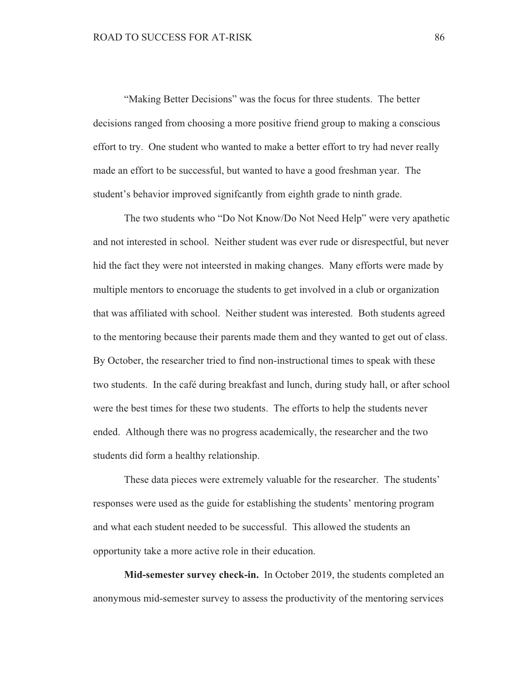"Making Better Decisions" was the focus for three students. The better decisions ranged from choosing a more positive friend group to making a conscious effort to try. One student who wanted to make a better effort to try had never really made an effort to be successful, but wanted to have a good freshman year. The student's behavior improved significantly from eighth grade to ninth grade.

The two students who "Do Not Know/Do Not Need Help" were very apathetic and not interested in school. Neither student was ever rude or disrespectful, but never hid the fact they were not inteersted in making changes. Many efforts were made by multiple mentors to encoruage the students to get involved in a club or organization that was affiliated with school. Neither student was interested. Both students agreed to the mentoring because their parents made them and they wanted to get out of class. By October, the researcher tried to find non-instructional times to speak with these two students. In the café during breakfast and lunch, during study hall, or after school were the best times for these two students. The efforts to help the students never ended. Although there was no progress academically, the researcher and the two students did form a healthy relationship.

These data pieces were extremely valuable for the researcher. The students' responses were used as the guide for establishing the students' mentoring program and what each student needed to be successful. This allowed the students an opportunity take a more active role in their education.

Mid-semester survey check-in. In October 2019, the students completed an anonymous mid-semester survey to assess the productivity of the mentoring services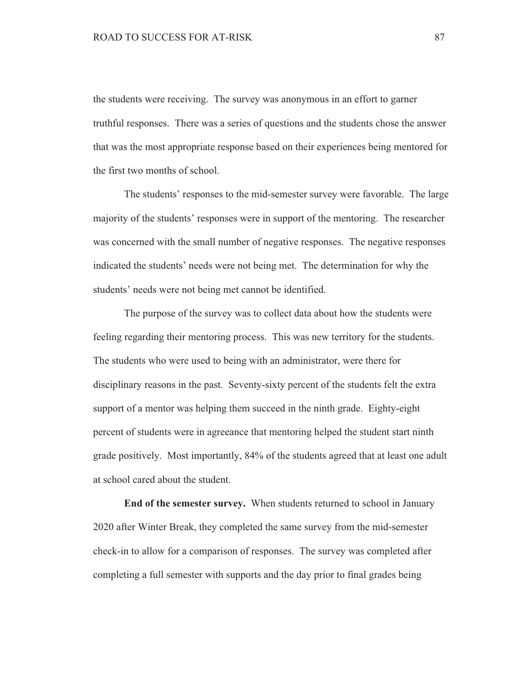the students were receiving. The survey was anonymous in an effort to garner truthful responses. There was a series of questions and the students chose the answer that was the most appropriate response based on their experiences being mentored for the first two months of school.

The students' responses to the mid-semester survey were favorable. The large majority of the students' responses were in support of the mentoring. The researcher was concerned with the small number of negative responses. The negative responses indicated the students' needs were not being met. The determination for why the students' needs were not being met cannot be identified.

The purpose of the survey was to collect data about how the students were feeling regarding their mentoring process. This was new territory for the students. The students who were used to being with an administrator, were there for disciplinary reasons in the past. Seventy-sixty percent of the students felt the extra support of a mentor was helping them succeed in the ninth grade. Eighty-eight percent of students were in agreeance that mentoring helped the student start ninth grade positively. Most importantly, 84% of the students agreed that at least one adult at school cared about the student.

End of the semester survey. When students returned to school in January 2020 after Winter Break, they completed the same survey from the mid-semester check-in to allow for a comparison of responses. The survey was completed after completing a full semester with supports and the day prior to final grades being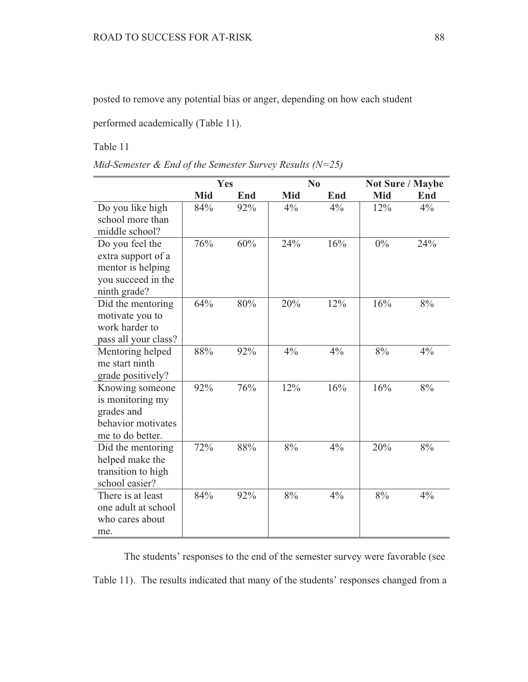posted to remove any potential bias or anger, depending on how each student

performed academically (Table 11).

Table 11

| Mid-Semester & End of the Semester Survey Results ( $N=25$ ) |  |
|--------------------------------------------------------------|--|
|--------------------------------------------------------------|--|

|                      | Yes |     |       | N <sub>0</sub> |       | <b>Not Sure / Maybe</b> |
|----------------------|-----|-----|-------|----------------|-------|-------------------------|
|                      | Mid | End | Mid   | End            | Mid   | End                     |
| Do you like high     | 84% | 92% | $4\%$ | $4\%$          | 12%   | $4\%$                   |
| school more than     |     |     |       |                |       |                         |
| middle school?       |     |     |       |                |       |                         |
| Do you feel the      | 76% | 60% | 24%   | 16%            | $0\%$ | 24%                     |
| extra support of a   |     |     |       |                |       |                         |
| mentor is helping    |     |     |       |                |       |                         |
| you succeed in the   |     |     |       |                |       |                         |
| ninth grade?         |     |     |       |                |       |                         |
| Did the mentoring    | 64% | 80% | 20%   | 12%            | 16%   | 8%                      |
| motivate you to      |     |     |       |                |       |                         |
| work harder to       |     |     |       |                |       |                         |
| pass all your class? |     |     |       |                |       |                         |
| Mentoring helped     | 88% | 92% | 4%    | $4\%$          | 8%    | 4%                      |
| me start ninth       |     |     |       |                |       |                         |
| grade positively?    |     |     |       |                |       |                         |
| Knowing someone      | 92% | 76% | 12%   | 16%            | 16%   | 8%                      |
| is monitoring my     |     |     |       |                |       |                         |
| grades and           |     |     |       |                |       |                         |
| behavior motivates   |     |     |       |                |       |                         |
| me to do better.     |     |     |       |                |       |                         |
| Did the mentoring    | 72% | 88% | 8%    | 4%             | 20%   | 8%                      |
| helped make the      |     |     |       |                |       |                         |
| transition to high   |     |     |       |                |       |                         |
| school easier?       |     |     |       |                |       |                         |
| There is at least    | 84% | 92% | 8%    | 4%             | 8%    | 4%                      |
| one adult at school  |     |     |       |                |       |                         |
| who cares about      |     |     |       |                |       |                         |
| me.                  |     |     |       |                |       |                         |

The students' responses to the end of the semester survey were favorable (see Table 11). The results indicated that many of the students' responses changed from a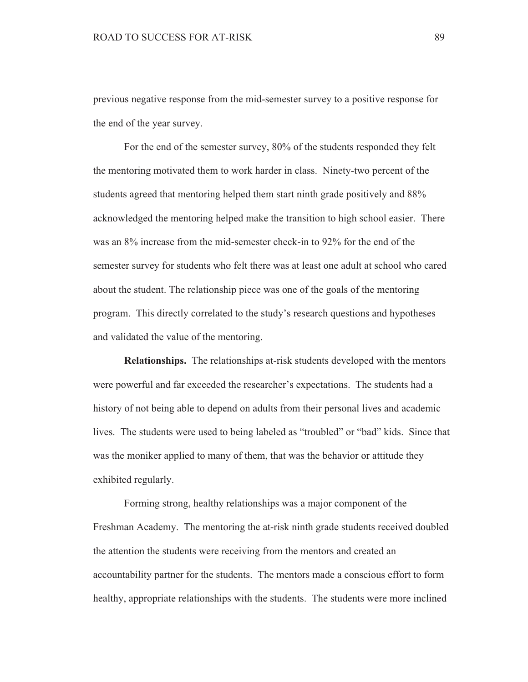previous negative response from the mid-semester survey to a positive response for the end of the year survey.

For the end of the semester survey, 80% of the students responded they felt the mentoring motivated them to work harder in class. Ninety-two percent of the students agreed that mentoring helped them start ninth grade positively and 88% acknowledged the mentoring helped make the transition to high school easier. There was an 8% increase from the mid-semester check-in to 92% for the end of the semester survey for students who felt there was at least one adult at school who cared about the student. The relationship piece was one of the goals of the mentoring program. This directly correlated to the study's research questions and hypotheses and validated the value of the mentoring.

**Relationships.** The relationships at-risk students developed with the mentors were powerful and far exceeded the researcher's expectations. The students had a history of not being able to depend on adults from their personal lives and academic lives. The students were used to being labeled as "troubled" or "bad" kids. Since that was the moniker applied to many of them, that was the behavior or attitude they exhibited regularly.

Forming strong, healthy relationships was a major component of the Freshman Academy. The mentoring the at-risk ninth grade students received doubled the attention the students were receiving from the mentors and created an accountability partner for the students. The mentors made a conscious effort to form healthy, appropriate relationships with the students. The students were more inclined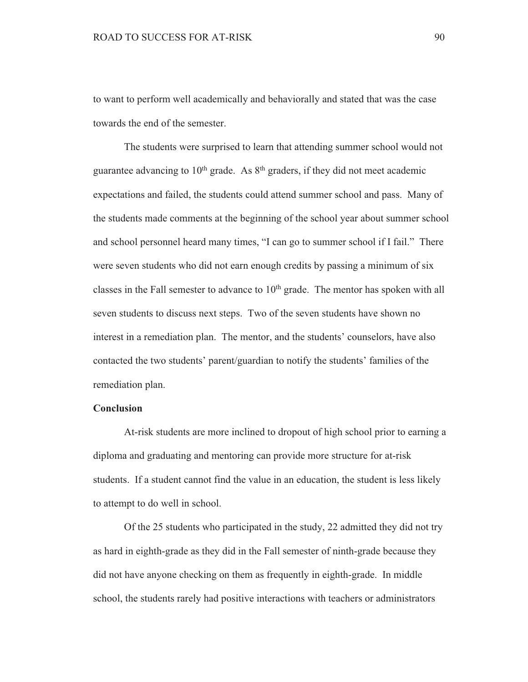to want to perform well academically and behaviorally and stated that was the case towards the end of the semester.

The students were surprised to learn that attending summer school would not guarantee advancing to  $10<sup>th</sup>$  grade. As  $8<sup>th</sup>$  graders, if they did not meet academic expectations and failed, the students could attend summer school and pass. Many of the students made comments at the beginning of the school year about summer school and school personnel heard many times, "I can go to summer school if I fail." There were seven students who did not earn enough credits by passing a minimum of six classes in the Fall semester to advance to  $10<sup>th</sup>$  grade. The mentor has spoken with all seven students to discuss next steps. Two of the seven students have shown no interest in a remediation plan. The mentor, and the students' counselors, have also contacted the two students' parent/guardian to notify the students' families of the remediation plan.

#### **Conclusion**

At-risk students are more inclined to dropout of high school prior to earning a diploma and graduating and mentoring can provide more structure for at-risk students. If a student cannot find the value in an education, the student is less likely to attempt to do well in school.

Of the 25 students who participated in the study, 22 admitted they did not try as hard in eighth-grade as they did in the Fall semester of ninth-grade because they did not have anyone checking on them as frequently in eighth-grade. In middle school, the students rarely had positive interactions with teachers or administrators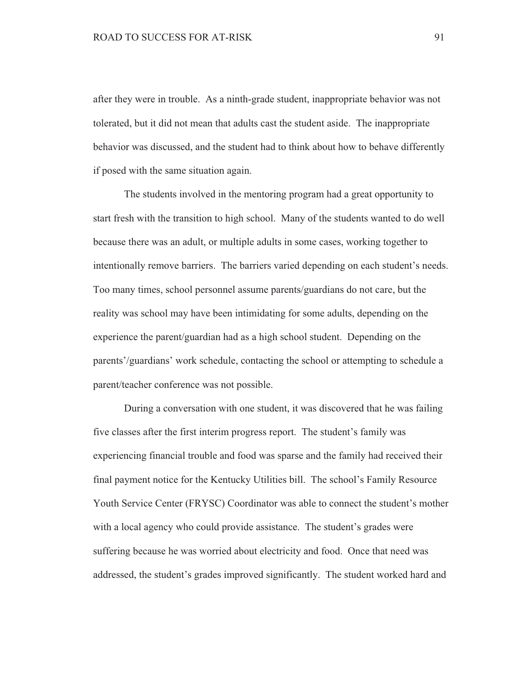after they were in trouble. As a ninth-grade student, inappropriate behavior was not tolerated, but it did not mean that adults cast the student aside. The inappropriate behavior was discussed, and the student had to think about how to behave differently if posed with the same situation again.

The students involved in the mentoring program had a great opportunity to start fresh with the transition to high school. Many of the students wanted to do well because there was an adult, or multiple adults in some cases, working together to intentionally remove barriers. The barriers varied depending on each student's needs. Too many times, school personnel assume parents/guardians do not care, but the reality was school may have been intimidating for some adults, depending on the experience the parent/guardian had as a high school student. Depending on the parents'/guardians' work schedule, contacting the school or attempting to schedule a parent/teacher conference was not possible.

During a conversation with one student, it was discovered that he was failing five classes after the first interim progress report. The student's family was experiencing financial trouble and food was sparse and the family had received their final payment notice for the Kentucky Utilities bill. The school's Family Resource Youth Service Center (FRYSC) Coordinator was able to connect the student's mother with a local agency who could provide assistance. The student's grades were suffering because he was worried about electricity and food. Once that need was addressed, the student's grades improved significantly. The student worked hard and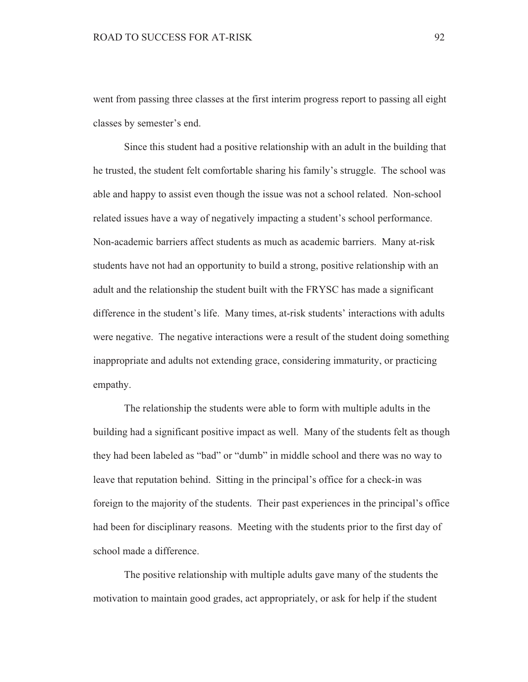went from passing three classes at the first interim progress report to passing all eight classes by semester's end.

Since this student had a positive relationship with an adult in the building that he trusted, the student felt comfortable sharing his family's struggle. The school was able and happy to assist even though the issue was not a school related. Non-school related issues have a way of negatively impacting a student's school performance. Non-academic barriers affect students as much as academic barriers. Many at-risk students have not had an opportunity to build a strong, positive relationship with an adult and the relationship the student built with the FRYSC has made a significant difference in the student's life. Many times, at-risk students' interactions with adults were negative. The negative interactions were a result of the student doing something inappropriate and adults not extending grace, considering immaturity, or practicing empathy.

The relationship the students were able to form with multiple adults in the building had a significant positive impact as well. Many of the students felt as though they had been labeled as "bad" or "dumb" in middle school and there was no way to leave that reputation behind. Sitting in the principal's office for a check-in was foreign to the majority of the students. Their past experiences in the principal's office had been for disciplinary reasons. Meeting with the students prior to the first day of school made a difference.

The positive relationship with multiple adults gave many of the students the motivation to maintain good grades, act appropriately, or ask for help if the student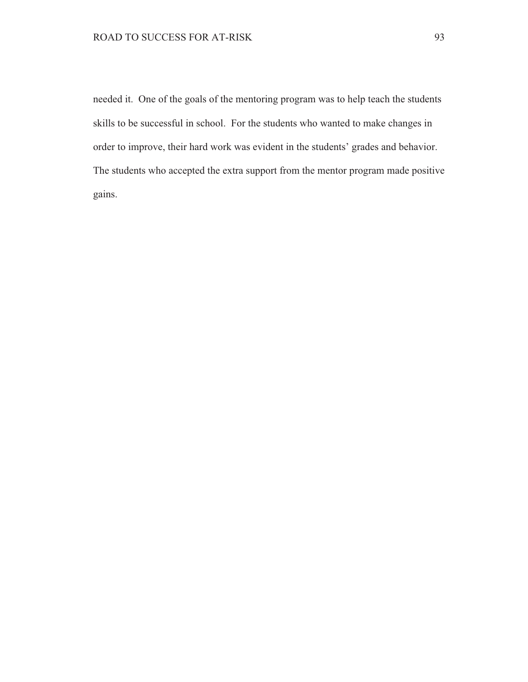needed it. One of the goals of the mentoring program was to help teach the students skills to be successful in school. For the students who wanted to make changes in order to improve, their hard work was evident in the students' grades and behavior. The students who accepted the extra support from the mentor program made positive gains.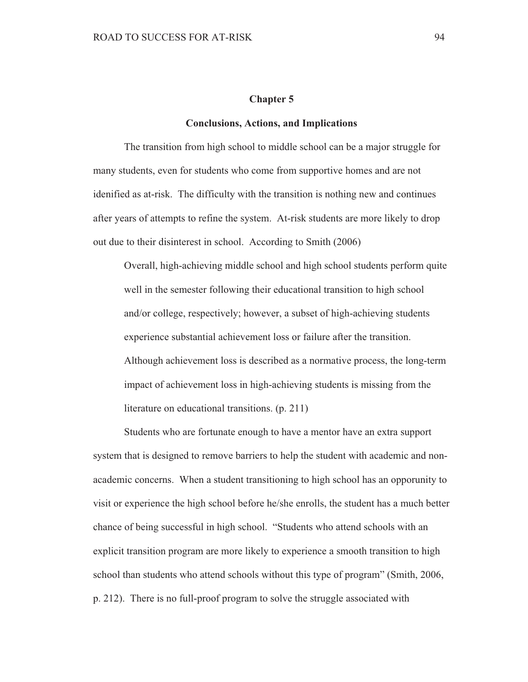#### **Chapter 5**

#### **Conclusions, Actions, and Implications**

The transition from high school to middle school can be a major struggle for many students, even for students who come from supportive homes and are not idenified as at-risk. The difficulty with the transition is nothing new and continues after years of attempts to refine the system. At-risk students are more likely to drop out due to their disinterest in school. According to Smith (2006)

Overall, high-achieving middle school and high school students perform quite well in the semester following their educational transition to high school and/or college, respectively; however, a subset of high-achieving students experience substantial achievement loss or failure after the transition. Although achievement loss is described as a normative process, the long-term impact of achievement loss in high-achieving students is missing from the literature on educational transitions. (p. 211)

Students who are fortunate enough to have a mentor have an extra support system that is designed to remove barriers to help the student with academic and nonacademic concerns. When a student transitioning to high school has an opporunity to visit or experience the high school before he/she enrolls, the student has a much better chance of being successful in high school. "Students who attend schools with an explicit transition program are more likely to experience a smooth transition to high school than students who attend schools without this type of program" (Smith, 2006, p. 212). There is no full-proof program to solve the struggle associated with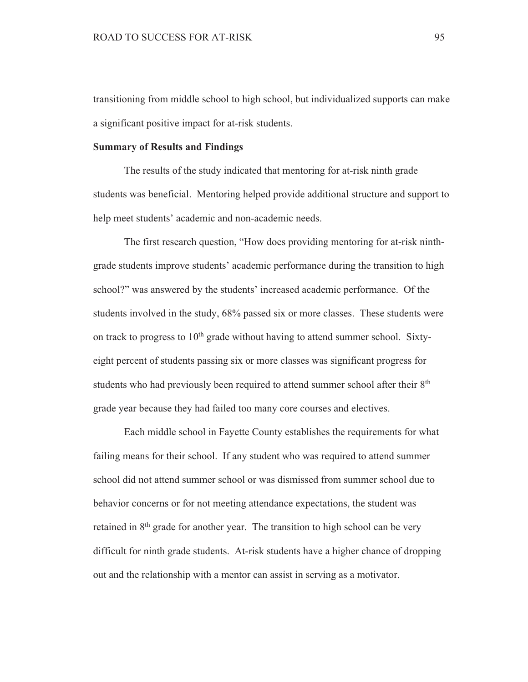transitioning from middle school to high school, but individualized supports can make a significant positive impact for at-risk students.

## **Summary of Results and Findings**

The results of the study indicated that mentoring for at-risk ninth grade students was beneficial. Mentoring helped provide additional structure and support to help meet students' academic and non-academic needs.

The first research question, "How does providing mentoring for at-risk ninthgrade students improve students' academic performance during the transition to high school?" was answered by the students' increased academic performance. Of the students involved in the study, 68% passed six or more classes. These students were on track to progress to 10<sup>th</sup> grade without having to attend summer school. Sixtyeight percent of students passing six or more classes was significant progress for students who had previously been required to attend summer school after their 8<sup>th</sup> grade year because they had failed too many core courses and electives.

Each middle school in Fayette County establishes the requirements for what failing means for their school. If any student who was required to attend summer school did not attend summer school or was dismissed from summer school due to behavior concerns or for not meeting attendance expectations, the student was retained in 8<sup>th</sup> grade for another year. The transition to high school can be very difficult for ninth grade students. At-risk students have a higher chance of dropping out and the relationship with a mentor can assist in serving as a motivator.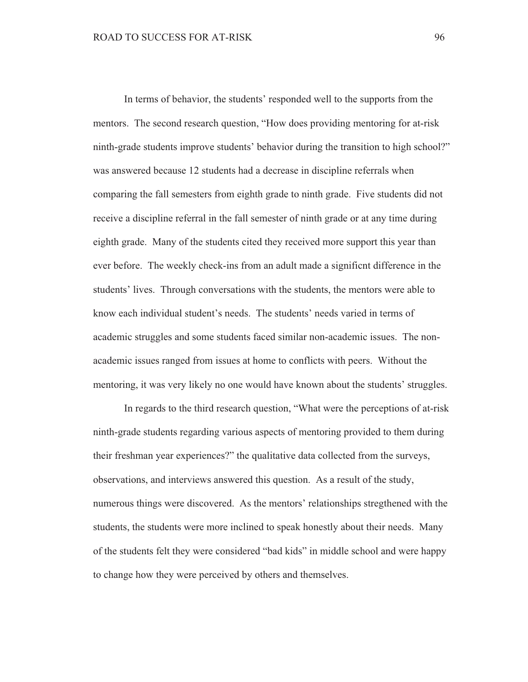In terms of behavior, the students' responded well to the supports from the mentors. The second research question, "How does providing mentoring for at-risk ninth-grade students improve students' behavior during the transition to high school?" was answered because 12 students had a decrease in discipline referrals when comparing the fall semesters from eighth grade to ninth grade. Five students did not receive a discipline referral in the fall semester of ninth grade or at any time during eighth grade. Many of the students cited they received more support this year than ever before. The weekly check-ins from an adult made a significnt difference in the students' lives. Through conversations with the students, the mentors were able to know each individual student's needs. The students' needs varied in terms of academic struggles and some students faced similar non-academic issues. The nonacademic issues ranged from issues at home to conflicts with peers. Without the mentoring, it was very likely no one would have known about the students' struggles.

In regards to the third research question, "What were the perceptions of at-risk ninth-grade students regarding various aspects of mentoring provided to them during their freshman year experiences?" the qualitative data collected from the surveys, observations, and interviews answered this question. As a result of the study, numerous things were discovered. As the mentors' relationships stregthened with the students, the students were more inclined to speak honestly about their needs. Many of the students felt they were considered "bad kids" in middle school and were happy to change how they were perceived by others and themselves.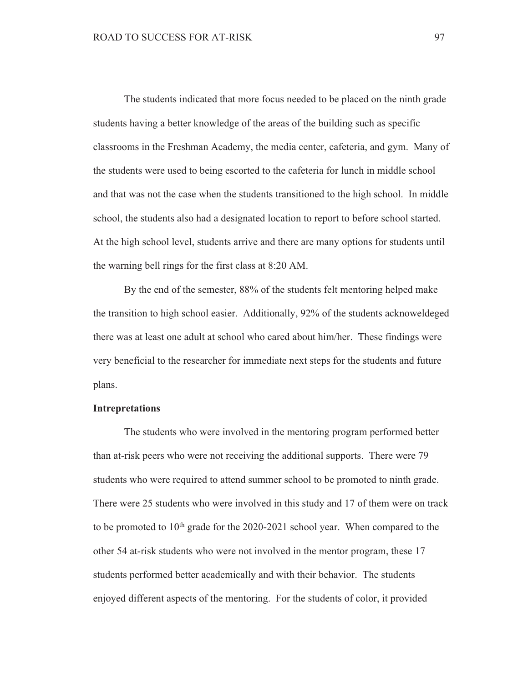The students indicated that more focus needed to be placed on the ninth grade students having a better knowledge of the areas of the building such as specific classrooms in the Freshman Academy, the media center, cafeteria, and gym. Many of the students were used to being escorted to the cafeteria for lunch in middle school and that was not the case when the students transitioned to the high school. In middle school, the students also had a designated location to report to before school started. At the high school level, students arrive and there are many options for students until the warning bell rings for the first class at 8:20 AM.

By the end of the semester, 88% of the students felt mentoring helped make the transition to high school easier. Additionally, 92% of the students acknoweldeged there was at least one adult at school who cared about him/her. These findings were very beneficial to the researcher for immediate next steps for the students and future plans.

### **Intrepretations**

The students who were involved in the mentoring program performed better than at-risk peers who were not receiving the additional supports. There were 79 students who were required to attend summer school to be promoted to ninth grade. There were 25 students who were involved in this study and 17 of them were on track to be promoted to  $10<sup>th</sup>$  grade for the 2020-2021 school year. When compared to the other 54 at-risk students who were not involved in the mentor program, these 17 students performed better academically and with their behavior. The students enjoyed different aspects of the mentoring. For the students of color, it provided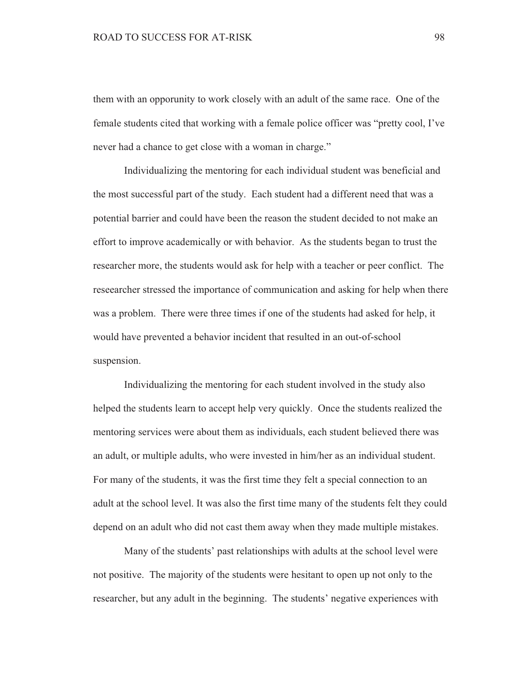them with an opporunity to work closely with an adult of the same race. One of the female students cited that working with a female police officer was "pretty cool, I've never had a chance to get close with a woman in charge."

Individualizing the mentoring for each individual student was beneficial and the most successful part of the study. Each student had a different need that was a potential barrier and could have been the reason the student decided to not make an effort to improve academically or with behavior. As the students began to trust the researcher more, the students would ask for help with a teacher or peer conflict. The reseearcher stressed the importance of communication and asking for help when there was a problem. There were three times if one of the students had asked for help, it would have prevented a behavior incident that resulted in an out-of-school suspension.

Individualizing the mentoring for each student involved in the study also helped the students learn to accept help very quickly. Once the students realized the mentoring services were about them as individuals, each student believed there was an adult, or multiple adults, who were invested in him/her as an individual student. For many of the students, it was the first time they felt a special connection to an adult at the school level. It was also the first time many of the students felt they could depend on an adult who did not cast them away when they made multiple mistakes.

Many of the students' past relationships with adults at the school level were not positive. The majority of the students were hesitant to open up not only to the researcher, but any adult in the beginning. The students' negative experiences with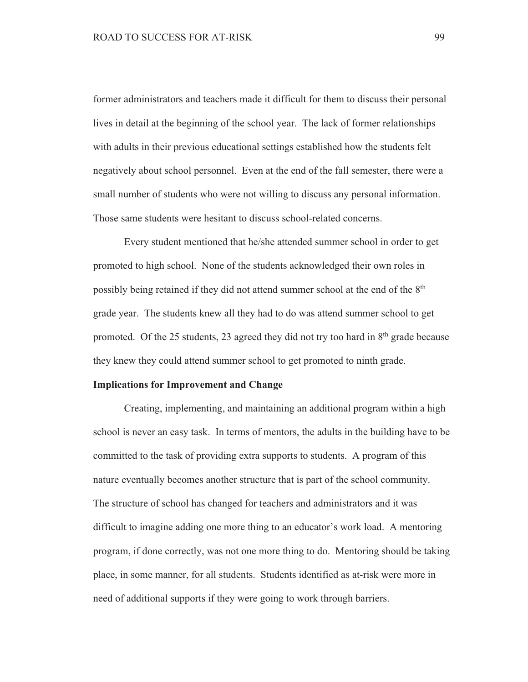former administrators and teachers made it difficult for them to discuss their personal lives in detail at the beginning of the school year. The lack of former relationships with adults in their previous educational settings established how the students felt negatively about school personnel. Even at the end of the fall semester, there were a small number of students who were not willing to discuss any personal information. Those same students were hesitant to discuss school-related concerns.

Every student mentioned that he/she attended summer school in order to get promoted to high school. None of the students acknowledged their own roles in possibly being retained if they did not attend summer school at the end of the 8<sup>th</sup> grade year. The students knew all they had to do was attend summer school to get promoted. Of the 25 students, 23 agreed they did not try too hard in 8<sup>th</sup> grade because they knew they could attend summer school to get promoted to ninth grade.

#### **Implications for Improvement and Change**

Creating, implementing, and maintaining an additional program within a high school is never an easy task. In terms of mentors, the adults in the building have to be committed to the task of providing extra supports to students. A program of this nature eventually becomes another structure that is part of the school community. The structure of school has changed for teachers and administrators and it was difficult to imagine adding one more thing to an educator's work load. A mentoring program, if done correctly, was not one more thing to do. Mentoring should be taking place, in some manner, for all students. Students identified as at-risk were more in need of additional supports if they were going to work through barriers.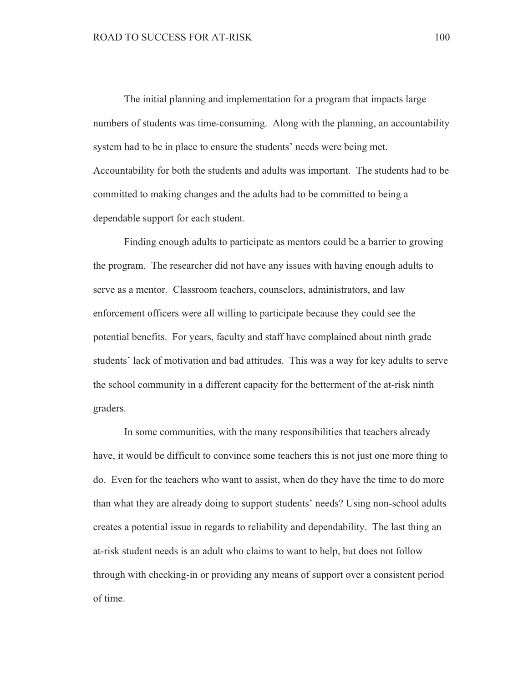The initial planning and implementation for a program that impacts large numbers of students was time-consuming. Along with the planning, an accountability system had to be in place to ensure the students' needs were being met. Accountability for both the students and adults was important. The students had to be committed to making changes and the adults had to be committed to being a dependable support for each student.

Finding enough adults to participate as mentors could be a barrier to growing the program. The researcher did not have any issues with having enough adults to serve as a mentor. Classroom teachers, counselors, administrators, and law enforcement officers were all willing to participate because they could see the potential benefits. For years, faculty and staff have complained about ninth grade students' lack of motivation and bad attitudes. This was a way for key adults to serve the school community in a different capacity for the betterment of the at-risk ninth graders.

In some communities, with the many responsibilities that teachers already have, it would be difficult to convince some teachers this is not just one more thing to do. Even for the teachers who want to assist, when do they have the time to do more than what they are already doing to support students' needs? Using non-school adults creates a potential issue in regards to reliability and dependability. The last thing an at-risk student needs is an adult who claims to want to help, but does not follow through with checking-in or providing any means of support over a consistent period of time.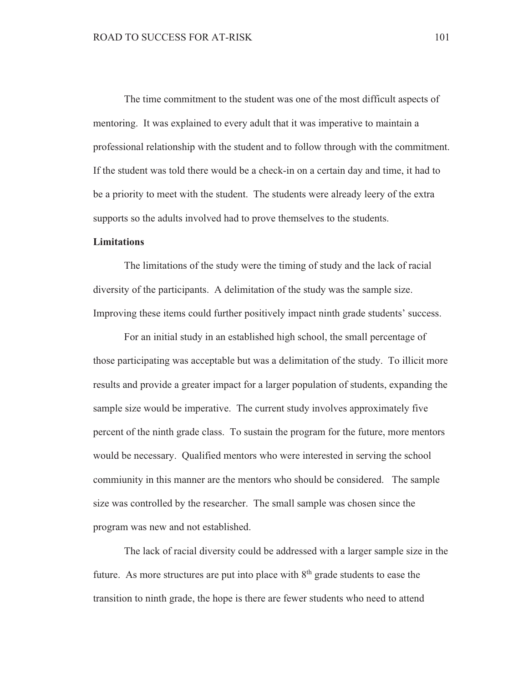The time commitment to the student was one of the most difficult aspects of mentoring. It was explained to every adult that it was imperative to maintain a professional relationship with the student and to follow through with the commitment. If the student was told there would be a check-in on a certain day and time, it had to be a priority to meet with the student. The students were already leery of the extra supports so the adults involved had to prove themselves to the students.

## **Limitations**

The limitations of the study were the timing of study and the lack of racial diversity of the participants. A delimitation of the study was the sample size. Improving these items could further positively impact ninth grade students' success.

For an initial study in an established high school, the small percentage of those participating was acceptable but was a delimitation of the study. To illicit more results and provide a greater impact for a larger population of students, expanding the sample size would be imperative. The current study involves approximately five percent of the ninth grade class. To sustain the program for the future, more mentors would be necessary. Qualified mentors who were interested in serving the school commiunity in this manner are the mentors who should be considered. The sample size was controlled by the researcher. The small sample was chosen since the program was new and not established.

The lack of racial diversity could be addressed with a larger sample size in the future. As more structures are put into place with  $8<sup>th</sup>$  grade students to ease the transition to ninth grade, the hope is there are fewer students who need to attend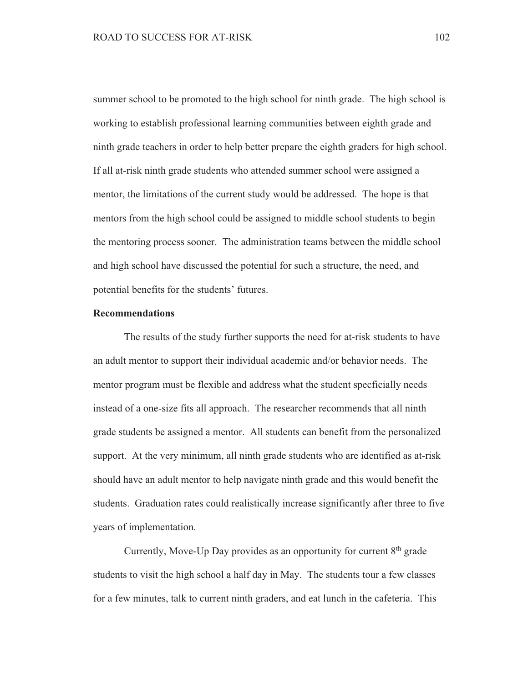summer school to be promoted to the high school for ninth grade. The high school is working to establish professional learning communities between eighth grade and ninth grade teachers in order to help better prepare the eighth graders for high school. If all at-risk ninth grade students who attended summer school were assigned a mentor, the limitations of the current study would be addressed. The hope is that mentors from the high school could be assigned to middle school students to begin the mentoring process sooner. The administration teams between the middle school and high school have discussed the potential for such a structure, the need, and potential benefits for the students' futures.

## **Recommendations**

The results of the study further supports the need for at-risk students to have an adult mentor to support their individual academic and/or behavior needs. The mentor program must be flexible and address what the student specficially needs instead of a one-size fits all approach. The researcher recommends that all ninth grade students be assigned a mentor. All students can benefit from the personalized support. At the very minimum, all ninth grade students who are identified as at-risk should have an adult mentor to help navigate ninth grade and this would benefit the students. Graduation rates could realistically increase significantly after three to five years of implementation.

Currently, Move-Up Day provides as an opportunity for current  $8<sup>th</sup>$  grade students to visit the high school a half day in May. The students tour a few classes for a few minutes, talk to current ninth graders, and eat lunch in the cafeteria. This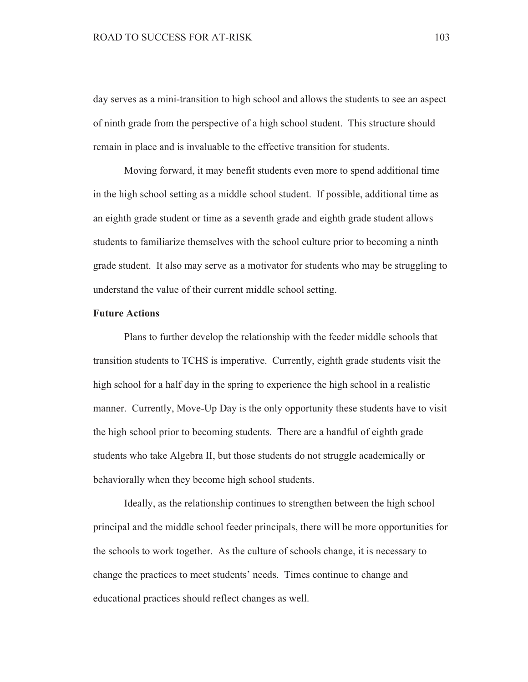day serves as a mini-transition to high school and allows the students to see an aspect of ninth grade from the perspective of a high school student. This structure should remain in place and is invaluable to the effective transition for students.

Moving forward, it may benefit students even more to spend additional time in the high school setting as a middle school student. If possible, additional time as an eighth grade student or time as a seventh grade and eighth grade student allows students to familiarize themselves with the school culture prior to becoming a ninth grade student. It also may serve as a motivator for students who may be struggling to understand the value of their current middle school setting.

### **Future Actions**

Plans to further develop the relationship with the feeder middle schools that transition students to TCHS is imperative. Currently, eighth grade students visit the high school for a half day in the spring to experience the high school in a realistic manner. Currently, Move-Up Day is the only opportunity these students have to visit the high school prior to becoming students. There are a handful of eighth grade students who take Algebra II, but those students do not struggle academically or behaviorally when they become high school students.

Ideally, as the relationship continues to strengthen between the high school principal and the middle school feeder principals, there will be more opportunities for the schools to work together. As the culture of schools change, it is necessary to change the practices to meet students' needs. Times continue to change and educational practices should reflect changes as well.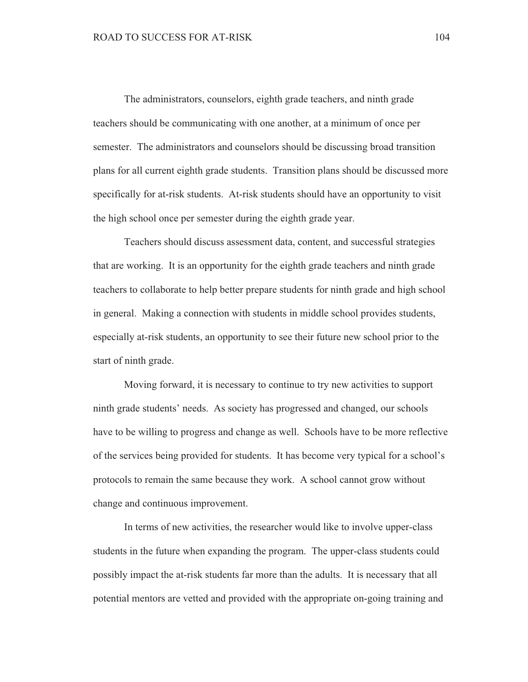The administrators, counselors, eighth grade teachers, and ninth grade teachers should be communicating with one another, at a minimum of once per semester. The administrators and counselors should be discussing broad transition plans for all current eighth grade students. Transition plans should be discussed more specifically for at-risk students. At-risk students should have an opportunity to visit the high school once per semester during the eighth grade year.

Teachers should discuss assessment data, content, and successful strategies that are working. It is an opportunity for the eighth grade teachers and ninth grade teachers to collaborate to help better prepare students for ninth grade and high school in general. Making a connection with students in middle school provides students, especially at-risk students, an opportunity to see their future new school prior to the start of ninth grade.

Moving forward, it is necessary to continue to try new activities to support ninth grade students' needs. As society has progressed and changed, our schools have to be willing to progress and change as well. Schools have to be more reflective of the services being provided for students. It has become very typical for a school's protocols to remain the same because they work. A school cannot grow without change and continuous improvement.

In terms of new activities, the researcher would like to involve upper-class students in the future when expanding the program. The upper-class students could possibly impact the at-risk students far more than the adults. It is necessary that all potential mentors are vetted and provided with the appropriate on-going training and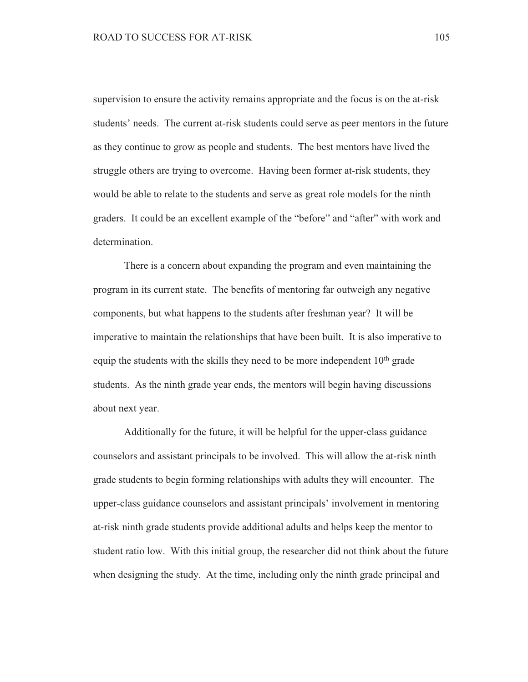supervision to ensure the activity remains appropriate and the focus is on the at-risk students' needs. The current at-risk students could serve as peer mentors in the future as they continue to grow as people and students. The best mentors have lived the struggle others are trying to overcome. Having been former at-risk students, they would be able to relate to the students and serve as great role models for the ninth graders. It could be an excellent example of the "before" and "after" with work and determination.

There is a concern about expanding the program and even maintaining the program in its current state. The benefits of mentoring far outweigh any negative components, but what happens to the students after freshman year? It will be imperative to maintain the relationships that have been built. It is also imperative to equip the students with the skills they need to be more independent 10<sup>th</sup> grade students. As the ninth grade year ends, the mentors will begin having discussions about next year.

Additionally for the future, it will be helpful for the upper-class guidance counselors and assistant principals to be involved. This will allow the at-risk ninth grade students to begin forming relationships with adults they will encounter. The upper-class guidance counselors and assistant principals' involvement in mentoring at-risk ninth grade students provide additional adults and helps keep the mentor to student ratio low. With this initial group, the researcher did not think about the future when designing the study. At the time, including only the ninth grade principal and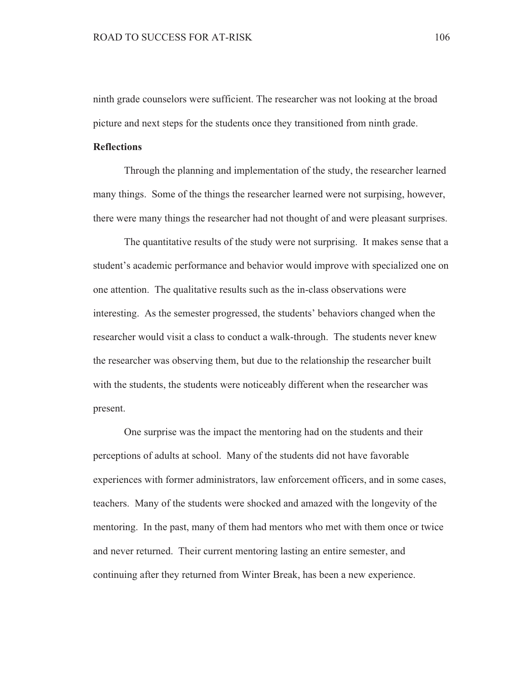ninth grade counselors were sufficient. The researcher was not looking at the broad picture and next steps for the students once they transitioned from ninth grade.

## **Reflections**

Through the planning and implementation of the study, the researcher learned many things. Some of the things the researcher learned were not surpising, however, there were many things the researcher had not thought of and were pleasant surprises.

The quantitative results of the study were not surprising. It makes sense that a student's academic performance and behavior would improve with specialized one on one attention. The qualitative results such as the in-class observations were interesting. As the semester progressed, the students' behaviors changed when the researcher would visit a class to conduct a walk-through. The students never knew the researcher was observing them, but due to the relationship the researcher built with the students, the students were noticeably different when the researcher was present.

One surprise was the impact the mentoring had on the students and their perceptions of adults at school. Many of the students did not have favorable experiences with former administrators, law enforcement officers, and in some cases. teachers. Many of the students were shocked and amazed with the longevity of the mentoring. In the past, many of them had mentors who met with them once or twice and never returned. Their current mentoring lasting an entire semester, and continuing after they returned from Winter Break, has been a new experience.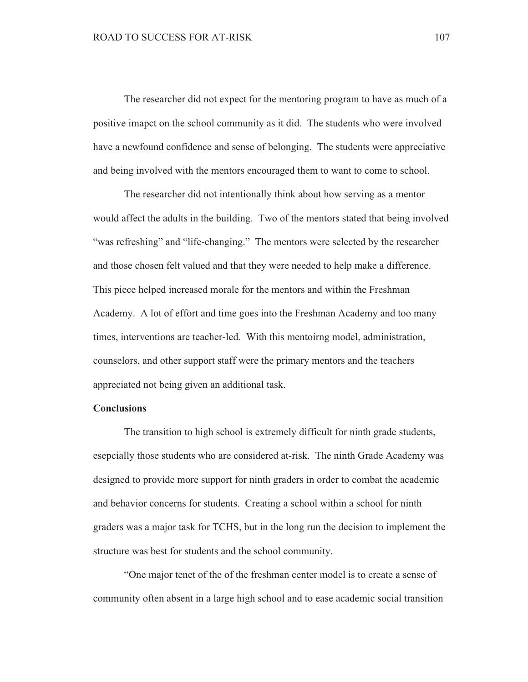The researcher did not expect for the mentoring program to have as much of a positive imapct on the school community as it did. The students who were involved have a newfound confidence and sense of belonging. The students were appreciative and being involved with the mentors encouraged them to want to come to school.

The researcher did not intentionally think about how serving as a mentor would affect the adults in the building. Two of the mentors stated that being involved "was refreshing" and "life-changing." The mentors were selected by the researcher and those chosen felt valued and that they were needed to help make a difference. This piece helped increased morale for the mentors and within the Freshman Academy. A lot of effort and time goes into the Freshman Academy and too many times, interventions are teacher-led. With this mentoirng model, administration, counselors, and other support staff were the primary mentors and the teachers appreciated not being given an additional task.

### **Conclusions**

The transition to high school is extremely difficult for ninth grade students, esepcially those students who are considered at-risk. The ninth Grade Academy was designed to provide more support for ninth graders in order to combat the academic and behavior concerns for students. Creating a school within a school for ninth graders was a major task for TCHS, but in the long run the decision to implement the structure was best for students and the school community.

"One major tenet of the of the freshman center model is to create a sense of community often absent in a large high school and to ease academic social transition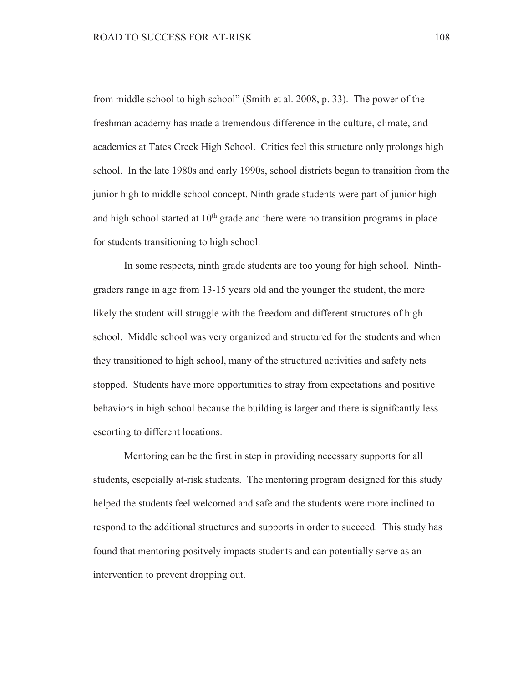from middle school to high school" (Smith et al. 2008, p. 33). The power of the freshman academy has made a tremendous difference in the culture, climate, and academics at Tates Creek High School. Critics feel this structure only prolongs high school. In the late 1980s and early 1990s, school districts began to transition from the junior high to middle school concept. Ninth grade students were part of junior high and high school started at  $10<sup>th</sup>$  grade and there were no transition programs in place for students transitioning to high school.

In some respects, ninth grade students are too young for high school. Ninthgraders range in age from 13-15 years old and the younger the student, the more likely the student will struggle with the freedom and different structures of high school. Middle school was very organized and structured for the students and when they transitioned to high school, many of the structured activities and safety nets stopped. Students have more opportunities to stray from expectations and positive behaviors in high school because the building is larger and there is significantly less escorting to different locations.

Mentoring can be the first in step in providing necessary supports for all students, esepcially at-risk students. The mentoring program designed for this study helped the students feel welcomed and safe and the students were more inclined to respond to the additional structures and supports in order to succeed. This study has found that mentoring positvely impacts students and can potentially serve as an intervention to prevent dropping out.

108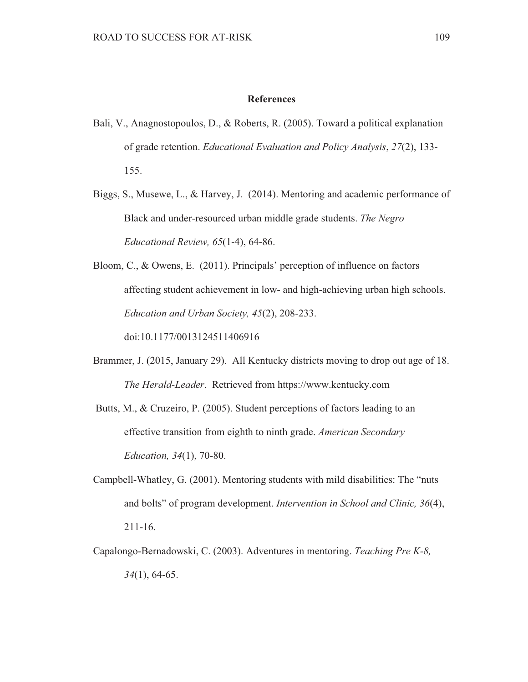#### **References**

- Bali, V., Anagnostopoulos, D., & Roberts, R. (2005). Toward a political explanation of grade retention. Educational Evaluation and Policy Analysis, 27(2), 133-155.
- Biggs, S., Musewe, L., & Harvey, J. (2014). Mentoring and academic performance of Black and under-resourced urban middle grade students. The Negro Educational Review, 65(1-4), 64-86.
- Bloom, C., & Owens, E. (2011). Principals' perception of influence on factors affecting student achievement in low- and high-achieving urban high schools. Education and Urban Society, 45(2), 208-233. doi:10.1177/0013124511406916
- Brammer, J. (2015, January 29). All Kentucky districts moving to drop out age of 18. The Herald-Leader. Retrieved from https://www.kentucky.com
- Butts, M., & Cruzeiro, P. (2005). Student perceptions of factors leading to an effective transition from eighth to ninth grade. American Secondary *Education, 34(1), 70-80.*
- Campbell-Whatley, G. (2001). Mentoring students with mild disabilities: The "nuts" and bolts" of program development. Intervention in School and Clinic, 36(4),  $211 - 16.$
- Capalongo-Bernadowski, C. (2003). Adventures in mentoring. Teaching Pre K-8,  $34(1)$ , 64-65.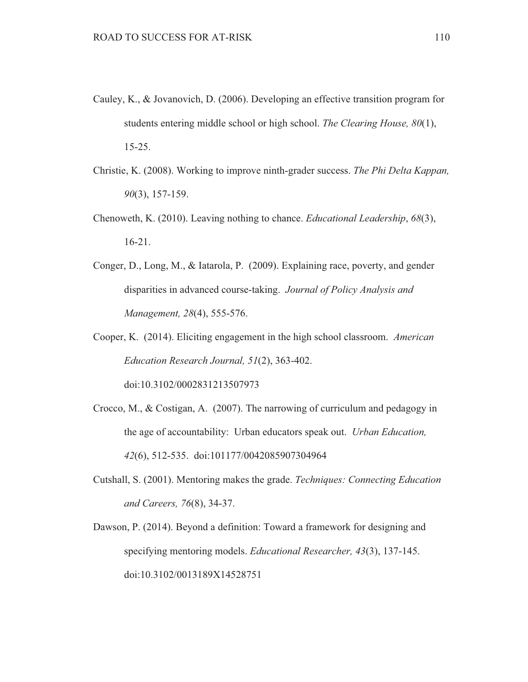- Cauley, K., & Jovanovich, D. (2006). Developing an effective transition program for students entering middle school or high school. The Clearing House, 80(1),  $15-25.$
- Christie, K. (2008). Working to improve ninth-grader success. The Phi Delta Kappan.  $90(3)$ , 157-159.
- Chenoweth, K. (2010). Leaving nothing to chance. *Educational Leadership*, 68(3),  $16-21.$
- Conger, D., Long, M., & Iatarola, P. (2009). Explaining race, poverty, and gender disparities in advanced course-taking. Journal of Policy Analysis and Management, 28(4), 555-576.
- Cooper, K. (2014). Eliciting engagement in the high school classroom. American Education Research Journal, 51(2), 363-402.

doi:10.3102/0002831213507973

- Crocco, M., & Costigan, A.  $(2007)$ . The narrowing of curriculum and pedagogy in the age of accountability: Urban educators speak out. Urban Education, 42(6), 512-535. doi:101177/0042085907304964
- Cutshall, S. (2001). Mentoring makes the grade. Techniques: Connecting Education and Careers, 76(8), 34-37.
- Dawson, P. (2014). Beyond a definition: Toward a framework for designing and specifying mentoring models. *Educational Researcher*, 43(3), 137-145. doi:10.3102/0013189X14528751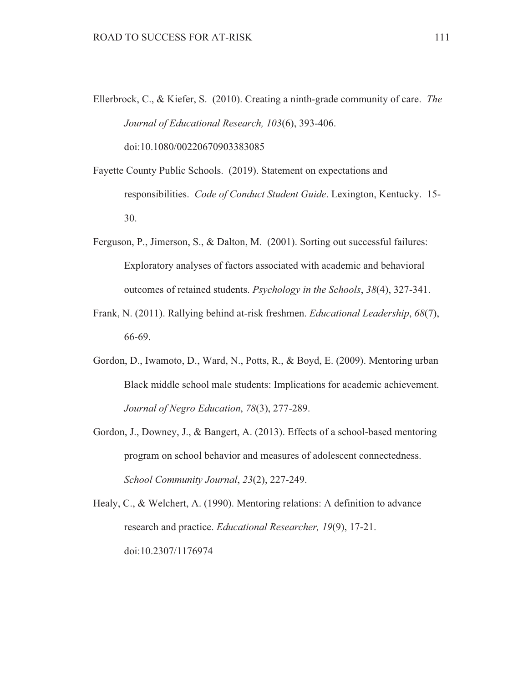- Ellerbrock, C., & Kiefer, S. (2010). Creating a ninth-grade community of care. The Journal of Educational Research, 103(6), 393-406. doi:10.1080/00220670903383085
- Fayette County Public Schools. (2019). Statement on expectations and responsibilities. Code of Conduct Student Guide. Lexington, Kentucky. 15-30.
- Ferguson, P., Jimerson, S., & Dalton, M. (2001). Sorting out successful failures: Exploratory analyses of factors associated with academic and behavioral outcomes of retained students. *Psychology in the Schools*, 38(4), 327-341.
- Frank, N. (2011). Rallying behind at-risk freshmen. *Educational Leadership*, 68(7), 66-69.
- Gordon, D., Iwamoto, D., Ward, N., Potts, R., & Boyd, E. (2009). Mentoring urban Black middle school male students: Implications for academic achievement. Journal of Negro Education, 78(3), 277-289.
- Gordon, J., Downey, J., & Bangert, A. (2013). Effects of a school-based mentoring program on school behavior and measures of adolescent connectedness. School Community Journal, 23(2), 227-249.

Healy, C., & Welchert, A. (1990). Mentoring relations: A definition to advance research and practice. *Educational Researcher*, 19(9), 17-21. doi:10.2307/1176974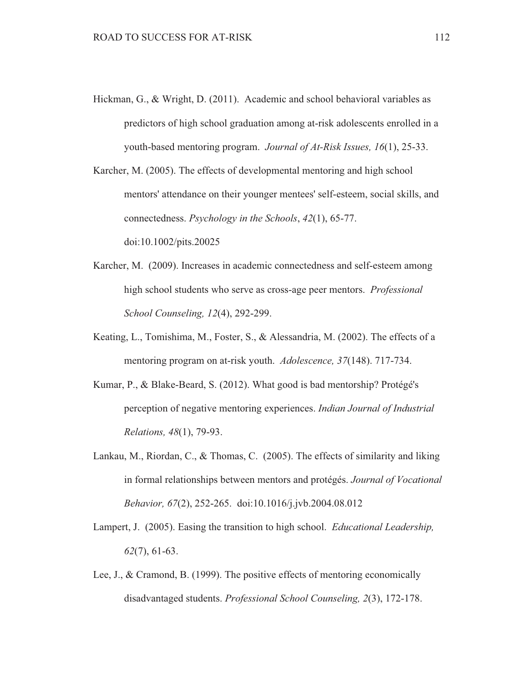Hickman, G., & Wright, D. (2011). Academic and school behavioral variables as predictors of high school graduation among at-risk adolescents enrolled in a youth-based mentoring program. Journal of At-Risk Issues, 16(1), 25-33.

Karcher, M. (2005). The effects of developmental mentoring and high school mentors' attendance on their younger mentees' self-esteem, social skills, and connectedness. *Psychology in the Schools*, 42(1), 65-77. doi:10.1002/pits.20025

- Karcher, M. (2009). Increases in academic connectedness and self-esteem among high school students who serve as cross-age peer mentors. *Professional* School Counseling, 12(4), 292-299.
- Keating, L., Tomishima, M., Foster, S., & Alessandria, M. (2002). The effects of a mentoring program on at-risk youth. *Adolescence*, 37(148), 717-734.
- Kumar, P., & Blake-Beard, S. (2012). What good is bad mentorship? Protégé's perception of negative mentoring experiences. Indian Journal of Industrial Relations, 48(1), 79-93.
- Lankau, M., Riordan, C., & Thomas, C. (2005). The effects of similarity and liking in formal relationships between mentors and protégés. Journal of Vocational Behavior, 67(2), 252-265. doi:10.1016/j.jvb.2004.08.012
- Lampert, J. (2005). Easing the transition to high school. *Educational Leadership*,  $62(7)$ , 61-63.
- Lee, J., & Cramond, B.  $(1999)$ . The positive effects of mentoring economically disadvantaged students. Professional School Counseling, 2(3), 172-178.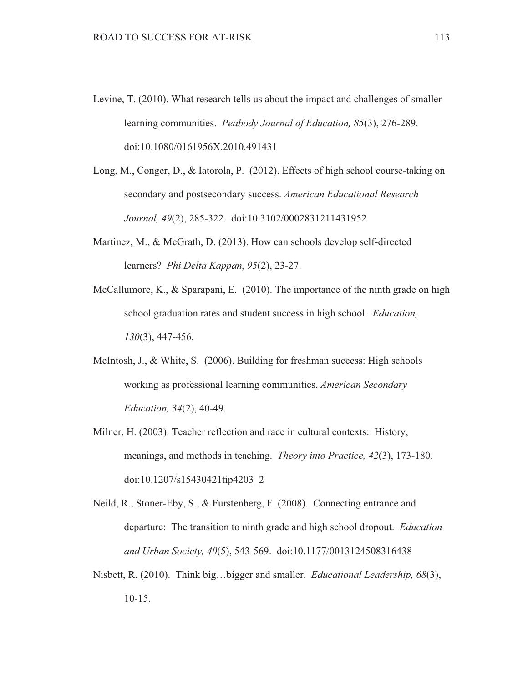- Levine, T. (2010). What research tells us about the impact and challenges of smaller learning communities. Peabody Journal of Education, 85(3), 276-289. doi:10.1080/0161956X.2010.491431
- Long, M., Conger, D., & Iatorola, P. (2012). Effects of high school course-taking on secondary and postsecondary success. American Educational Research Journal, 49(2), 285-322. doi:10.3102/0002831211431952
- Martinez, M., & McGrath, D. (2013). How can schools develop self-directed learners? Phi Delta Kappan, 95(2), 23-27.
- McCallumore, K., & Sparapani, E.  $(2010)$ . The importance of the ninth grade on high school graduation rates and student success in high school. *Education*,  $130(3)$ , 447-456.
- McIntosh, J., & White, S. (2006). Building for freshman success: High schools working as professional learning communities. American Secondary *Education, 34(2), 40-49.*
- Milner, H. (2003). Teacher reflection and race in cultural contexts: History, meanings, and methods in teaching. *Theory into Practice*, 42(3), 173-180. doi:10.1207/s15430421tip4203 2
- Neild, R., Stoner-Eby, S., & Furstenberg, F. (2008). Connecting entrance and departure: The transition to ninth grade and high school dropout. *Education* and Urban Society, 40(5), 543-569. doi:10.1177/0013124508316438
- Nisbett, R. (2010). Think big...bigger and smaller. *Educational Leadership*, 68(3),  $10-15.$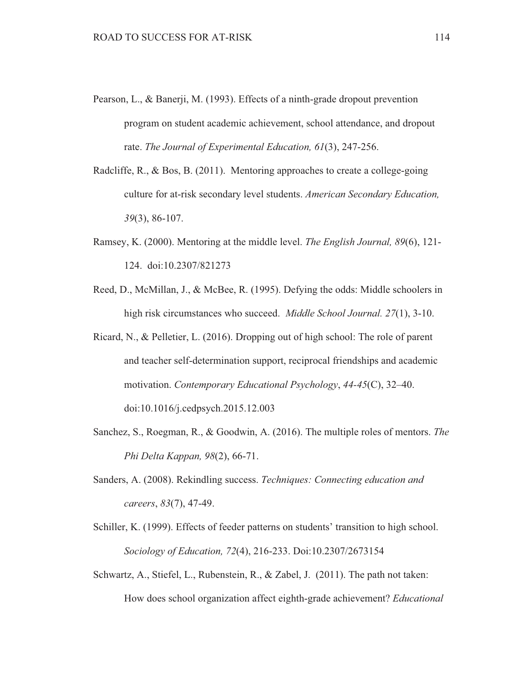- Pearson, L., & Banerji, M. (1993). Effects of a ninth-grade dropout prevention program on student academic achievement, school attendance, and dropout rate. The Journal of Experimental Education, 61(3), 247-256.
- Radcliffe, R., & Bos, B. (2011). Mentoring approaches to create a college-going culture for at-risk secondary level students. American Secondary Education,  $39(3)$ , 86-107.
- Ramsey, K. (2000). Mentoring at the middle level. The English Journal, 89(6), 121-124. doi:10.2307/821273
- Reed, D., McMillan, J., & McBee, R. (1995). Defying the odds: Middle schoolers in high risk circumstances who succeed. *Middle School Journal.* 27(1), 3-10.
- Ricard, N., & Pelletier, L. (2016). Dropping out of high school: The role of parent and teacher self-determination support, reciprocal friendships and academic motivation. Contemporary Educational Psychology, 44-45(C), 32-40. doi:10.1016/j.cedpsych.2015.12.003
- Sanchez, S., Roegman, R., & Goodwin, A. (2016). The multiple roles of mentors. The Phi Delta Kappan, 98(2), 66-71.
- Sanders, A. (2008). Rekindling success. Techniques: Connecting education and careers, 83(7), 47-49.
- Schiller, K. (1999). Effects of feeder patterns on students' transition to high school. Sociology of Education, 72(4), 216-233. Doi:10.2307/2673154
- Schwartz, A., Stiefel, L., Rubenstein, R., & Zabel, J. (2011). The path not taken: How does school organization affect eighth-grade achievement? Educational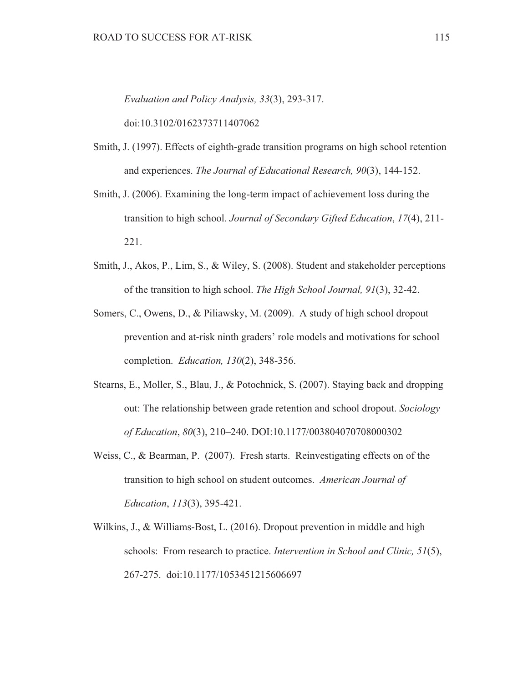Evaluation and Policy Analysis, 33(3), 293-317.

doi:10.3102/0162373711407062

- Smith, J. (1997). Effects of eighth-grade transition programs on high school retention and experiences. The Journal of Educational Research, 90(3), 144-152.
- Smith, J. (2006). Examining the long-term impact of achievement loss during the transition to high school. Journal of Secondary Gifted Education, 17(4), 211-221.
- Smith, J., Akos, P., Lim, S., & Wiley, S. (2008). Student and stakeholder perceptions of the transition to high school. The High School Journal, 91(3), 32-42.
- Somers, C., Owens, D., & Piliawsky, M. (2009). A study of high school dropout prevention and at-risk ninth graders' role models and motivations for school completion. *Education.* 130(2), 348-356.
- Stearns, E., Moller, S., Blau, J., & Potochnick, S. (2007). Staying back and dropping out: The relationship between grade retention and school dropout. Sociology of Education, 80(3), 210-240. DOI:10.1177/003804070708000302
- Weiss, C., & Bearman, P.  $(2007)$ . Fresh starts. Reinvestigating effects on of the transition to high school on student outcomes. American Journal of Education, 113(3), 395-421.
- Wilkins, J., & Williams-Bost, L. (2016). Dropout prevention in middle and high schools: From research to practice. *Intervention in School and Clinic*, 51(5), 267-275. doi:10.1177/1053451215606697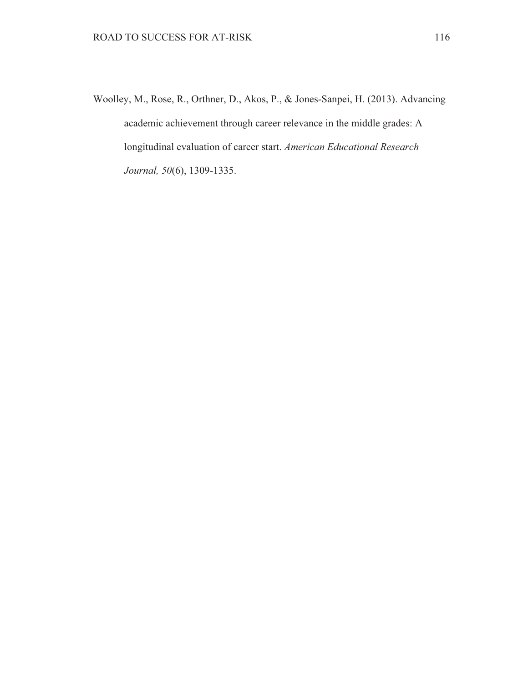Woolley, M., Rose, R., Orthner, D., Akos, P., & Jones-Sanpei, H. (2013). Advancing academic achievement through career relevance in the middle grades: A longitudinal evaluation of career start. American Educational Research Journal, 50(6), 1309-1335.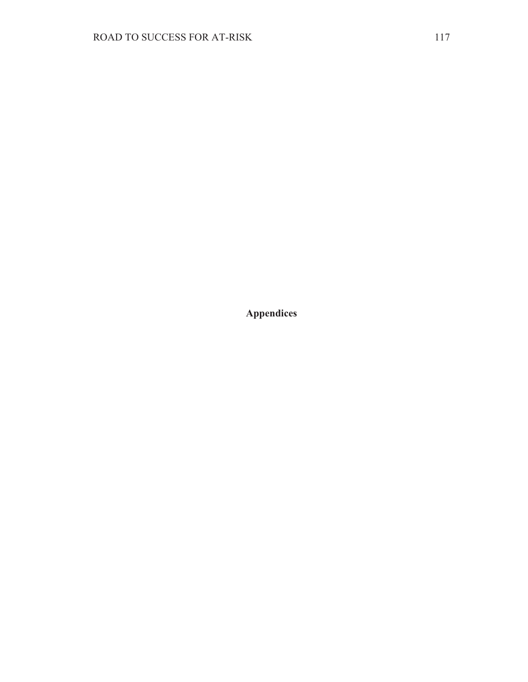**Appendices**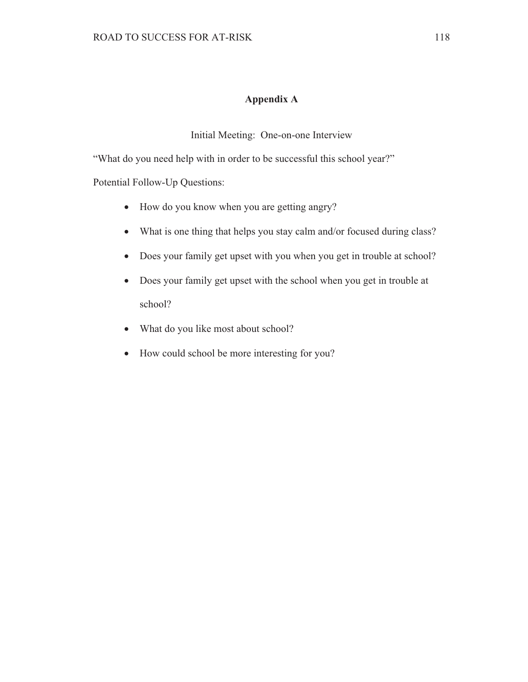# Appendix A

Initial Meeting: One-on-one Interview

"What do you need help with in order to be successful this school year?"

Potential Follow-Up Questions:

- How do you know when you are getting angry?
- What is one thing that helps you stay calm and/or focused during class?
- Does your family get upset with you when you get in trouble at school?
- Does your family get upset with the school when you get in trouble at school?
- What do you like most about school?
- How could school be more interesting for you?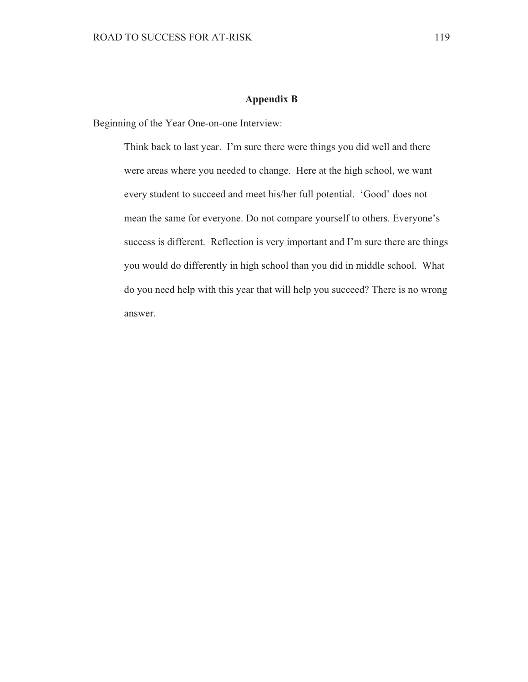### **Appendix B**

Beginning of the Year One-on-one Interview:

Think back to last year. I'm sure there were things you did well and there were areas where you needed to change. Here at the high school, we want every student to succeed and meet his/her full potential. 'Good' does not mean the same for everyone. Do not compare yourself to others. Everyone's success is different. Reflection is very important and I'm sure there are things you would do differently in high school than you did in middle school. What do you need help with this year that will help you succeed? There is no wrong answer.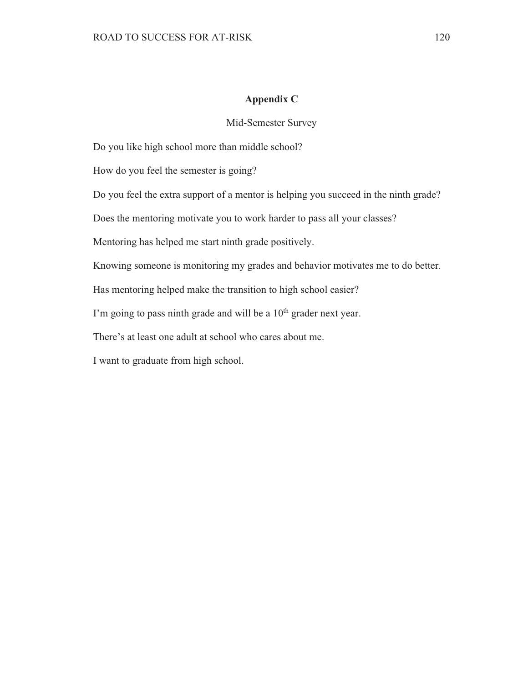### Appendix C

### Mid-Semester Survey

Do you like high school more than middle school?

How do you feel the semester is going?

Do you feel the extra support of a mentor is helping you succeed in the ninth grade?

Does the mentoring motivate you to work harder to pass all your classes?

Mentoring has helped me start ninth grade positively.

Knowing someone is monitoring my grades and behavior motivates me to do better.

Has mentoring helped make the transition to high school easier?

I'm going to pass ninth grade and will be a 10<sup>th</sup> grader next year.

There's at least one adult at school who cares about me.

I want to graduate from high school.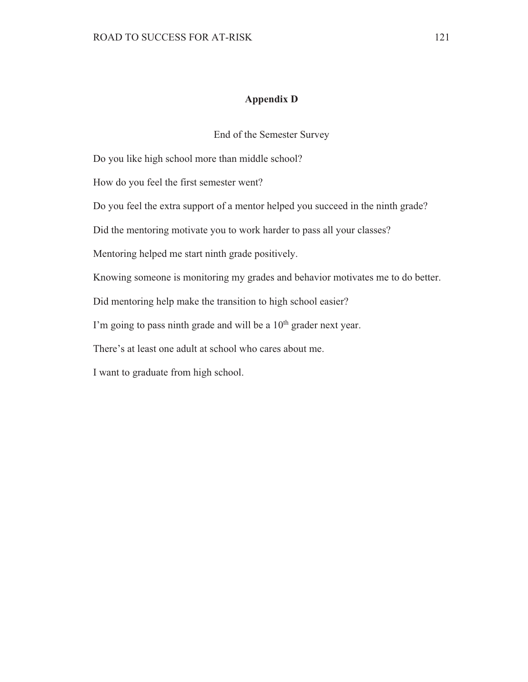## **Appendix D**

End of the Semester Survey

Do you like high school more than middle school?

How do you feel the first semester went?

Do you feel the extra support of a mentor helped you succeed in the ninth grade?

Did the mentoring motivate you to work harder to pass all your classes?

Mentoring helped me start ninth grade positively.

Knowing someone is monitoring my grades and behavior motivates me to do better.

Did mentoring help make the transition to high school easier?

I'm going to pass ninth grade and will be a 10<sup>th</sup> grader next year.

There's at least one adult at school who cares about me.

I want to graduate from high school.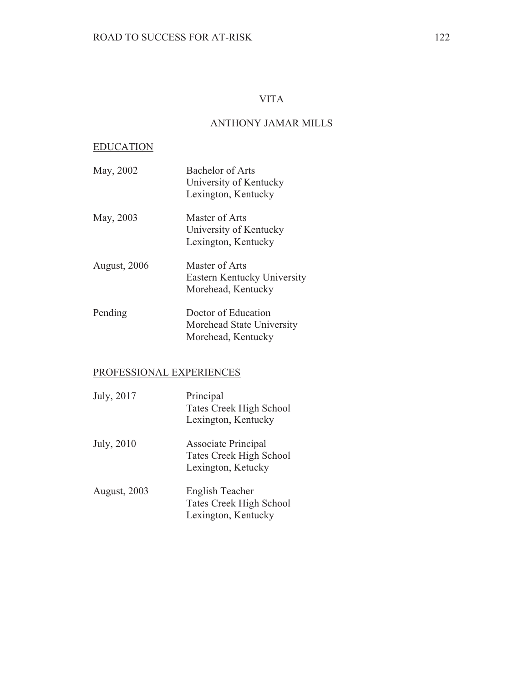## **VITA**

## **ANTHONY JAMAR MILLS**

#### **EDUCATION**

- May, 2002 **Bachelor of Arts** University of Kentucky Lexington, Kentucky May, 2003 Master of Arts University of Kentucky Lexington, Kentucky August, 2006 Master of Arts Eastern Kentucky University Morehead, Kentucky
- Doctor of Education Pending Morehead State University Morehead, Kentucky

## PROFESSIONAL EXPERIENCES

| July, 2017          | Principal<br>Tates Creek High School<br>Lexington, Kentucky                 |
|---------------------|-----------------------------------------------------------------------------|
| July, 2010          | Associate Principal<br><b>Tates Creek High School</b><br>Lexington, Ketucky |
| <b>August, 2003</b> | English Teacher<br><b>Tates Creek High School</b><br>Lexington, Kentucky    |